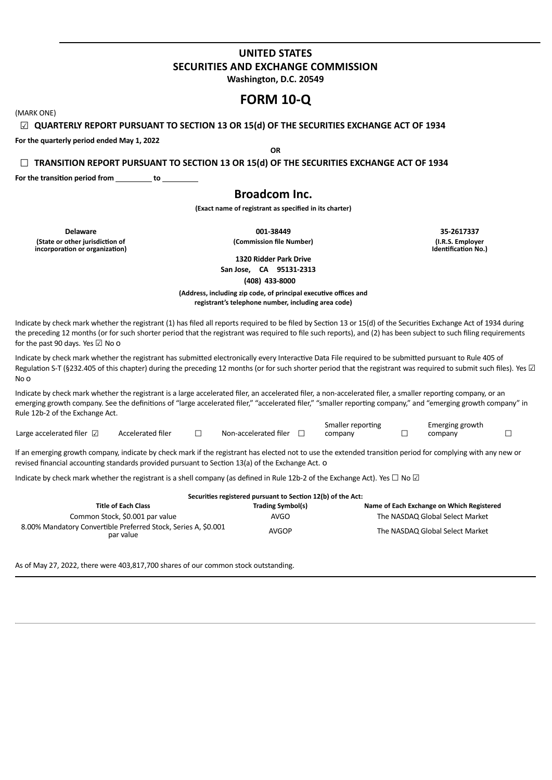## **UNITED STATES SECURITIES AND EXCHANGE COMMISSION**

**Washington, D.C. 20549**

# **FORM 10-Q**

(MARK ONE)

### ☑ **QUARTERLY REPORT PURSUANT TO SECTION 13 OR 15(d) OF THE SECURITIES EXCHANGE ACT OF 1934**

**For the quarterly period ended May 1, 2022**

**OR**

### ☐ **TRANSITION REPORT PURSUANT TO SECTION 13 OR 15(d) OF THE SECURITIES EXCHANGE ACT OF 1934**

**For the transition period from to**

## **Broadcom Inc.**

**(Exact name of registrant as specified in its charter)**

**(State or other jurisdiction of incorporation or organization)**

**Delaware 001-38449 35-2617337 (Commission file Number) (I.R.S. Employer**

**Identification No.)**

Emerging growth

**1320 Ridder Park Drive San Jose, CA 95131-2313**

**(408) 433-8000**

**(Address, including zip code, of principal executive offices and**

**registrant's telephone number, including area code)**

Indicate by check mark whether the registrant (1) has filed all reports required to be filed by Section 13 or 15(d) of the Securities Exchange Act of 1934 during the preceding 12 months (or for such shorter period that the registrant was required to file such reports), and (2) has been subject to such filing requirements for the past 90 days. Yes ☑ No o

Indicate by check mark whether the registrant has submitted electronically every Interactive Data File required to be submitted pursuant to Rule 405 of Regulation S-T (§232.405 of this chapter) during the preceding 12 months (or for such shorter period that the registrant was required to submit such files). Yes  $\boxtimes$ No o

Indicate by check mark whether the registrant is a large accelerated filer, an accelerated filer, a non-accelerated filer, a smaller reporting company, or an emerging growth company. See the definitions of "large accelerated filer," "accelerated filer," "smaller reporting company" and "emerging growth company" in Rule 12b-2 of the Exchange Act.

Smaller reporting

|                         |                   |                       |         | ັ       |  |
|-------------------------|-------------------|-----------------------|---------|---------|--|
| Large accelerated filer | Accelerated filer | Non-accelerated filer | company | company |  |

If an emerging growth company, indicate by check mark if the registrant has elected not to use the extended transition period for complying with any new or revised financial accounting standards provided pursuant to Section 13(a) of the Exchange Act. o

Indicate by check mark whether the registrant is a shell company (as defined in Rule 12b-2 of the Exchange Act). Yes  $\Box$  No  $\Box$ 

| Securities registered pursuant to Section 12(b) of the Act:                 |                          |                                           |  |  |  |  |  |  |  |  |
|-----------------------------------------------------------------------------|--------------------------|-------------------------------------------|--|--|--|--|--|--|--|--|
| <b>Title of Each Class</b>                                                  | <b>Trading Symbol(s)</b> | Name of Each Exchange on Which Registered |  |  |  |  |  |  |  |  |
| Common Stock, \$0.001 par value                                             | AVGO                     | The NASDAQ Global Select Market           |  |  |  |  |  |  |  |  |
| 8.00% Mandatory Convertible Preferred Stock, Series A, \$0.001<br>par value | <b>AVGOP</b>             | The NASDAQ Global Select Market           |  |  |  |  |  |  |  |  |

<span id="page-0-0"></span>As of May 27, 2022, there were 403,817,700 shares of our common stock outstanding.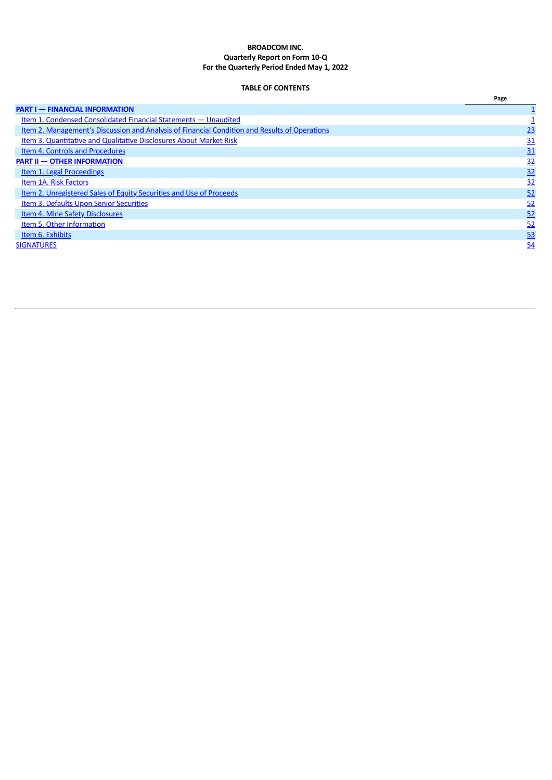## **BROADCOM INC. Quarterly Report on Form 10-Q For the Quarterly Period Ended May 1, 2022**

## **TABLE OF CONTENTS**

<span id="page-1-0"></span>

|                                                                                               | Page            |
|-----------------------------------------------------------------------------------------------|-----------------|
| <b>PART I - FINANCIAL INFORMATION</b>                                                         |                 |
| Item 1. Condensed Consolidated Financial Statements - Unaudited                               |                 |
| Item 2. Management's Discussion and Analysis of Financial Condition and Results of Operations | 23              |
| Item 3. Quantitative and Qualitative Disclosures About Market Risk                            | <u>31</u>       |
| Item 4. Controls and Procedures                                                               | <u>31</u>       |
| <b>PART II - OTHER INFORMATION</b>                                                            | <u>32</u>       |
| Item 1. Legal Proceedings                                                                     | $\overline{32}$ |
| Item 1A. Risk Factors                                                                         | <u>32</u>       |
| Item 2. Unregistered Sales of Equity Securities and Use of Proceeds                           | 52              |
| Item 3. Defaults Upon Senior Securities                                                       | 52              |
| Item 4. Mine Safety Disclosures                                                               | 52              |
| Item 5. Other Information                                                                     | 52              |
| Item 6. Exhibits                                                                              | 53              |
| <b>SIGNATURES</b>                                                                             | <u>54</u>       |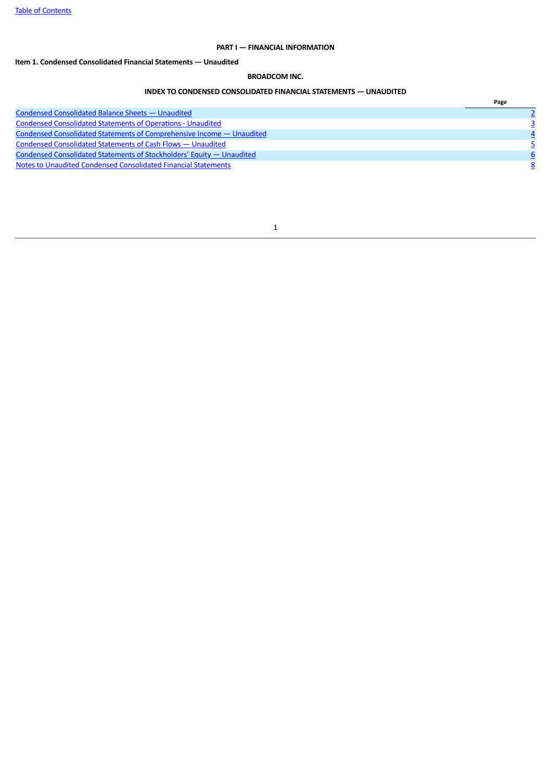## **PART I — FINANCIAL INFORMATION**

<span id="page-2-0"></span>**Item 1. Condensed Consolidated Financial Statements — Unaudited**

## **BROADCOM INC.**

## **INDEX TO CONDENSED CONSOLIDATED FINANCIAL STATEMENTS — UNAUDITED**

<span id="page-2-1"></span>

|                                                                       | Page |
|-----------------------------------------------------------------------|------|
| Condensed Consolidated Balance Sheets - Unaudited                     |      |
| <b>Condensed Consolidated Statements of Operations - Unaudited</b>    |      |
| Condensed Consolidated Statements of Comprehensive Income - Unaudited |      |
| Condensed Consolidated Statements of Cash Flows - Unaudited           |      |
| Condensed Consolidated Statements of Stockholders' Equity - Unaudited |      |
| Notes to Unaudited Condensed Consolidated Financial Statements        |      |

## 1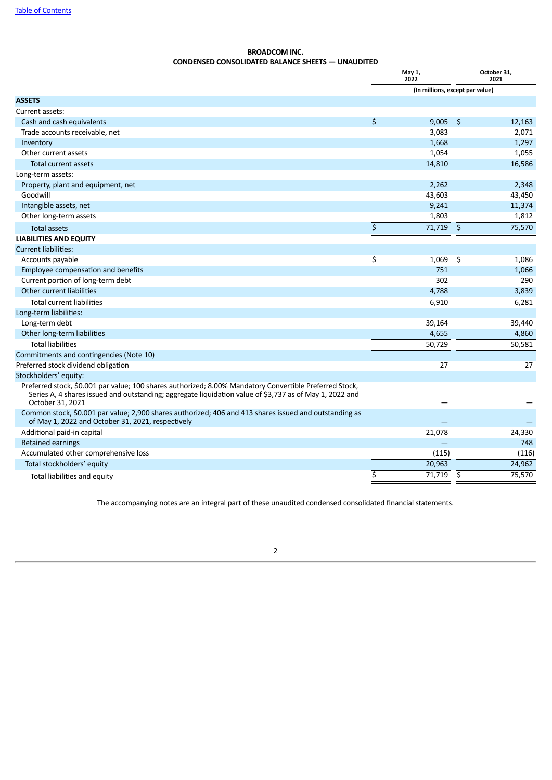## **BROADCOM INC. CONDENSED CONSOLIDATED BALANCE SHEETS — UNAUDITED**

|                                                                                                                                                                                                                                        | May 1,<br>2022                  |                     | October 31,<br>2021 |  |
|----------------------------------------------------------------------------------------------------------------------------------------------------------------------------------------------------------------------------------------|---------------------------------|---------------------|---------------------|--|
|                                                                                                                                                                                                                                        | (In millions, except par value) |                     |                     |  |
| <b>ASSETS</b>                                                                                                                                                                                                                          |                                 |                     |                     |  |
| Current assets:                                                                                                                                                                                                                        |                                 |                     |                     |  |
| Cash and cash equivalents                                                                                                                                                                                                              | \$<br>9,005                     | - \$                | 12,163              |  |
| Trade accounts receivable, net                                                                                                                                                                                                         | 3,083                           |                     | 2,071               |  |
| Inventory                                                                                                                                                                                                                              | 1,668                           |                     | 1,297               |  |
| Other current assets                                                                                                                                                                                                                   | 1,054                           |                     | 1,055               |  |
| Total current assets                                                                                                                                                                                                                   | 14,810                          |                     | 16,586              |  |
| Long-term assets:                                                                                                                                                                                                                      |                                 |                     |                     |  |
| Property, plant and equipment, net                                                                                                                                                                                                     | 2,262                           |                     | 2,348               |  |
| Goodwill                                                                                                                                                                                                                               | 43,603                          |                     | 43,450              |  |
| Intangible assets, net                                                                                                                                                                                                                 | 9,241                           |                     | 11,374              |  |
| Other long-term assets                                                                                                                                                                                                                 | 1,803                           |                     | 1,812               |  |
| <b>Total assets</b>                                                                                                                                                                                                                    | \$<br>71,719                    | $\ddot{\varsigma}$  | 75,570              |  |
| <b>LIABILITIES AND EQUITY</b>                                                                                                                                                                                                          |                                 |                     |                     |  |
| <b>Current liabilities:</b>                                                                                                                                                                                                            |                                 |                     |                     |  |
| Accounts payable                                                                                                                                                                                                                       | \$<br>1,069                     | \$                  | 1,086               |  |
| Employee compensation and benefits                                                                                                                                                                                                     | 751                             |                     | 1,066               |  |
| Current portion of long-term debt                                                                                                                                                                                                      | 302                             |                     | 290                 |  |
| Other current liabilities                                                                                                                                                                                                              | 4,788                           |                     | 3,839               |  |
| <b>Total current liabilities</b>                                                                                                                                                                                                       | 6,910                           |                     | 6,281               |  |
| Long-term liabilities:                                                                                                                                                                                                                 |                                 |                     |                     |  |
| Long-term debt                                                                                                                                                                                                                         | 39,164                          |                     | 39,440              |  |
| Other long-term liabilities                                                                                                                                                                                                            | 4,655                           |                     | 4,860               |  |
| <b>Total liabilities</b>                                                                                                                                                                                                               | 50,729                          |                     | 50,581              |  |
| Commitments and contingencies (Note 10)                                                                                                                                                                                                |                                 |                     |                     |  |
| Preferred stock dividend obligation                                                                                                                                                                                                    | 27                              |                     | 27                  |  |
| Stockholders' equity:                                                                                                                                                                                                                  |                                 |                     |                     |  |
| Preferred stock, \$0.001 par value; 100 shares authorized; 8.00% Mandatory Convertible Preferred Stock,<br>Series A, 4 shares issued and outstanding; aggregate liquidation value of \$3,737 as of May 1, 2022 and<br>October 31, 2021 |                                 |                     |                     |  |
| Common stock, \$0.001 par value; 2,900 shares authorized; 406 and 413 shares issued and outstanding as<br>of May 1, 2022 and October 31, 2021, respectively                                                                            |                                 |                     |                     |  |
| Additional paid-in capital                                                                                                                                                                                                             | 21,078                          |                     | 24,330              |  |
| Retained earnings                                                                                                                                                                                                                      |                                 |                     | 748                 |  |
| Accumulated other comprehensive loss                                                                                                                                                                                                   | (115)                           |                     | (116)               |  |
| Total stockholders' equity                                                                                                                                                                                                             | 20,963                          |                     | 24,962              |  |
| Total liabilities and equity                                                                                                                                                                                                           | \$<br>71,719                    | $\ddot{\mathsf{S}}$ | 75,570              |  |

<span id="page-3-0"></span>The accompanying notes are an integral part of these unaudited condensed consolidated financial statements.

2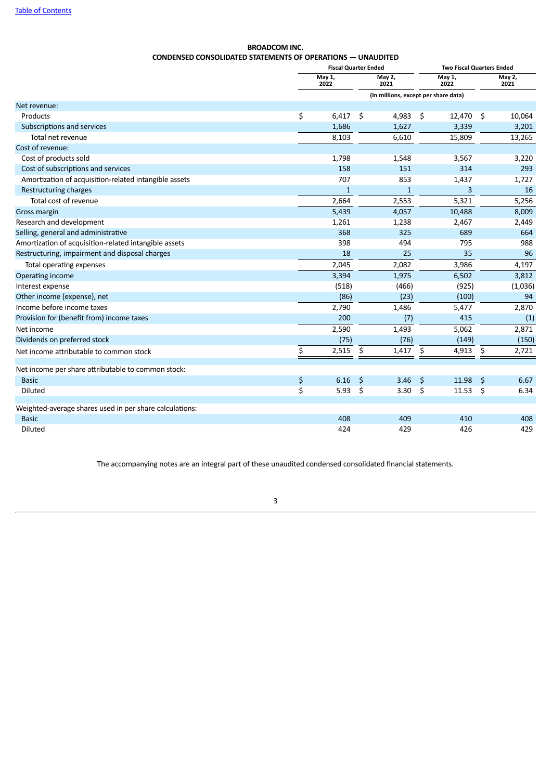## **BROADCOM INC. CONDENSED CONSOLIDATED STATEMENTS OF OPERATIONS — UNAUDITED**

|                                                         | <b>Fiscal Quarter Ended</b> |                              |              |                                      | <b>Two Fiscal Quarters Ended</b> |                |  |  |
|---------------------------------------------------------|-----------------------------|------------------------------|--------------|--------------------------------------|----------------------------------|----------------|--|--|
|                                                         | May 1,<br>2022              |                              |              | May 1,<br>2022                       |                                  | May 2,<br>2021 |  |  |
|                                                         |                             |                              |              | (In millions, except per share data) |                                  |                |  |  |
| Net revenue:                                            |                             |                              |              |                                      |                                  |                |  |  |
| Products                                                | \$<br>6,417                 | $\ddot{\mathsf{S}}$<br>4,983 | \$           | 12,470                               | \$                               | 10,064         |  |  |
| Subscriptions and services                              | 1,686                       | 1,627                        |              | 3,339                                |                                  | 3,201          |  |  |
| Total net revenue                                       | 8,103                       | 6,610                        |              | 15,809                               |                                  | 13,265         |  |  |
| Cost of revenue:                                        |                             |                              |              |                                      |                                  |                |  |  |
| Cost of products sold                                   | 1,798                       | 1,548                        |              | 3,567                                |                                  | 3,220          |  |  |
| Cost of subscriptions and services                      | 158                         | 151                          |              | 314                                  |                                  | 293            |  |  |
| Amortization of acquisition-related intangible assets   | 707                         | 853                          |              | 1,437                                |                                  | 1,727          |  |  |
| Restructuring charges                                   | $\mathbf{1}$                |                              | $\mathbf{1}$ | 3                                    |                                  | 16             |  |  |
| Total cost of revenue                                   | 2,664                       | 2,553                        |              | 5,321                                |                                  | 5,256          |  |  |
| Gross margin                                            | 5,439                       | 4,057                        |              | 10,488                               |                                  | 8,009          |  |  |
| Research and development                                | 1,261                       | 1,238                        |              | 2,467                                |                                  | 2,449          |  |  |
| Selling, general and administrative                     | 368                         | 325                          |              | 689                                  |                                  | 664            |  |  |
| Amortization of acquisition-related intangible assets   | 398                         | 494                          |              | 795                                  |                                  | 988            |  |  |
| Restructuring, impairment and disposal charges          | 18                          | 25                           |              | 35                                   |                                  | 96             |  |  |
| Total operating expenses                                | 2,045                       | 2,082                        |              | 3,986                                |                                  | 4,197          |  |  |
| Operating income                                        | 3,394                       | 1,975                        |              | 6,502                                |                                  | 3,812          |  |  |
| Interest expense                                        | (518)                       | (466)                        |              | (925)                                |                                  | (1,036)        |  |  |
| Other income (expense), net                             | (86)                        | (23)                         |              | (100)                                |                                  | 94             |  |  |
| Income before income taxes                              | 2,790                       | 1,486                        |              | 5,477                                |                                  | 2,870          |  |  |
| Provision for (benefit from) income taxes               | 200                         | (7)                          |              | 415                                  |                                  | (1)            |  |  |
| Net income                                              | 2,590                       | 1,493                        |              | 5,062                                |                                  | 2,871          |  |  |
| Dividends on preferred stock                            | (75)                        | (76)                         |              | (149)                                |                                  | (150)          |  |  |
| Net income attributable to common stock                 | \$<br>2,515                 | \$<br>1,417                  | \$           | 4,913                                | \$                               | 2,721          |  |  |
| Net income per share attributable to common stock:      |                             |                              |              |                                      |                                  |                |  |  |
| <b>Basic</b>                                            | \$<br>6.16                  | 3.46<br>-Ś                   | Ŝ.           | 11.98                                | \$                               | 6.67           |  |  |
| <b>Diluted</b>                                          | \$<br>5.93                  | $\ddot{\mathsf{s}}$<br>3.30  | \$           | 11.53                                | \$                               | 6.34           |  |  |
| Weighted-average shares used in per share calculations: |                             |                              |              |                                      |                                  |                |  |  |
| <b>Basic</b>                                            | 408                         | 409                          |              | 410                                  |                                  | 408            |  |  |
| <b>Diluted</b>                                          | 424                         | 429                          |              | 426                                  |                                  | 429            |  |  |

<span id="page-4-0"></span>The accompanying notes are an integral part of these unaudited condensed consolidated financial statements.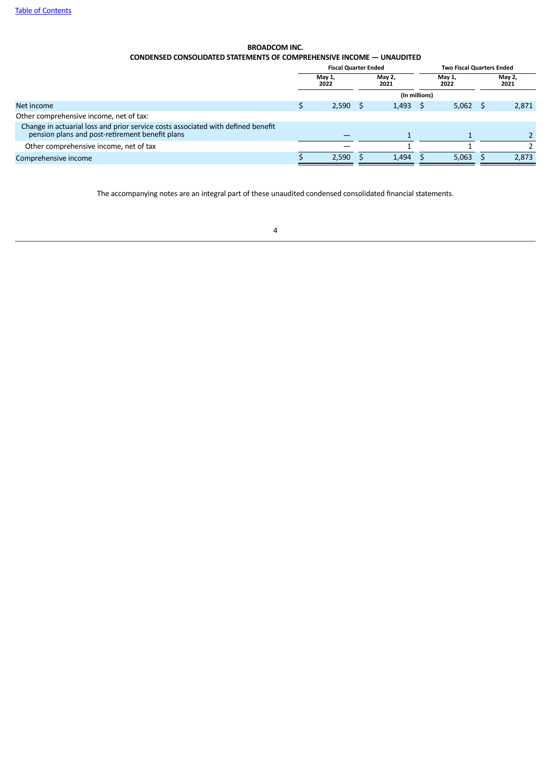## **BROADCOM INC. CONDENSED CONSOLIDATED STATEMENTS OF COMPREHENSIVE INCOME — UNAUDITED**

|                                                                                                                                     | <b>Fiscal Quarter Ended</b> |       |               |                | <b>Two Fiscal Quarters Ended</b> |       |  |                |
|-------------------------------------------------------------------------------------------------------------------------------------|-----------------------------|-------|---------------|----------------|----------------------------------|-------|--|----------------|
|                                                                                                                                     | May 1,<br>2022              |       |               | May 2,<br>2021 | May 1,<br>2022                   |       |  | May 2,<br>2021 |
|                                                                                                                                     |                             |       | (In millions) |                |                                  |       |  |                |
| Net income                                                                                                                          |                             | 2,590 |               | 1,493          |                                  | 5,062 |  | 2,871          |
| Other comprehensive income, net of tax:                                                                                             |                             |       |               |                |                                  |       |  |                |
| Change in actuarial loss and prior service costs associated with defined benefit<br>pension plans and post-retirement benefit plans |                             |       |               |                |                                  |       |  |                |
| Other comprehensive income, net of tax                                                                                              |                             |       |               |                |                                  |       |  |                |
| Comprehensive income                                                                                                                |                             | 2,590 |               | 1.494          |                                  | 5,063 |  | 2,873          |

<span id="page-5-0"></span>The accompanying notes are an integral part of these unaudited condensed consolidated financial statements.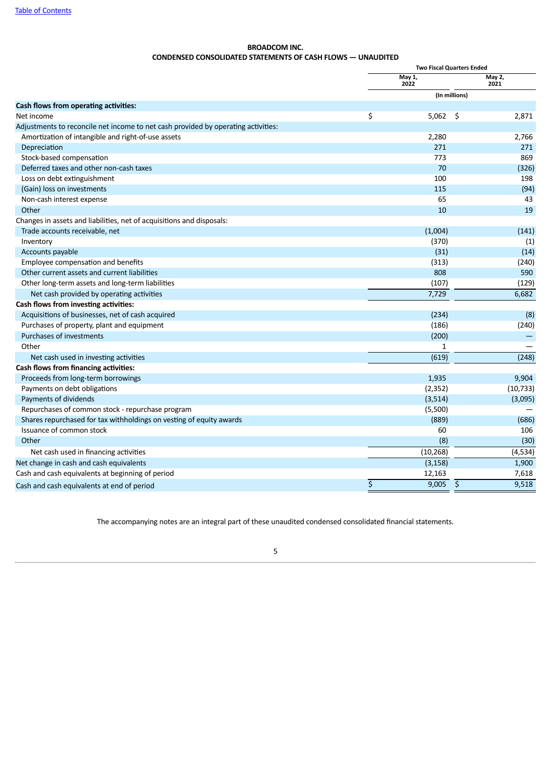## **BROADCOM INC. CONDENSED CONSOLIDATED STATEMENTS OF CASH FLOWS — UNAUDITED**

|                                                                                   | <b>Two Fiscal Quarters Ended</b> |               |                |  |
|-----------------------------------------------------------------------------------|----------------------------------|---------------|----------------|--|
|                                                                                   | May 1,<br>2022                   |               | May 2,<br>2021 |  |
|                                                                                   |                                  | (In millions) |                |  |
| Cash flows from operating activities:                                             |                                  |               |                |  |
| Net income                                                                        | \$<br>5,062                      | \$            | 2,871          |  |
| Adjustments to reconcile net income to net cash provided by operating activities: |                                  |               |                |  |
| Amortization of intangible and right-of-use assets                                | 2,280                            |               | 2,766          |  |
| Depreciation                                                                      | 271                              |               | 271            |  |
| Stock-based compensation                                                          | 773                              |               | 869            |  |
| Deferred taxes and other non-cash taxes                                           | 70                               |               | (326)          |  |
| Loss on debt extinguishment                                                       | 100                              |               | 198            |  |
| (Gain) loss on investments                                                        | 115                              |               | (94)           |  |
| Non-cash interest expense                                                         | 65                               |               | 43             |  |
| Other                                                                             | 10                               |               | 19             |  |
| Changes in assets and liabilities, net of acquisitions and disposals:             |                                  |               |                |  |
| Trade accounts receivable, net                                                    | (1,004)                          |               | (141)          |  |
| Inventory                                                                         | (370)                            |               | (1)            |  |
| Accounts payable                                                                  | (31)                             |               | (14)           |  |
| Employee compensation and benefits                                                | (313)                            |               | (240)          |  |
| Other current assets and current liabilities                                      | 808                              |               | 590            |  |
| Other long-term assets and long-term liabilities                                  | (107)                            |               | (129)          |  |
| Net cash provided by operating activities                                         | 7,729                            |               | 6,682          |  |
| Cash flows from investing activities:                                             |                                  |               |                |  |
| Acquisitions of businesses, net of cash acquired                                  | (234)                            |               | (8)            |  |
| Purchases of property, plant and equipment                                        | (186)                            |               | (240)          |  |
| Purchases of investments                                                          | (200)                            |               |                |  |
| Other                                                                             | 1                                |               |                |  |
| Net cash used in investing activities                                             | (619)                            |               | (248)          |  |
| Cash flows from financing activities:                                             |                                  |               |                |  |
| Proceeds from long-term borrowings                                                | 1,935                            |               | 9,904          |  |
| Payments on debt obligations                                                      | (2, 352)                         |               | (10, 733)      |  |
| Payments of dividends                                                             | (3, 514)                         |               | (3,095)        |  |
| Repurchases of common stock - repurchase program                                  | (5,500)                          |               |                |  |
| Shares repurchased for tax withholdings on vesting of equity awards               | (889)                            |               | (686)          |  |
| Issuance of common stock                                                          | 60                               |               | 106            |  |
| Other                                                                             | (8)                              |               | (30)           |  |
| Net cash used in financing activities                                             | (10, 268)                        |               | (4, 534)       |  |
| Net change in cash and cash equivalents                                           | (3, 158)                         |               | 1,900          |  |
| Cash and cash equivalents at beginning of period                                  | 12,163                           |               | 7,618          |  |
| Cash and cash equivalents at end of period                                        | \$<br>9,005                      | \$            | 9,518          |  |

<span id="page-6-0"></span>The accompanying notes are an integral part of these unaudited condensed consolidated financial statements.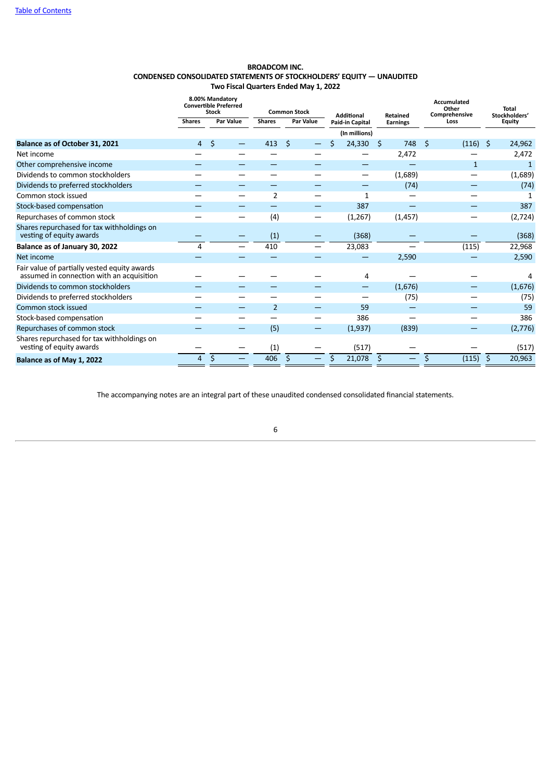## **BROADCOM INC. CONDENSED CONSOLIDATED STATEMENTS OF STOCKHOLDERS' EQUITY — UNAUDITED Two Fiscal Quarters Ended May 1, 2022**

|                                                                                           |                | 8.00% Mandatory<br><b>Convertible Preferred</b><br><b>Stock</b> | <b>Common Stock</b> |           |   | <b>Additional</b> | Retained        | <b>Accumulated</b><br>Other<br>Comprehensive | Total<br>Stockholders' |  |
|-------------------------------------------------------------------------------------------|----------------|-----------------------------------------------------------------|---------------------|-----------|---|-------------------|-----------------|----------------------------------------------|------------------------|--|
|                                                                                           | <b>Shares</b>  | Par Value                                                       | <b>Shares</b>       | Par Value |   | Paid-in Capital   | <b>Earnings</b> | Loss                                         | <b>Equity</b>          |  |
|                                                                                           |                |                                                                 |                     |           |   | (In millions)     |                 |                                              |                        |  |
| Balance as of October 31, 2021                                                            | $\overline{4}$ | $\zeta$                                                         | 413                 | Ś.        |   | 24,330            | 748<br>\$.      | \$<br>$(116)$ \$                             | 24,962                 |  |
| Net income                                                                                |                |                                                                 |                     |           |   |                   | 2,472           |                                              | 2,472                  |  |
| Other comprehensive income                                                                |                |                                                                 |                     |           |   |                   |                 | $\mathbf{1}$                                 |                        |  |
| Dividends to common stockholders                                                          |                |                                                                 |                     |           |   |                   | (1,689)         |                                              | (1,689)                |  |
| Dividends to preferred stockholders                                                       |                |                                                                 |                     |           |   |                   | (74)            |                                              | (74)                   |  |
| Common stock issued                                                                       |                |                                                                 | 2                   |           |   | 1                 |                 |                                              | 1                      |  |
| Stock-based compensation                                                                  |                |                                                                 |                     |           |   | 387               |                 |                                              | 387                    |  |
| Repurchases of common stock                                                               |                |                                                                 | (4)                 |           |   | (1, 267)          | (1, 457)        |                                              | (2,724)                |  |
| Shares repurchased for tax withholdings on<br>vesting of equity awards                    |                |                                                                 | (1)                 |           |   | (368)             |                 |                                              | (368)                  |  |
| Balance as of January 30, 2022                                                            | 4              |                                                                 | 410<br>—            |           | — | 23,083            |                 | (115)                                        | 22,968                 |  |
| Net income                                                                                |                |                                                                 |                     |           |   |                   | 2,590           |                                              | 2,590                  |  |
| Fair value of partially vested equity awards<br>assumed in connection with an acquisition |                |                                                                 |                     |           |   | 4                 |                 |                                              |                        |  |
| Dividends to common stockholders                                                          |                |                                                                 |                     |           |   |                   | (1,676)         |                                              | (1,676)                |  |
| Dividends to preferred stockholders                                                       |                |                                                                 |                     |           |   |                   | (75)            |                                              | (75)                   |  |
| Common stock issued                                                                       |                |                                                                 | $\overline{2}$      |           |   | 59                |                 |                                              | 59                     |  |
| Stock-based compensation                                                                  |                |                                                                 |                     |           |   | 386               |                 |                                              | 386                    |  |
| Repurchases of common stock                                                               |                |                                                                 | (5)                 |           |   | (1,937)           | (839)           |                                              | (2,776)                |  |
| Shares repurchased for tax withholdings on<br>vesting of equity awards                    |                |                                                                 | (1)                 |           |   | (517)             |                 |                                              | (517)                  |  |
| Balance as of May 1, 2022                                                                 | $\overline{4}$ | Ś                                                               | 406                 | Ś         |   | 21,078            |                 | (115)                                        | Ś<br>20,963            |  |

The accompanying notes are an integral part of these unaudited condensed consolidated financial statements.

6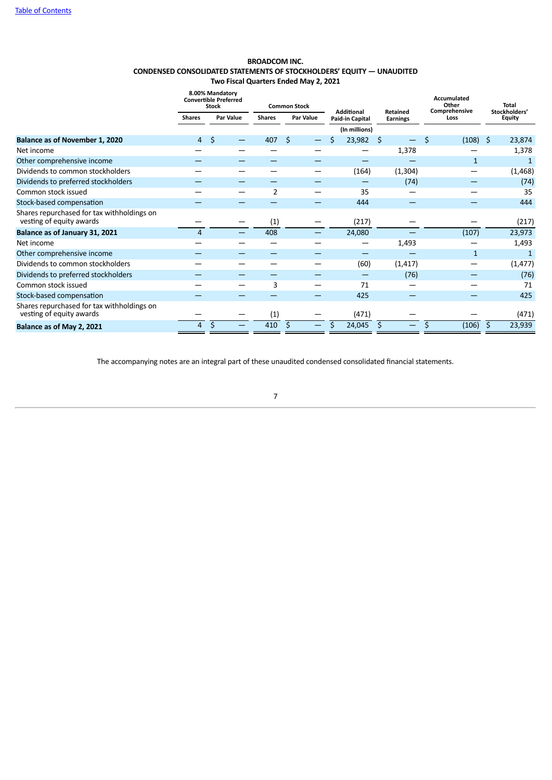## **BROADCOM INC. CONDENSED CONSOLIDATED STATEMENTS OF STOCKHOLDERS' EQUITY — UNAUDITED Two Fiscal Quarters Ended May 2, 2021**

|                                                                        | <b>Convertible Preferred</b> | 8.00% Mandatory<br><b>Stock</b> |                  | <b>Common Stock</b> |   | <b>Additional</b> |  | Retained        | <b>Accumulated</b><br>Other<br>Comprehensive | <b>Total</b><br>Stockholders' |               |  |
|------------------------------------------------------------------------|------------------------------|---------------------------------|------------------|---------------------|---|-------------------|--|-----------------|----------------------------------------------|-------------------------------|---------------|--|
|                                                                        | <b>Shares</b>                |                                 | <b>Par Value</b> | <b>Shares</b>       |   | Par Value         |  | Paid-in Capital | <b>Earnings</b>                              | Loss                          | <b>Equity</b> |  |
|                                                                        |                              |                                 |                  |                     |   |                   |  | (In millions)   |                                              |                               |               |  |
| Balance as of November 1, 2020                                         | 4                            | Ś.                              |                  | 407                 | Ś |                   |  | 23,982          | Ŝ.                                           | (108)<br>Ś                    | Ŝ.<br>23,874  |  |
| Net income                                                             |                              |                                 |                  |                     |   |                   |  |                 | 1,378                                        |                               | 1,378         |  |
| Other comprehensive income                                             |                              |                                 |                  |                     |   |                   |  |                 |                                              | 1                             |               |  |
| Dividends to common stockholders                                       |                              |                                 |                  |                     |   |                   |  | (164)           | (1, 304)                                     |                               | (1, 468)      |  |
| Dividends to preferred stockholders                                    |                              |                                 |                  |                     |   |                   |  |                 | (74)                                         |                               | (74)          |  |
| Common stock issued                                                    |                              |                                 |                  | 2                   |   |                   |  | 35              |                                              |                               | 35            |  |
| Stock-based compensation                                               |                              |                                 |                  |                     |   |                   |  | 444             |                                              |                               | 444           |  |
| Shares repurchased for tax withholdings on<br>vesting of equity awards |                              |                                 |                  | $\left( 1\right)$   |   |                   |  | (217)           |                                              |                               | (217)         |  |
| Balance as of January 31, 2021                                         | $\overline{4}$               |                                 |                  | 408                 |   | –                 |  | 24,080          |                                              | (107)                         | 23,973        |  |
| Net income                                                             |                              |                                 |                  |                     |   |                   |  |                 | 1,493                                        |                               | 1,493         |  |
| Other comprehensive income                                             |                              |                                 |                  |                     |   |                   |  |                 |                                              | $\mathbf{1}$                  |               |  |
| Dividends to common stockholders                                       |                              |                                 |                  |                     |   |                   |  | (60)            | (1, 417)                                     |                               | (1, 477)      |  |
| Dividends to preferred stockholders                                    |                              |                                 |                  |                     |   |                   |  |                 | (76)                                         |                               | (76)          |  |
| Common stock issued                                                    |                              |                                 |                  | 3                   |   |                   |  | 71              |                                              |                               | 71            |  |
| Stock-based compensation                                               |                              |                                 |                  |                     |   |                   |  | 425             |                                              |                               | 425           |  |
| Shares repurchased for tax withholdings on<br>vesting of equity awards |                              |                                 |                  | (1)                 |   |                   |  | (471)           |                                              |                               | (471)         |  |
| Balance as of May 2, 2021                                              | 4                            | Ś                               | —                | 410                 | Ś |                   |  | 24,045          | S                                            | (106)                         | Ś<br>23,939   |  |

<span id="page-8-0"></span>The accompanying notes are an integral part of these unaudited condensed consolidated financial statements.

7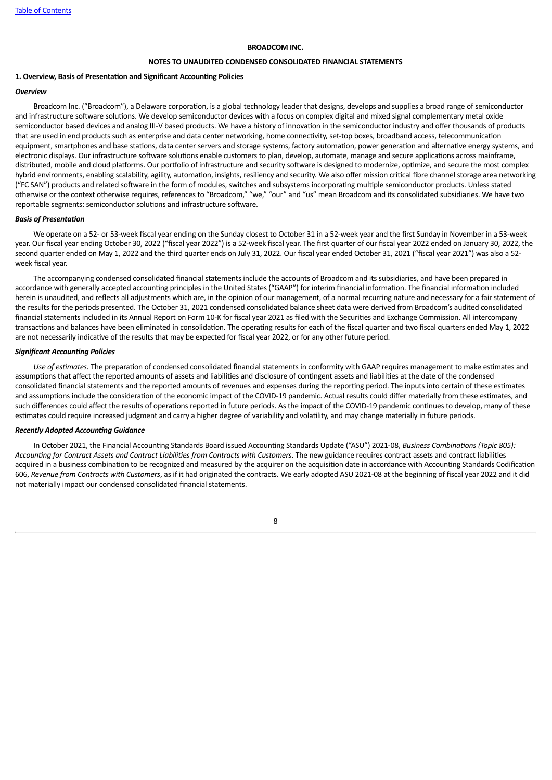### **BROADCOM INC.**

#### **NOTES TO UNAUDITED CONDENSED CONSOLIDATED FINANCIAL STATEMENTS**

#### **1. Overview, Basis of Presentation and Significant Accounting Policies**

#### *Overview*

Broadcom Inc. ("Broadcom"), a Delaware corporation, is a global technology leader that designs, develops and supplies a broad range of semiconductor and infrastructure software solutions. We develop semiconductor devices with a focus on complex digital and mixed signal complementary metal oxide semiconductor based devices and analog III-V based products. We have a history of innovation in the semiconductor industry and offer thousands of products that are used in end products such as enterprise and data center networking, home connectivity, set-top boxes, broadband access, telecommunication equipment, smartphones and base stations, data center servers and storage systems, factory automation, power generation and alternative energy systems, and electronic displays. Our infrastructure software solutions enable customers to plan, develop, automate, manage and secure applications across mainframe, distributed, mobile and cloud platforms. Our portfolio of infrastructure and security software is designed to modernize, optimize, and secure the most complex hybrid environments, enabling scalability, agility, automation, insights, resiliency and security. We also offer mission critical fibre channel storage area networking ("FC SAN") products and related software in the form of modules, switches and subsystems incorporating multiple semiconductor products. Unless stated otherwise or the context otherwise requires, references to "Broadcom," "we," "our" and "us" mean Broadcom and its consolidated subsidiaries. We have two reportable segments: semiconductor solutions and infrastructure software.

### *Basis of Presentation*

We operate on a 52- or 53-week fiscal year ending on the Sunday closest to October 31 in a 52-week year and the first Sunday in November in a 53-week year. Our fiscal year ending October 30, 2022 ("fiscal year 2022") is a 52-week fiscal year. The first quarter of our fiscal year 2022 ended on January 30, 2022, the second quarter ended on May 1, 2022 and the third quarter ends on July 31, 2022. Our fiscal year ended October 31, 2021 ("fiscal year 2021") was also a 52 week fiscal year.

The accompanying condensed consolidated financial statements include the accounts of Broadcom and its subsidiaries, and have been prepared in accordance with generally accepted accounting principles in the United States ("GAAP") for interim financial information. The financial information included herein is unaudited, and reflects all adjustments which are, in the opinion of our management, of a normal recurring nature and necessary for a fair statement of the results for the periods presented. The October 31, 2021 condensed consolidated balance sheet data were derived from Broadcom's audited consolidated financial statements included in its Annual Report on Form 10-K for fiscal year 2021 as filed with the Securities and Exchange Commission. All intercompany transactions and balances have been eliminated in consolidation. The operating results for each of the fiscal quarter and two fiscal quarters ended May 1, 2022 are not necessarily indicative of the results that may be expected for fiscal year 2022, or for any other future period.

### *Significant Accounting Policies*

*Use of estimates.* The preparation of condensed consolidated financial statements in conformity with GAAP requires management to make estimates and assumptions that affect the reported amounts of assets and liabilities and disclosure of contingent assets and liabilities at the date of the condensed consolidated financial statements and the reported amounts of revenues and expenses during the reporting period. The inputs into certain of these estimates and assumptions include the consideration of the economic impact of the COVID-19 pandemic. Actual results could differ materially from these estimates, and such differences could affect the results of operations reported in future periods. As the impact of the COVID-19 pandemic continues to develop, many of these estimates could require increased judgment and carry a higher degree of variability and volatility, and may change materially in future periods.

### *Recently Adopted Accounting Guidance*

In October 2021, the Financial Accounting Standards Board issued Accounting Standards Update ("ASU") 2021-08, *Business Combinations (Topic 805):* Accounting for Contract Assets and Contract Liabilities from Contracts with Customers. The new guidance requires contract assets and contract liabilities acquired in a business combination to be recognized and measured by the acquirer on the acquisition date in accordance with Accounting Standards Codification 606, *Revenue from Contracts with Customers*, as if it had originated the contracts. We early adopted ASU 2021-08 at the beginning of fiscal year 2022 and it did not materially impact our condensed consolidated financial statements.

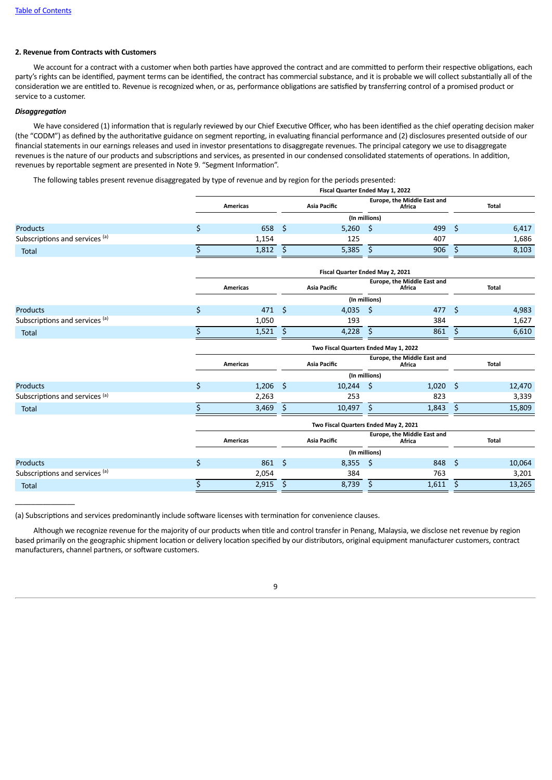### **2. Revenue from Contracts with Customers**

We account for a contract with a customer when both parties have approved the contract and are committed to perform their respective obligations, each party's rights can be identified, payment terms can be identified, the contract has commercial substance, and it is probable we will collect substantially all of the consideration we are entitled to. Revenue is recognized when, or as, performance obligations are satisfied by transferring control of a promised product or service to a customer.

### *Disaggregation*

 $\overline{\phantom{a}}$  , where  $\overline{\phantom{a}}$ 

We have considered (1) information that is regularly reviewed by our Chief Executive Officer, who has been identified as the chief operating decision maker (the "CODM") as defined by the authoritative guidance on segment reporting, in evaluating financial performance and (2) disclosures presented outside of our financial statements in our earnings releases and used in investor presentations to disaggregate revenues. The principal category we use to disaggregate revenues is the nature of our products and subscriptions and services, as presented in our condensed consolidated statements of operations. In addition, revenues by reportable segment are presented in Note 9. "Segment Information".

The following tables present revenue disaggregated by type of revenue and by region for the periods presented:

|                                | -- | .<br>Fiscal Quarter Ended May 1, 2022 |  |              |               |                                       |  |              |  |  |  |
|--------------------------------|----|---------------------------------------|--|--------------|---------------|---------------------------------------|--|--------------|--|--|--|
|                                |    | Americas                              |  | Asia Pacific |               | Europe, the Middle East and<br>Africa |  | <b>Total</b> |  |  |  |
|                                |    |                                       |  |              | (In millions) |                                       |  |              |  |  |  |
| <b>Products</b>                |    | 658                                   |  | 5,260        |               | 499                                   |  | 6,417        |  |  |  |
| Subscriptions and services (a) |    | 1,154                                 |  | 125          |               | 407                                   |  | 1,686        |  |  |  |
| Total                          |    | 1,812                                 |  | 5,385        |               | 906                                   |  | 8,103        |  |  |  |

|                                |                                       |                 |                                                              | Fiscal Quarter Ended May 2, 2021      |                                       |       |         |              |  |  |  |
|--------------------------------|---------------------------------------|-----------------|--------------------------------------------------------------|---------------------------------------|---------------------------------------|-------|---------|--------------|--|--|--|
|                                | <b>Americas</b>                       |                 | <b>Asia Pacific</b>                                          |                                       | Europe, the Middle East and<br>Africa |       |         | <b>Total</b> |  |  |  |
|                                |                                       |                 |                                                              |                                       | (In millions)                         |       |         |              |  |  |  |
| <b>Products</b>                | \$                                    | 471             | - \$                                                         | 4,035                                 | -\$                                   | 477   | $\zeta$ | 4,983        |  |  |  |
| Subscriptions and services (a) |                                       | 1,050           |                                                              | 193                                   |                                       | 384   |         | 1,627        |  |  |  |
| Total                          | \$                                    | 1,521           | \$                                                           | 4,228                                 | \$                                    | 861   | \$      | 6,610        |  |  |  |
|                                | Two Fiscal Quarters Ended May 1, 2022 |                 |                                                              |                                       |                                       |       |         |              |  |  |  |
|                                |                                       | <b>Americas</b> | Europe, the Middle East and<br><b>Asia Pacific</b><br>Africa |                                       |                                       |       |         | <b>Total</b> |  |  |  |
|                                | (In millions)                         |                 |                                                              |                                       |                                       |       |         |              |  |  |  |
| <b>Products</b>                | \$                                    | $1,206$ \$      |                                                              | $10,244$ \$                           |                                       | 1,020 | Ŝ.      | 12,470       |  |  |  |
| Subscriptions and services (a) |                                       | 2,263           |                                                              | 253                                   |                                       | 823   |         | 3,339        |  |  |  |
| <b>Total</b>                   |                                       | 3,469           |                                                              | 10,497                                | Ś                                     | 1,843 | \$      | 15,809       |  |  |  |
|                                |                                       |                 |                                                              | Two Fiscal Quarters Ended May 2, 2021 |                                       |       |         |              |  |  |  |
|                                |                                       | Americas        | Europe, the Middle East and<br><b>Asia Pacific</b><br>Africa |                                       |                                       |       |         | Total        |  |  |  |
|                                |                                       |                 |                                                              |                                       | (In millions)                         |       |         |              |  |  |  |
| Products                       | $\zeta$                               | 861 \$          |                                                              | $8,355$ \$                            |                                       | 848   | \$      | 10,064       |  |  |  |
| Subscriptions and services (a) |                                       | 2,054           |                                                              | 384                                   |                                       | 763   |         | 3,201        |  |  |  |
| <b>Total</b>                   | \$                                    | 2,915           | \$                                                           | 8,739                                 | \$                                    | 1,611 | \$      | 13,265       |  |  |  |

(a) Subscriptions and services predominantly include software licenses with termination for convenience clauses.

Although we recognize revenue for the majority of our products when title and control transfer in Penang, Malaysia, we disclose net revenue by region based primarily on the geographic shipment location or delivery location specified by our distributors, original equipment manufacturer customers, contract manufacturers, channel partners, or software customers.

9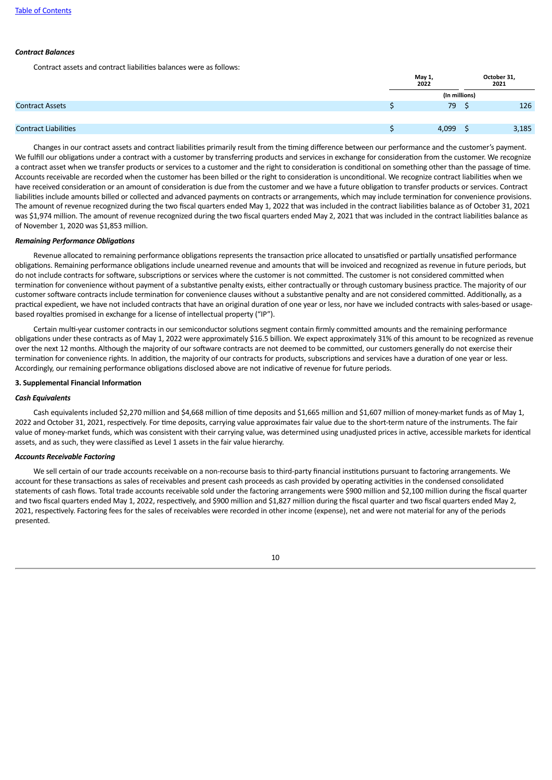### *Contract Balances*

Contract assets and contract liabilities balances were as follows:

|                             | May 1,<br>2022 | October 31,<br>2021 |
|-----------------------------|----------------|---------------------|
|                             | (In millions)  |                     |
| <b>Contract Assets</b>      | 79             | 126                 |
|                             |                |                     |
| <b>Contract Liabilities</b> | 4,099          | 3,185               |

Changes in our contract assets and contract liabilities primarily result from the timing difference between our performance and the customer's payment. We fulfill our obligations under a contract with a customer by transferring products and services in exchange for consideration from the customer. We recognize a contract asset when we transfer products or services to a customer and the right to consideration is conditional on something other than the passage of time. Accounts receivable are recorded when the customer has been billed or the right to consideration is unconditional. We recognize contract liabilities when we have received consideration or an amount of consideration is due from the customer and we have a future obligation to transfer products or services. Contract liabilities include amounts billed or collected and advanced payments on contracts or arrangements, which may include termination for convenience provisions. The amount of revenue recognized during the two fiscal quarters ended May 1, 2022 that was included in the contract liabilities balance as of October 31, 2021 was \$1,974 million. The amount of revenue recognized during the two fiscal quarters ended May 2, 2021 that was included in the contract liabilities balance as of November 1, 2020 was \$1,853 million.

#### *Remaining Performance Obligations*

Revenue allocated to remaining performance obligations represents the transaction price allocated to unsatisfied or partially unsatisfied performance obligations. Remaining performance obligations include unearned revenue and amounts that will be invoiced and recognized as revenue in future periods, but do not include contracts for software, subscriptions or services where the customer is not committed. The customer is not considered committed when termination for convenience without payment of a substantive penalty exists, either contractually or through customary business practice. The majority of our customer software contracts include termination for convenience clauses without a substantive penalty and are not considered committed. Additionally, as a practical expedient, we have not included contracts that have an original duration of one year or less, nor have we included contracts with sales-based or usagebased royalties promised in exchange for a license of intellectual property ("IP").

Certain multi-year customer contracts in our semiconductor solutions segment contain firmly committed amounts and the remaining performance obligations under these contracts as of May 1, 2022 were approximately \$16.5 billion. We expect approximately 31% of this amount to be recognized as revenue over the next 12 months. Although the majority of our software contracts are not deemed to be committed, our customers generally do not exercise their termination for convenience rights. In addition, the majority of our contracts for products, subscriptions and services have a duration of one year or less. Accordingly, our remaining performance obligations disclosed above are not indicative of revenue for future periods.

### **3. Supplemental Financial Information**

#### *Cash Equivalents*

Cash equivalents included \$2,270 million and \$4,668 million of time deposits and \$1,665 million and \$1,607 million of money-market funds as of May 1, 2022 and October 31, 2021, respectively. For time deposits, carrying value approximates fair value due to the short-term nature of the instruments. The fair value of money-market funds, which was consistent with their carrying value, was determined using unadjusted prices in active, accessible markets for identical assets, and as such, they were classified as Level 1 assets in the fair value hierarchy.

#### *Accounts Receivable Factoring*

We sell certain of our trade accounts receivable on a non-recourse basis to third-party financial institutions pursuant to factoring arrangements. We account for these transactions as sales of receivables and present cash proceeds as cash provided by operating activities in the condensed consolidated statements of cash flows. Total trade accounts receivable sold under the factoring arrangements were \$900 million and \$2,100 million during the fiscal quarter and two fiscal quarters ended May 1, 2022, respectively, and \$900 million and \$1,827 million during the fiscal quarter and two fiscal quarters ended May 2, 2021, respectively. Factoring fees for the sales of receivables were recorded in other income (expense), net and were not material for any of the periods presented.

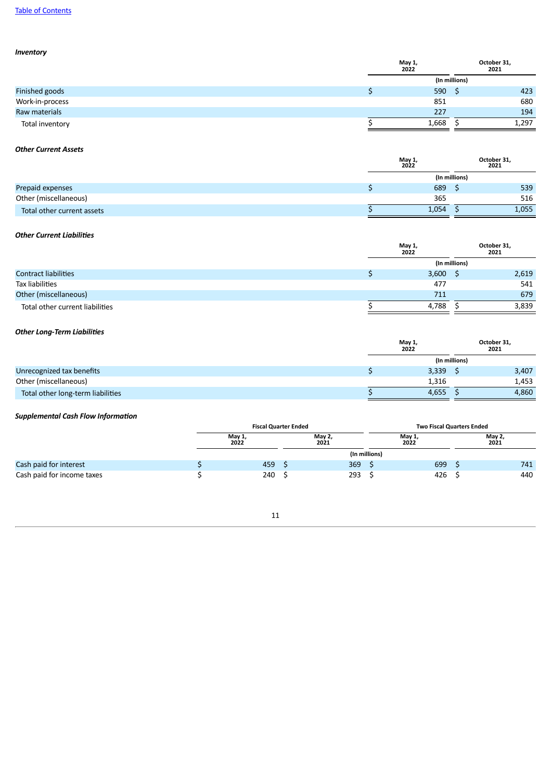## [Table](#page-0-0) of [Contents](#page-0-0)

| <b>Inventory</b> |                |               |                     |
|------------------|----------------|---------------|---------------------|
|                  | May 1,<br>2022 |               | October 31,<br>2021 |
|                  |                | (In millions) |                     |
| Finished goods   | 590            |               | 423                 |
| Work-in-process  | 851            |               | 680                 |
| Raw materials    | 227            |               | 194                 |
| Total inventory  | 1,668          |               | 1,297               |

## *Other Current Assets*

| $\sim$                     |                |               |                     |
|----------------------------|----------------|---------------|---------------------|
|                            | May 1,<br>2022 |               | October 31,<br>2021 |
|                            |                | (In millions) |                     |
| Prepaid expenses           | 689            |               | 539                 |
| Other (miscellaneous)      | 365            |               | 516                 |
| Total other current assets | 1,054          |               | 1,055               |

## *Other Current Liabilities*

|                                 | May 1,<br>2022 |               | October 31,<br>2021 |
|---------------------------------|----------------|---------------|---------------------|
|                                 |                | (In millions) |                     |
| <b>Contract liabilities</b>     | 3,600          |               | 2,619               |
| Tax liabilities                 | 477            |               | 541                 |
| Other (miscellaneous)           | 711            |               | 679                 |
| Total other current liabilities | 4,788          |               | 3,839               |

## *Other Long-Term Liabilities*

|                                   | May 1,<br>2022 |               | October 31,<br>2021 |
|-----------------------------------|----------------|---------------|---------------------|
|                                   |                | (In millions) |                     |
| Unrecognized tax benefits         | 3,339          |               | 3,407               |
| Other (miscellaneous)             | 1,316          |               | 1,453               |
| Total other long-term liabilities | 4,655          |               | 4,860               |

## *Supplemental Cash Flow Information*

|                            | <b>Fiscal Quarter Ended</b> |  |                | <b>Two Fiscal Quarters Ended</b> |                |  |                |  |
|----------------------------|-----------------------------|--|----------------|----------------------------------|----------------|--|----------------|--|
|                            | May 1,<br>2022              |  | May 2,<br>2021 |                                  | May 1,<br>2022 |  | May 2,<br>2021 |  |
|                            |                             |  |                | (In millions)                    |                |  |                |  |
| Cash paid for interest     | 459                         |  | 369            |                                  | 699            |  | 741            |  |
| Cash paid for income taxes | 240                         |  | 293            |                                  | 426            |  | 440            |  |

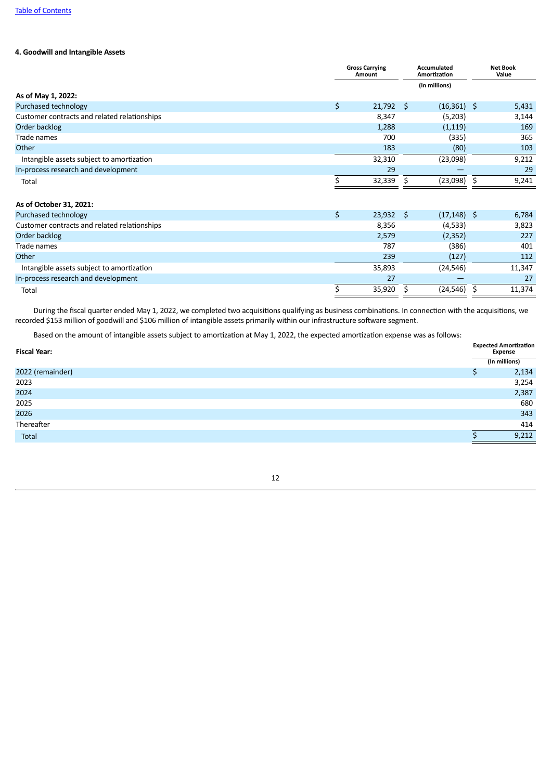## **4. Goodwill and Intangible Assets**

| <b>Gross Carrying</b><br>Amount |  | Accumulated<br><b>Amortization</b> |  | <b>Net Book</b><br>Value            |  |
|---------------------------------|--|------------------------------------|--|-------------------------------------|--|
|                                 |  | (In millions)                      |  |                                     |  |
|                                 |  |                                    |  |                                     |  |
| \$                              |  |                                    |  | 5,431                               |  |
| 8,347                           |  | (5,203)                            |  | 3,144                               |  |
| 1,288                           |  | (1, 119)                           |  | 169                                 |  |
| 700                             |  | (335)                              |  | 365                                 |  |
| 183                             |  | (80)                               |  | 103                                 |  |
| 32,310                          |  | (23,098)                           |  | 9,212                               |  |
| 29                              |  |                                    |  | 29                                  |  |
| 32,339                          |  | (23,098)                           |  | 9,241                               |  |
|                                 |  |                                    |  |                                     |  |
|                                 |  |                                    |  |                                     |  |
| $\mathbf{r}$                    |  | $21,792$ \$                        |  | $(16, 361)$ \$<br>$\cdots$ $\cdots$ |  |

| Purchased technology                         | 23,932 | (17, 148) | 6,784  |
|----------------------------------------------|--------|-----------|--------|
| Customer contracts and related relationships | 8,356  | (4,533)   | 3,823  |
| Order backlog                                | 2,579  | (2, 352)  | 227    |
| Trade names                                  | 787    | (386)     | 401    |
| Other                                        | 239    | (127)     | 112    |
| Intangible assets subject to amortization    | 35,893 | (24, 546) | 11,347 |
| In-process research and development          | 27     |           | 27     |
| Total                                        | 35.920 | (24, 546) | 11,374 |
|                                              |        |           |        |

During the fiscal quarter ended May 1, 2022, we completed two acquisitions qualifying as business combinations. In connection with the acquisitions, we recorded \$153 million of goodwill and \$106 million of intangible assets primarily within our infrastructure software segment.

Based on the amount of intangible assets subject to amortization at May 1, 2022, the expected amortization expense was as follows:

| <b>Fiscal Year:</b> | <b>Expected Amortization</b><br><b>Expense</b> |               |
|---------------------|------------------------------------------------|---------------|
|                     |                                                | (In millions) |
| 2022 (remainder)    |                                                | 2,134         |
| 2023                |                                                | 3,254         |
| 2024                |                                                | 2,387         |
| 2025                |                                                | 680           |
| 2026                |                                                | 343           |
| Thereafter          |                                                | 414           |
| Total               |                                                | 9,212         |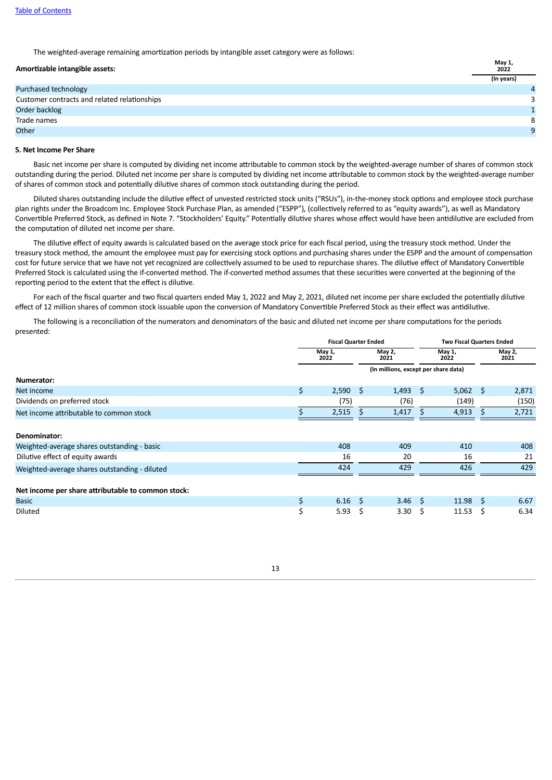The weighted-average remaining amortization periods by intangible asset category were as follows:

| Amortizable intangible assets:               | May 1,<br>2022 |
|----------------------------------------------|----------------|
|                                              | (In years)     |
| Purchased technology                         | $\overline{a}$ |
| Customer contracts and related relationships |                |
| Order backlog                                |                |
| Trade names                                  | 8              |
| Other                                        | $\alpha$       |

#### **5. Net Income Per Share**

Basic net income per share is computed by dividing net income attributable to common stock by the weighted-average number of shares of common stock outstanding during the period. Diluted net income per share is computed by dividing net income attributable to common stock by the weighted-average number of shares of common stock and potentially dilutive shares of common stock outstanding during the period.

Diluted shares outstanding include the dilutive effect of unvested restricted stock units ("RSUs"), in-the-money stock options and employee stock purchase plan rights under the Broadcom Inc. Employee Stock Purchase Plan, as amended ("ESPP"), (collectively referred to as "equity awards"), as well as Mandatory Convertible Preferred Stock, as defined in Note 7. "Stockholders' Equity." Potentially dilutive shares whose effect would have been antidilutive are excluded from the computation of diluted net income per share.

The dilutive effect of equity awards is calculated based on the average stock price for each fiscal period, using the treasury stock method. Under the treasury stock method, the amount the employee must pay for exercising stock options and purchasing shares under the ESPP and the amount of compensation cost for future service that we have not yet recognized are collectively assumed to be used to repurchase shares. The dilutive effect of Mandatory Convertible Preferred Stock is calculated using the if-converted method. The if-converted method assumes that these securities were converted at the beginning of the reporting period to the extent that the effect is dilutive.

For each of the fiscal quarter and two fiscal quarters ended May 1, 2022 and May 2, 2021, diluted net income per share excluded the potentially dilutive effect of 12 million shares of common stock issuable upon the conversion of Mandatory Convertible Preferred Stock as their effect was antidilutive.

The following is a reconciliation of the numerators and denominators of the basic and diluted net income per share computations for the periods presented:

|                                                    | <b>Fiscal Quarter Ended</b> |                                      |         | <b>Two Fiscal Quarters Ended</b> |                  |    |                |
|----------------------------------------------------|-----------------------------|--------------------------------------|---------|----------------------------------|------------------|----|----------------|
|                                                    | May 1,<br>2022              | May 2,<br>2021                       |         |                                  | May 1,<br>2022   |    | May 2,<br>2021 |
|                                                    |                             | (In millions, except per share data) |         |                                  |                  |    |                |
| Numerator:                                         |                             |                                      |         |                                  |                  |    |                |
| Net income                                         | \$<br>2,590                 | - \$                                 | 1,493   | S.                               | 5,062            | S. | 2,871          |
| Dividends on preferred stock                       | (75)                        |                                      | (76)    |                                  | (149)            |    | (150)          |
| Net income attributable to common stock            | 2,515                       | S.                                   | 1,417   | S.                               | 4,913            |    | 2,721          |
| Denominator:                                       |                             |                                      |         |                                  |                  |    |                |
| Weighted-average shares outstanding - basic        | 408                         |                                      | 409     |                                  | 410              |    | 408            |
| Dilutive effect of equity awards                   | 16                          |                                      | 20      |                                  | 16               |    | 21             |
| Weighted-average shares outstanding - diluted      | 424                         |                                      | 429     |                                  | 426              |    | 429            |
| Net income per share attributable to common stock: |                             |                                      |         |                                  |                  |    |                |
| <b>Basic</b>                                       | \$<br>6.16                  | - S                                  | 3.46 \$ |                                  | $11.98 \quad$ \$ |    | 6.67           |
| <b>Diluted</b>                                     | \$<br>5.93                  | S                                    | 3.30    | S                                | 11.53            | S  | 6.34           |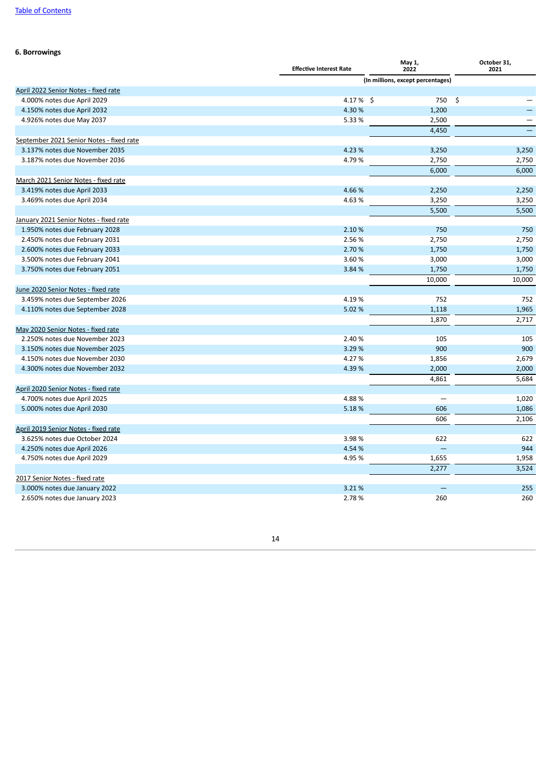| October 31,<br>May 1,<br><b>Effective Interest Rate</b><br>2022<br>2021<br>(In millions, except percentages)<br>April 2022 Senior Notes - fixed rate<br>\$<br>4.17 % \$<br>750<br>4.000% notes due April 2029<br>4.30%<br>1,200<br>4.150% notes due April 2032<br>4.926% notes due May 2037<br>5.33 %<br>2,500<br>4,450<br>September 2021 Senior Notes - fixed rate<br>4.23 %<br>3.137% notes due November 2035<br>3,250<br>3,250<br>4.79%<br>3.187% notes due November 2036<br>2,750<br>2,750<br>6,000<br>6,000<br>March 2021 Senior Notes - fixed rate<br>3.419% notes due April 2033<br>4.66%<br>2,250<br>2,250<br>3.469% notes due April 2034<br>4.63%<br>3,250<br>3,250<br>5,500<br>5,500<br>January 2021 Senior Notes - fixed rate<br>2.10%<br>750<br>750<br>1.950% notes due February 2028<br>2,750<br>2.56%<br>2,750<br>2.450% notes due February 2031<br>2.70%<br>1,750<br>2.600% notes due February 2033<br>1,750<br>3.500% notes due February 2041<br>3.60%<br>3,000<br>3,000<br>3.84 %<br>1,750<br>1,750<br>3.750% notes due February 2051<br>10,000<br>10,000<br>June 2020 Senior Notes - fixed rate<br>3.459% notes due September 2026<br>4.19%<br>752<br>752<br>4.110% notes due September 2028<br>5.02%<br>1,118<br>1,965<br>2,717<br>1,870<br>May 2020 Senior Notes - fixed rate<br>2.40%<br>105<br>105<br>2.250% notes due November 2023<br>900<br>900<br>3.29 %<br>3.150% notes due November 2025<br>4.27%<br>1,856<br>2,679<br>4.150% notes due November 2030<br>4.39%<br>2,000<br>2,000<br>4.300% notes due November 2032<br>4,861<br>5,684<br>April 2020 Senior Notes - fixed rate<br>4.88%<br>4.700% notes due April 2025<br>1,020<br>5.18%<br>5.000% notes due April 2030<br>606<br>1,086<br>606<br>2,106<br>April 2019 Senior Notes - fixed rate<br>3.98%<br>622<br>3.625% notes due October 2024<br>622<br>4.54%<br>÷,<br>944<br>4.250% notes due April 2026<br>4.750% notes due April 2029<br>4.95 %<br>1,655<br>1,958<br>3,524<br>2,277<br>2017 Senior Notes - fixed rate<br>255<br>3.000% notes due January 2022<br>3.21%<br>260<br>2.78%<br>260<br>2.650% notes due January 2023 | 6. Borrowings |  |  |  |  |  |
|----------------------------------------------------------------------------------------------------------------------------------------------------------------------------------------------------------------------------------------------------------------------------------------------------------------------------------------------------------------------------------------------------------------------------------------------------------------------------------------------------------------------------------------------------------------------------------------------------------------------------------------------------------------------------------------------------------------------------------------------------------------------------------------------------------------------------------------------------------------------------------------------------------------------------------------------------------------------------------------------------------------------------------------------------------------------------------------------------------------------------------------------------------------------------------------------------------------------------------------------------------------------------------------------------------------------------------------------------------------------------------------------------------------------------------------------------------------------------------------------------------------------------------------------------------------------------------------------------------------------------------------------------------------------------------------------------------------------------------------------------------------------------------------------------------------------------------------------------------------------------------------------------------------------------------------------------------------------------------------------------------------------------------------------------------------------------------------------------------------|---------------|--|--|--|--|--|
|                                                                                                                                                                                                                                                                                                                                                                                                                                                                                                                                                                                                                                                                                                                                                                                                                                                                                                                                                                                                                                                                                                                                                                                                                                                                                                                                                                                                                                                                                                                                                                                                                                                                                                                                                                                                                                                                                                                                                                                                                                                                                                                |               |  |  |  |  |  |
|                                                                                                                                                                                                                                                                                                                                                                                                                                                                                                                                                                                                                                                                                                                                                                                                                                                                                                                                                                                                                                                                                                                                                                                                                                                                                                                                                                                                                                                                                                                                                                                                                                                                                                                                                                                                                                                                                                                                                                                                                                                                                                                |               |  |  |  |  |  |
|                                                                                                                                                                                                                                                                                                                                                                                                                                                                                                                                                                                                                                                                                                                                                                                                                                                                                                                                                                                                                                                                                                                                                                                                                                                                                                                                                                                                                                                                                                                                                                                                                                                                                                                                                                                                                                                                                                                                                                                                                                                                                                                |               |  |  |  |  |  |
|                                                                                                                                                                                                                                                                                                                                                                                                                                                                                                                                                                                                                                                                                                                                                                                                                                                                                                                                                                                                                                                                                                                                                                                                                                                                                                                                                                                                                                                                                                                                                                                                                                                                                                                                                                                                                                                                                                                                                                                                                                                                                                                |               |  |  |  |  |  |
|                                                                                                                                                                                                                                                                                                                                                                                                                                                                                                                                                                                                                                                                                                                                                                                                                                                                                                                                                                                                                                                                                                                                                                                                                                                                                                                                                                                                                                                                                                                                                                                                                                                                                                                                                                                                                                                                                                                                                                                                                                                                                                                |               |  |  |  |  |  |
|                                                                                                                                                                                                                                                                                                                                                                                                                                                                                                                                                                                                                                                                                                                                                                                                                                                                                                                                                                                                                                                                                                                                                                                                                                                                                                                                                                                                                                                                                                                                                                                                                                                                                                                                                                                                                                                                                                                                                                                                                                                                                                                |               |  |  |  |  |  |
|                                                                                                                                                                                                                                                                                                                                                                                                                                                                                                                                                                                                                                                                                                                                                                                                                                                                                                                                                                                                                                                                                                                                                                                                                                                                                                                                                                                                                                                                                                                                                                                                                                                                                                                                                                                                                                                                                                                                                                                                                                                                                                                |               |  |  |  |  |  |
|                                                                                                                                                                                                                                                                                                                                                                                                                                                                                                                                                                                                                                                                                                                                                                                                                                                                                                                                                                                                                                                                                                                                                                                                                                                                                                                                                                                                                                                                                                                                                                                                                                                                                                                                                                                                                                                                                                                                                                                                                                                                                                                |               |  |  |  |  |  |
|                                                                                                                                                                                                                                                                                                                                                                                                                                                                                                                                                                                                                                                                                                                                                                                                                                                                                                                                                                                                                                                                                                                                                                                                                                                                                                                                                                                                                                                                                                                                                                                                                                                                                                                                                                                                                                                                                                                                                                                                                                                                                                                |               |  |  |  |  |  |
|                                                                                                                                                                                                                                                                                                                                                                                                                                                                                                                                                                                                                                                                                                                                                                                                                                                                                                                                                                                                                                                                                                                                                                                                                                                                                                                                                                                                                                                                                                                                                                                                                                                                                                                                                                                                                                                                                                                                                                                                                                                                                                                |               |  |  |  |  |  |
|                                                                                                                                                                                                                                                                                                                                                                                                                                                                                                                                                                                                                                                                                                                                                                                                                                                                                                                                                                                                                                                                                                                                                                                                                                                                                                                                                                                                                                                                                                                                                                                                                                                                                                                                                                                                                                                                                                                                                                                                                                                                                                                |               |  |  |  |  |  |
|                                                                                                                                                                                                                                                                                                                                                                                                                                                                                                                                                                                                                                                                                                                                                                                                                                                                                                                                                                                                                                                                                                                                                                                                                                                                                                                                                                                                                                                                                                                                                                                                                                                                                                                                                                                                                                                                                                                                                                                                                                                                                                                |               |  |  |  |  |  |
|                                                                                                                                                                                                                                                                                                                                                                                                                                                                                                                                                                                                                                                                                                                                                                                                                                                                                                                                                                                                                                                                                                                                                                                                                                                                                                                                                                                                                                                                                                                                                                                                                                                                                                                                                                                                                                                                                                                                                                                                                                                                                                                |               |  |  |  |  |  |
|                                                                                                                                                                                                                                                                                                                                                                                                                                                                                                                                                                                                                                                                                                                                                                                                                                                                                                                                                                                                                                                                                                                                                                                                                                                                                                                                                                                                                                                                                                                                                                                                                                                                                                                                                                                                                                                                                                                                                                                                                                                                                                                |               |  |  |  |  |  |
|                                                                                                                                                                                                                                                                                                                                                                                                                                                                                                                                                                                                                                                                                                                                                                                                                                                                                                                                                                                                                                                                                                                                                                                                                                                                                                                                                                                                                                                                                                                                                                                                                                                                                                                                                                                                                                                                                                                                                                                                                                                                                                                |               |  |  |  |  |  |
|                                                                                                                                                                                                                                                                                                                                                                                                                                                                                                                                                                                                                                                                                                                                                                                                                                                                                                                                                                                                                                                                                                                                                                                                                                                                                                                                                                                                                                                                                                                                                                                                                                                                                                                                                                                                                                                                                                                                                                                                                                                                                                                |               |  |  |  |  |  |
|                                                                                                                                                                                                                                                                                                                                                                                                                                                                                                                                                                                                                                                                                                                                                                                                                                                                                                                                                                                                                                                                                                                                                                                                                                                                                                                                                                                                                                                                                                                                                                                                                                                                                                                                                                                                                                                                                                                                                                                                                                                                                                                |               |  |  |  |  |  |
|                                                                                                                                                                                                                                                                                                                                                                                                                                                                                                                                                                                                                                                                                                                                                                                                                                                                                                                                                                                                                                                                                                                                                                                                                                                                                                                                                                                                                                                                                                                                                                                                                                                                                                                                                                                                                                                                                                                                                                                                                                                                                                                |               |  |  |  |  |  |
|                                                                                                                                                                                                                                                                                                                                                                                                                                                                                                                                                                                                                                                                                                                                                                                                                                                                                                                                                                                                                                                                                                                                                                                                                                                                                                                                                                                                                                                                                                                                                                                                                                                                                                                                                                                                                                                                                                                                                                                                                                                                                                                |               |  |  |  |  |  |
|                                                                                                                                                                                                                                                                                                                                                                                                                                                                                                                                                                                                                                                                                                                                                                                                                                                                                                                                                                                                                                                                                                                                                                                                                                                                                                                                                                                                                                                                                                                                                                                                                                                                                                                                                                                                                                                                                                                                                                                                                                                                                                                |               |  |  |  |  |  |
|                                                                                                                                                                                                                                                                                                                                                                                                                                                                                                                                                                                                                                                                                                                                                                                                                                                                                                                                                                                                                                                                                                                                                                                                                                                                                                                                                                                                                                                                                                                                                                                                                                                                                                                                                                                                                                                                                                                                                                                                                                                                                                                |               |  |  |  |  |  |
|                                                                                                                                                                                                                                                                                                                                                                                                                                                                                                                                                                                                                                                                                                                                                                                                                                                                                                                                                                                                                                                                                                                                                                                                                                                                                                                                                                                                                                                                                                                                                                                                                                                                                                                                                                                                                                                                                                                                                                                                                                                                                                                |               |  |  |  |  |  |
|                                                                                                                                                                                                                                                                                                                                                                                                                                                                                                                                                                                                                                                                                                                                                                                                                                                                                                                                                                                                                                                                                                                                                                                                                                                                                                                                                                                                                                                                                                                                                                                                                                                                                                                                                                                                                                                                                                                                                                                                                                                                                                                |               |  |  |  |  |  |
|                                                                                                                                                                                                                                                                                                                                                                                                                                                                                                                                                                                                                                                                                                                                                                                                                                                                                                                                                                                                                                                                                                                                                                                                                                                                                                                                                                                                                                                                                                                                                                                                                                                                                                                                                                                                                                                                                                                                                                                                                                                                                                                |               |  |  |  |  |  |
|                                                                                                                                                                                                                                                                                                                                                                                                                                                                                                                                                                                                                                                                                                                                                                                                                                                                                                                                                                                                                                                                                                                                                                                                                                                                                                                                                                                                                                                                                                                                                                                                                                                                                                                                                                                                                                                                                                                                                                                                                                                                                                                |               |  |  |  |  |  |
|                                                                                                                                                                                                                                                                                                                                                                                                                                                                                                                                                                                                                                                                                                                                                                                                                                                                                                                                                                                                                                                                                                                                                                                                                                                                                                                                                                                                                                                                                                                                                                                                                                                                                                                                                                                                                                                                                                                                                                                                                                                                                                                |               |  |  |  |  |  |
|                                                                                                                                                                                                                                                                                                                                                                                                                                                                                                                                                                                                                                                                                                                                                                                                                                                                                                                                                                                                                                                                                                                                                                                                                                                                                                                                                                                                                                                                                                                                                                                                                                                                                                                                                                                                                                                                                                                                                                                                                                                                                                                |               |  |  |  |  |  |
|                                                                                                                                                                                                                                                                                                                                                                                                                                                                                                                                                                                                                                                                                                                                                                                                                                                                                                                                                                                                                                                                                                                                                                                                                                                                                                                                                                                                                                                                                                                                                                                                                                                                                                                                                                                                                                                                                                                                                                                                                                                                                                                |               |  |  |  |  |  |
|                                                                                                                                                                                                                                                                                                                                                                                                                                                                                                                                                                                                                                                                                                                                                                                                                                                                                                                                                                                                                                                                                                                                                                                                                                                                                                                                                                                                                                                                                                                                                                                                                                                                                                                                                                                                                                                                                                                                                                                                                                                                                                                |               |  |  |  |  |  |
|                                                                                                                                                                                                                                                                                                                                                                                                                                                                                                                                                                                                                                                                                                                                                                                                                                                                                                                                                                                                                                                                                                                                                                                                                                                                                                                                                                                                                                                                                                                                                                                                                                                                                                                                                                                                                                                                                                                                                                                                                                                                                                                |               |  |  |  |  |  |
|                                                                                                                                                                                                                                                                                                                                                                                                                                                                                                                                                                                                                                                                                                                                                                                                                                                                                                                                                                                                                                                                                                                                                                                                                                                                                                                                                                                                                                                                                                                                                                                                                                                                                                                                                                                                                                                                                                                                                                                                                                                                                                                |               |  |  |  |  |  |
|                                                                                                                                                                                                                                                                                                                                                                                                                                                                                                                                                                                                                                                                                                                                                                                                                                                                                                                                                                                                                                                                                                                                                                                                                                                                                                                                                                                                                                                                                                                                                                                                                                                                                                                                                                                                                                                                                                                                                                                                                                                                                                                |               |  |  |  |  |  |
|                                                                                                                                                                                                                                                                                                                                                                                                                                                                                                                                                                                                                                                                                                                                                                                                                                                                                                                                                                                                                                                                                                                                                                                                                                                                                                                                                                                                                                                                                                                                                                                                                                                                                                                                                                                                                                                                                                                                                                                                                                                                                                                |               |  |  |  |  |  |
|                                                                                                                                                                                                                                                                                                                                                                                                                                                                                                                                                                                                                                                                                                                                                                                                                                                                                                                                                                                                                                                                                                                                                                                                                                                                                                                                                                                                                                                                                                                                                                                                                                                                                                                                                                                                                                                                                                                                                                                                                                                                                                                |               |  |  |  |  |  |
|                                                                                                                                                                                                                                                                                                                                                                                                                                                                                                                                                                                                                                                                                                                                                                                                                                                                                                                                                                                                                                                                                                                                                                                                                                                                                                                                                                                                                                                                                                                                                                                                                                                                                                                                                                                                                                                                                                                                                                                                                                                                                                                |               |  |  |  |  |  |
|                                                                                                                                                                                                                                                                                                                                                                                                                                                                                                                                                                                                                                                                                                                                                                                                                                                                                                                                                                                                                                                                                                                                                                                                                                                                                                                                                                                                                                                                                                                                                                                                                                                                                                                                                                                                                                                                                                                                                                                                                                                                                                                |               |  |  |  |  |  |
|                                                                                                                                                                                                                                                                                                                                                                                                                                                                                                                                                                                                                                                                                                                                                                                                                                                                                                                                                                                                                                                                                                                                                                                                                                                                                                                                                                                                                                                                                                                                                                                                                                                                                                                                                                                                                                                                                                                                                                                                                                                                                                                |               |  |  |  |  |  |
|                                                                                                                                                                                                                                                                                                                                                                                                                                                                                                                                                                                                                                                                                                                                                                                                                                                                                                                                                                                                                                                                                                                                                                                                                                                                                                                                                                                                                                                                                                                                                                                                                                                                                                                                                                                                                                                                                                                                                                                                                                                                                                                |               |  |  |  |  |  |
|                                                                                                                                                                                                                                                                                                                                                                                                                                                                                                                                                                                                                                                                                                                                                                                                                                                                                                                                                                                                                                                                                                                                                                                                                                                                                                                                                                                                                                                                                                                                                                                                                                                                                                                                                                                                                                                                                                                                                                                                                                                                                                                |               |  |  |  |  |  |
|                                                                                                                                                                                                                                                                                                                                                                                                                                                                                                                                                                                                                                                                                                                                                                                                                                                                                                                                                                                                                                                                                                                                                                                                                                                                                                                                                                                                                                                                                                                                                                                                                                                                                                                                                                                                                                                                                                                                                                                                                                                                                                                |               |  |  |  |  |  |
|                                                                                                                                                                                                                                                                                                                                                                                                                                                                                                                                                                                                                                                                                                                                                                                                                                                                                                                                                                                                                                                                                                                                                                                                                                                                                                                                                                                                                                                                                                                                                                                                                                                                                                                                                                                                                                                                                                                                                                                                                                                                                                                |               |  |  |  |  |  |
|                                                                                                                                                                                                                                                                                                                                                                                                                                                                                                                                                                                                                                                                                                                                                                                                                                                                                                                                                                                                                                                                                                                                                                                                                                                                                                                                                                                                                                                                                                                                                                                                                                                                                                                                                                                                                                                                                                                                                                                                                                                                                                                |               |  |  |  |  |  |
|                                                                                                                                                                                                                                                                                                                                                                                                                                                                                                                                                                                                                                                                                                                                                                                                                                                                                                                                                                                                                                                                                                                                                                                                                                                                                                                                                                                                                                                                                                                                                                                                                                                                                                                                                                                                                                                                                                                                                                                                                                                                                                                |               |  |  |  |  |  |
|                                                                                                                                                                                                                                                                                                                                                                                                                                                                                                                                                                                                                                                                                                                                                                                                                                                                                                                                                                                                                                                                                                                                                                                                                                                                                                                                                                                                                                                                                                                                                                                                                                                                                                                                                                                                                                                                                                                                                                                                                                                                                                                |               |  |  |  |  |  |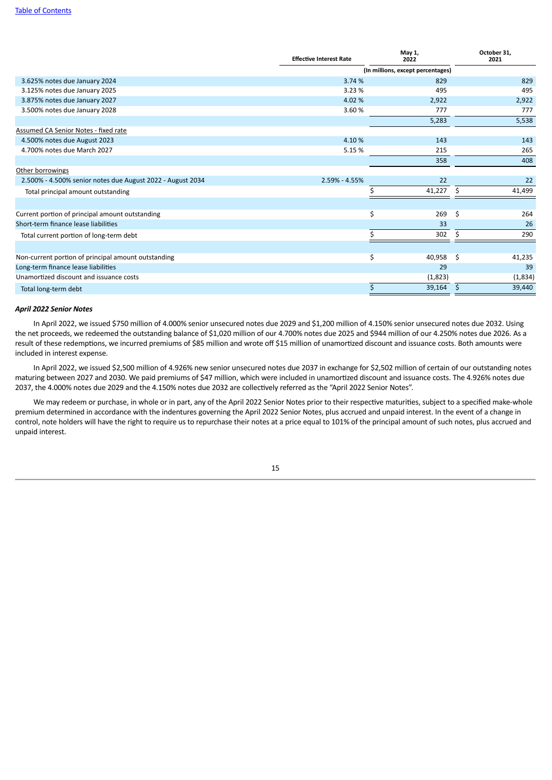| <b>Effective Interest Rate</b> | May 1,<br>2022 | October 31,<br>2021               |
|--------------------------------|----------------|-----------------------------------|
|                                |                |                                   |
| 3.74 %                         | 829            | 829                               |
| 3.23 %                         | 495            | 495                               |
| 4.02%                          | 2,922          | 2,922                             |
| 3.60%                          | 777            | 777                               |
|                                | 5,283          | 5,538                             |
|                                |                |                                   |
| 4.10%                          | 143            | 143                               |
| 5.15%                          | 215            | 265                               |
|                                | 358            | 408                               |
|                                |                |                                   |
| $2.59\% - 4.55\%$              | 22             | 22                                |
|                                | 41,227         | $\zeta$<br>41,499                 |
|                                |                |                                   |
|                                | \$<br>269      | \$<br>264                         |
|                                | 33             | 26                                |
|                                | 302            | Ŝ.<br>290                         |
|                                |                |                                   |
|                                | \$<br>40,958   | Ŝ.<br>41,235                      |
|                                | 29             | 39                                |
|                                | (1,823)        | (1,834)                           |
|                                | 39,164         | 39,440<br>Ś.                      |
|                                |                | (In millions, except percentages) |

### *April 2022 Senior Notes*

In April 2022, we issued \$750 million of 4.000% senior unsecured notes due 2029 and \$1,200 million of 4.150% senior unsecured notes due 2032. Using the net proceeds, we redeemed the outstanding balance of \$1,020 million of our 4.700% notes due 2025 and \$944 million of our 4.250% notes due 2026. As a result of these redemptions, we incurred premiums of \$85 million and wrote off \$15 million of unamortized discount and issuance costs. Both amounts were included in interest expense.

In April 2022, we issued \$2,500 million of 4.926% new senior unsecured notes due 2037 in exchange for \$2,502 million of certain of our outstanding notes maturing between 2027 and 2030. We paid premiums of \$47 million, which were included in unamortized discount and issuance costs. The 4.926% notes due 2037, the 4.000% notes due 2029 and the 4.150% notes due 2032 are collectively referred as the "April 2022 Senior Notes".

We may redeem or purchase, in whole or in part, any of the April 2022 Senior Notes prior to their respective maturities, subject to a specified make-whole premium determined in accordance with the indentures governing the April 2022 Senior Notes, plus accrued and unpaid interest. In the event of a change in control, note holders will have the right to require us to repurchase their notes at a price equal to 101% of the principal amount of such notes, plus accrued and unpaid interest.

15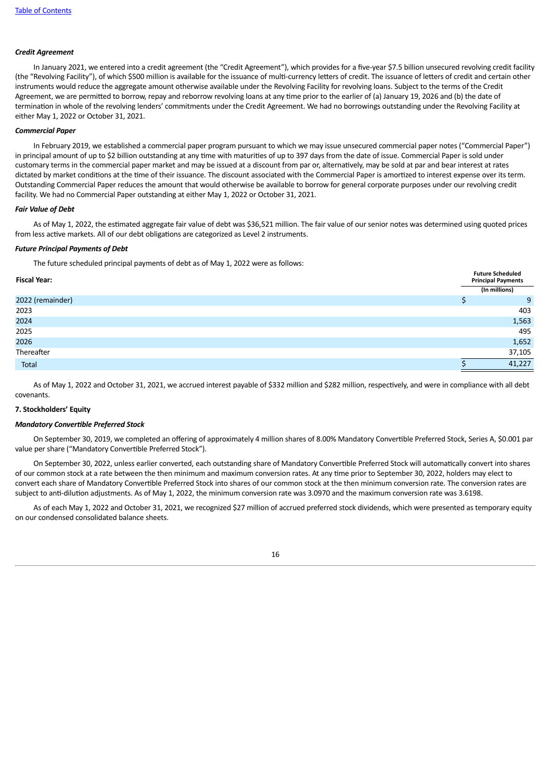### *Credit Agreement*

In January 2021, we entered into a credit agreement (the "Credit Agreement"), which provides for a five-year \$7.5 billion unsecured revolving credit facility (the "Revolving Facility"), of which \$500 million is available for the issuance of multi-currency letters of credit. The issuance of letters of credit and certain other instruments would reduce the aggregate amount otherwise available under the Revolving Facility for revolving loans. Subject to the terms of the Credit Agreement, we are permitted to borrow, repay and reborrow revolving loans at any time prior to the earlier of (a) January 19, 2026 and (b) the date of termination in whole of the revolving lenders' commitments under the Credit Agreement. We had no borrowings outstanding under the Revolving Facility at either May 1, 2022 or October 31, 2021.

#### *Commercial Paper*

In February 2019, we established a commercial paper program pursuant to which we may issue unsecured commercial paper notes ("Commercial Paper") in principal amount of up to \$2 billion outstanding at any time with maturities of up to 397 days from the date of issue. Commercial Paper is sold under customary terms in the commercial paper market and may be issued at a discount from par or, alternatively, may be sold at par and bear interest at rates dictated by market conditions at the time of their issuance. The discount associated with the Commercial Paper is amortized to interest expense over its term. Outstanding Commercial Paper reduces the amount that would otherwise be available to borrow for general corporate purposes under our revolving credit facility. We had no Commercial Paper outstanding at either May 1, 2022 or October 31, 2021.

#### *Fair Value of Debt*

As of May 1, 2022, the estimated aggregate fair value of debt was \$36,521 million. The fair value of our senior notes was determined using quoted prices from less active markets. All of our debt obligations are categorized as Level 2 instruments.

#### *Future Principal Payments of Debt*

The future scheduled principal payments of debt as of May 1, 2022 were as follows:

| <b>Fiscal Year:</b> |  | <b>Principal Payments</b> |
|---------------------|--|---------------------------|
|                     |  | (In millions)             |
| 2022 (remainder)    |  | 9                         |
| 2023                |  | 403                       |
| 2024                |  | 1,563                     |
| 2025                |  | 495                       |
| 2026                |  | 1,652                     |
| Thereafter          |  | 37,105                    |
| Total               |  | 41,227                    |

**Future Scheduled**

As of May 1, 2022 and October 31, 2021, we accrued interest payable of \$332 million and \$282 million, respectively, and were in compliance with all debt covenants.

### **7. Stockholders' Equity**

### *Mandatory Convertible Preferred Stock*

On September 30, 2019, we completed an offering of approximately 4 million shares of 8.00% Mandatory Convertible Preferred Stock, Series A, \$0.001 par value per share ("Mandatory Convertible Preferred Stock").

On September 30, 2022, unless earlier converted, each outstanding share of Mandatory Convertible Preferred Stock will automatically convert into shares of our common stock at a rate between the then minimum and maximum conversion rates. At any time prior to September 30, 2022, holders may elect to convert each share of Mandatory Convertible Preferred Stock into shares of our common stock at the then minimum conversion rate. The conversion rates are subject to anti-dilution adjustments. As of May 1, 2022, the minimum conversion rate was 3.0970 and the maximum conversion rate was 3.6198.

As of each May 1, 2022 and October 31, 2021, we recognized \$27 million of accrued preferred stock dividends, which were presented as temporary equity on our condensed consolidated balance sheets.

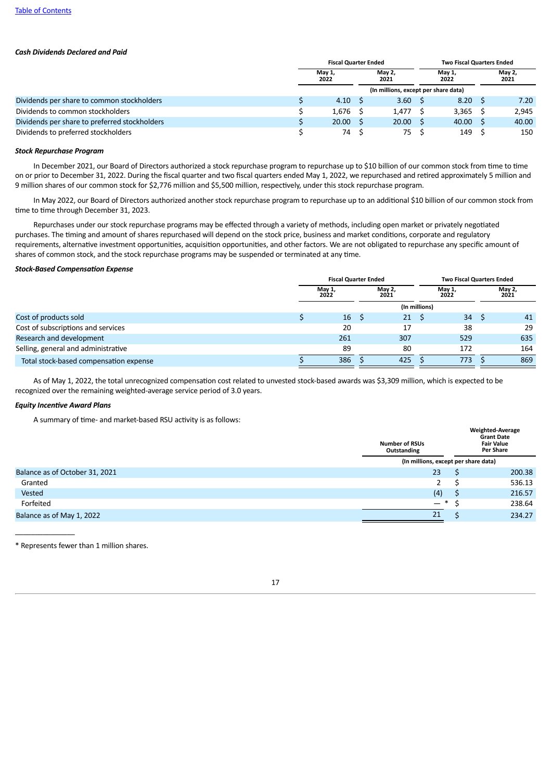## *Cash Dividends Declared and Paid*

|                                               | <b>Fiscal Quarter Ended</b> |                    |     |                                      |                | <b>Two Fiscal Quarters Ended</b> |  |                |  |
|-----------------------------------------------|-----------------------------|--------------------|-----|--------------------------------------|----------------|----------------------------------|--|----------------|--|
|                                               | May 1,<br>2022              |                    |     | May 2,<br>2021                       | May 1,<br>2022 |                                  |  | May 2,<br>2021 |  |
|                                               |                             |                    |     | (In millions, except per share data) |                |                                  |  |                |  |
| Dividends per share to common stockholders    |                             | 4.10               | - S | 3.60                                 |                | 8.20                             |  | 7.20           |  |
| Dividends to common stockholders              |                             | $1.676$ \$         |     | 1.477                                |                | 3,365                            |  | 2,945          |  |
| Dividends per share to preferred stockholders |                             | 20.00 <sub>5</sub> |     | 20.00 <sup>5</sup>                   |                | 40.00                            |  | 40.00          |  |
| Dividends to preferred stockholders           |                             | 74 S               |     | 75                                   |                | 149                              |  | 150            |  |

## *Stock Repurchase Program*

In December 2021, our Board of Directors authorized a stock repurchase program to repurchase up to \$10 billion of our common stock from time to time on or prior to December 31, 2022. During the fiscal quarter and two fiscal quarters ended May 1, 2022, we repurchased and retired approximately 5 million and 9 million shares of our common stock for \$2,776 million and \$5,500 million, respectively, under this stock repurchase program.

In May 2022, our Board of Directors authorized another stock repurchase program to repurchase up to an additional \$10 billion of our common stock from time to time through December 31, 2023.

Repurchases under our stock repurchase programs may be effected through a variety of methods, including open market or privately negotiated purchases. The timing and amount of shares repurchased will depend on the stock price, business and market conditions, corporate and regulatory requirements, alternative investment opportunities, acquisition opportunities, and other factors. We are not obligated to repurchase any specific amount of shares of common stock, and the stock repurchase programs may be suspended or terminated at any time.

### *Stock-Based Compensation Expense*

|                                        |                | <b>Fiscal Quarter Ended</b> |  |                | <b>Two Fiscal Quarters Ended</b> |     |  |                |
|----------------------------------------|----------------|-----------------------------|--|----------------|----------------------------------|-----|--|----------------|
|                                        | May 1,<br>2022 |                             |  | May 2,<br>2021 | May 1,<br>2022                   |     |  | May 2,<br>2021 |
|                                        |                |                             |  | (In millions)  |                                  |     |  |                |
| Cost of products sold                  |                | $16 \quad$                  |  | 21             |                                  | 34  |  | 41             |
| Cost of subscriptions and services     |                | 20                          |  | 17             |                                  | 38  |  | 29             |
| Research and development               |                | 261                         |  | 307            |                                  | 529 |  | 635            |
| Selling, general and administrative    |                | 89                          |  | 80             |                                  | 172 |  | 164            |
| Total stock-based compensation expense |                | 386                         |  | 425            |                                  | 773 |  | 869            |

As of May 1, 2022, the total unrecognized compensation cost related to unvested stock-based awards was \$3,309 million, which is expected to be recognized over the remaining weighted-average service period of 3.0 years.

### *Equity Incentive Award Plans*

A summary of time- and market-based RSU activity is as follows:

|                                | <b>Number of RSUs</b><br>Outstanding | weighted-Average<br><b>Grant Date</b><br><b>Fair Value</b><br>Per Share |
|--------------------------------|--------------------------------------|-------------------------------------------------------------------------|
|                                | (In millions, except per share data) |                                                                         |
| Balance as of October 31, 2021 | 23                                   | 200.38                                                                  |
| Granted                        | 2                                    | 536.13                                                                  |
| Vested                         | (4)                                  | 216.57                                                                  |
| Forfeited                      | — *                                  | 238.64                                                                  |
| Balance as of May 1, 2022      | 21                                   | 234.27                                                                  |
|                                |                                      |                                                                         |

**Weighted-Average**

\* Represents fewer than 1 million shares.

 $\overline{\phantom{a}}$   $\overline{\phantom{a}}$   $\overline{\phantom{a}}$   $\overline{\phantom{a}}$   $\overline{\phantom{a}}$   $\overline{\phantom{a}}$   $\overline{\phantom{a}}$   $\overline{\phantom{a}}$   $\overline{\phantom{a}}$   $\overline{\phantom{a}}$   $\overline{\phantom{a}}$   $\overline{\phantom{a}}$   $\overline{\phantom{a}}$   $\overline{\phantom{a}}$   $\overline{\phantom{a}}$   $\overline{\phantom{a}}$   $\overline{\phantom{a}}$   $\overline{\phantom{a}}$   $\overline{\$ 

17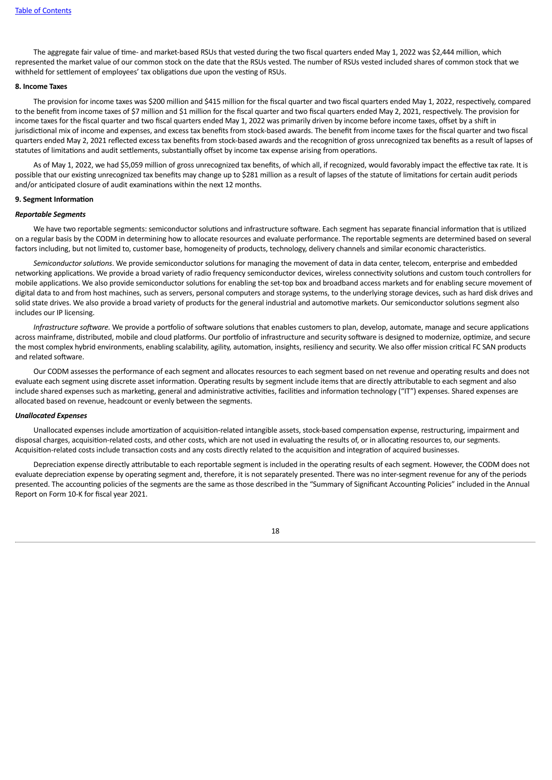The aggregate fair value of time- and market-based RSUs that vested during the two fiscal quarters ended May 1, 2022 was \$2,444 million, which represented the market value of our common stock on the date that the RSUs vested. The number of RSUs vested included shares of common stock that we withheld for settlement of employees' tax obligations due upon the vesting of RSUs.

#### **8. Income Taxes**

The provision for income taxes was \$200 million and \$415 million for the fiscal quarter and two fiscal quarters ended May 1, 2022, respectively, compared to the benefit from income taxes of \$7 million and \$1 million for the fiscal quarter and two fiscal quarters ended May 2, 2021, respectively. The provision for income taxes for the fiscal quarter and two fiscal quarters ended May 1, 2022 was primarily driven by income before income taxes, offset by a shift in jurisdictional mix of income and expenses, and excess tax benefits from stock-based awards. The benefit from income taxes for the fiscal quarter and two fiscal quarters ended May 2, 2021 reflected excess tax benefits from stock-based awards and the recognition of gross unrecognized tax benefits as a result of lapses of statutes of limitations and audit settlements, substantially offset by income tax expense arising from operations.

As of May 1, 2022, we had \$5,059 million of gross unrecognized tax benefits, of which all, if recognized, would favorably impact the effective tax rate*.* It is possible that our existing unrecognized tax benefits may change up to \$281 million as a result of lapses of the statute of limitations for certain audit periods and/or anticipated closure of audit examinations within the next 12 months.

## **9. Segment Information**

#### *Reportable Segments*

We have two reportable segments: semiconductor solutions and infrastructure software. Each segment has separate financial information that is utilized on a regular basis by the CODM in determining how to allocate resources and evaluate performance. The reportable segments are determined based on several factors including, but not limited to, customer base, homogeneity of products, technology, delivery channels and similar economic characteristics.

*Semiconductor solutions*. We provide semiconductor solutions for managing the movement of data in data center, telecom, enterprise and embedded networking applications. We provide a broad variety of radio frequency semiconductor devices, wireless connectivity solutions and custom touch controllers for mobile applications. We also provide semiconductor solutions for enabling the set-top box and broadband access markets and for enabling secure movement of digital data to and from host machines, such as servers, personal computers and storage systems, to the underlying storage devices, such as hard disk drives and solid state drives. We also provide a broad variety of products for the general industrial and automotive markets. Our semiconductor solutions segment also includes our IP licensing.

*Infrastructure software.* We provide a portfolio of software solutions that enables customers to plan, develop, automate, manage and secure applications across mainframe, distributed, mobile and cloud platforms. Our portfolio of infrastructure and security software is designed to modernize, optimize, and secure the most complex hybrid environments, enabling scalability, agility, automation, insights, resiliency and security. We also offer mission critical FC SAN products and related software.

Our CODM assesses the performance of each segment and allocates resources to each segment based on net revenue and operating results and does not evaluate each segment using discrete asset information. Operating results by segment include items that are directly attributable to each segment and also include shared expenses such as marketing, general and administrative activities, facilities and information technology ("IT") expenses. Shared expenses are allocated based on revenue, headcount or evenly between the segments.

#### *Unallocated Expenses*

Unallocated expenses include amortization of acquisition-related intangible assets, stock-based compensation expense, restructuring, impairment and disposal charges, acquisition-related costs, and other costs, which are not used in evaluating the results of, or in allocating resources to, our segments. Acquisition-related costs include transaction costs and any costs directly related to the acquisition and integration of acquired businesses.

Depreciation expense directly attributable to each reportable segment is included in the operating results of each segment. However, the CODM does not evaluate depreciation expense by operating segment and, therefore, it is not separately presented. There was no inter-segment revenue for any of the periods presented. The accounting policies of the segments are the same as those described in the "Summary of Significant Accounting Policies" included in the Annual Report on Form 10-K for fiscal year 2021.

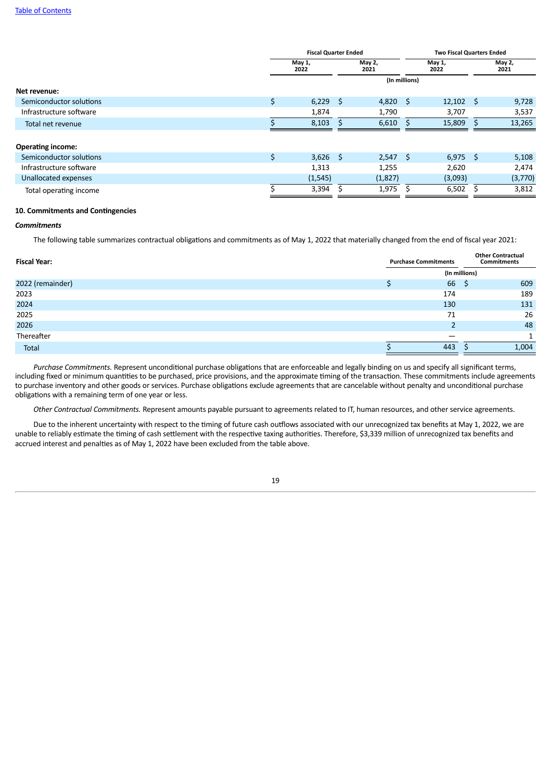|                          | <b>Fiscal Quarter Ended</b> |                                  |  |               |     |                   | <b>Two Fiscal Quarters Ended</b> |                |  |
|--------------------------|-----------------------------|----------------------------------|--|---------------|-----|-------------------|----------------------------------|----------------|--|
|                          |                             | May 1,<br>May 2,<br>2022<br>2021 |  |               |     | May 1,<br>2022    |                                  | May 2,<br>2021 |  |
|                          |                             |                                  |  | (In millions) |     |                   |                                  |                |  |
| Net revenue:             |                             |                                  |  |               |     |                   |                                  |                |  |
| Semiconductor solutions  | \$                          | $6,229$ \$                       |  | 4,820         | -Ŝ  | $12,102 \quad$ \$ |                                  | 9,728          |  |
| Infrastructure software  |                             | 1,874                            |  | 1,790         |     | 3,707             |                                  | 3,537          |  |
| Total net revenue        |                             | 8,103                            |  | 6,610         | -S  | 15,809            |                                  | 13,265         |  |
| <b>Operating income:</b> |                             |                                  |  |               |     |                   |                                  |                |  |
| Semiconductor solutions  | \$                          | $3,626$ \$                       |  | 2,547         | \$. | 6,975             | -\$                              | 5,108          |  |
| Infrastructure software  |                             | 1,313                            |  | 1,255         |     | 2,620             |                                  | 2,474          |  |
| Unallocated expenses     |                             | (1, 545)                         |  | (1,827)       |     | (3,093)           |                                  | (3,770)        |  |
| Total operating income   |                             | 3,394                            |  | 1,975         |     | 6,502             |                                  | 3,812          |  |

### **10. Commitments and Contingencies**

#### *Commitments*

The following table summarizes contractual obligations and commitments as of May 1, 2022 that materially changed from the end of fiscal year 2021:

| <b>Fiscal Year:</b> |  | <b>Purchase Commitments</b> | <b>Other Contractual</b><br><b>Commitments</b> |       |  |
|---------------------|--|-----------------------------|------------------------------------------------|-------|--|
|                     |  |                             | (In millions)                                  |       |  |
| 2022 (remainder)    |  | 66                          | -\$                                            | 609   |  |
| 2023                |  | 174                         |                                                | 189   |  |
| 2024                |  | 130                         |                                                | 131   |  |
| 2025                |  | 71                          |                                                | 26    |  |
| 2026                |  |                             |                                                | 48    |  |
| Thereafter          |  |                             |                                                | 1     |  |
| Total               |  | 443                         |                                                | 1,004 |  |

*Purchase Commitments.* Represent unconditional purchase obligations that are enforceable and legally binding on us and specify all significant terms, including fixed or minimum quantities to be purchased, price provisions, and the approximate timing of the transaction. These commitments include agreements to purchase inventory and other goods or services. Purchase obligations exclude agreements that are cancelable without penalty and unconditional purchase obligations with a remaining term of one year or less.

*Other Contractual Commitments.* Represent amounts payable pursuant to agreements related to IT, human resources, and other service agreements.

Due to the inherent uncertainty with respect to the timing of future cash outflows associated with our unrecognized tax benefits at May 1, 2022, we are unable to reliably estimate the timing of cash settlement with the respective taxing authorities. Therefore, \$3,339 million of unrecognized tax benefits and accrued interest and penalties as of May 1, 2022 have been excluded from the table above.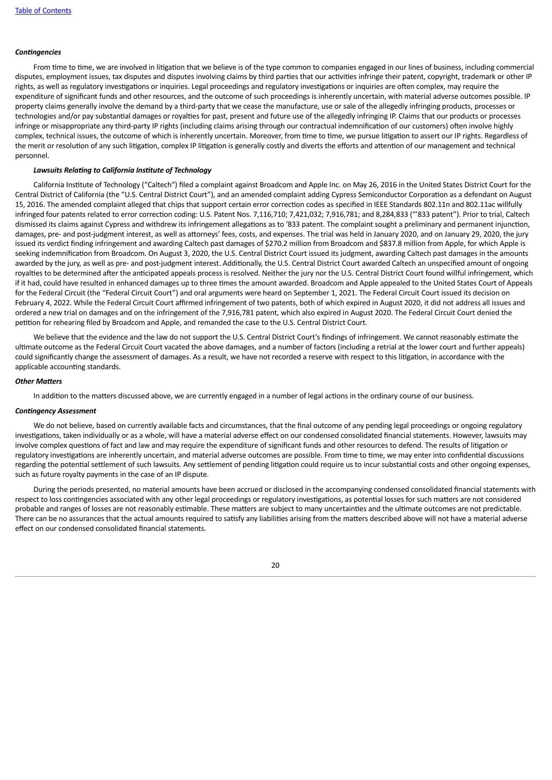#### *Contingencies*

From time to time, we are involved in litigation that we believe is of the type common to companies engaged in our lines of business, including commercial disputes, employment issues, tax disputes and disputes involving claims by third parties that our activities infringe their patent, copyright, trademark or other IP rights, as well as regulatory investigations or inquiries. Legal proceedings and regulatory investigations or inquiries are often complex, may require the expenditure of significant funds and other resources, and the outcome of such proceedings is inherently uncertain, with material adverse outcomes possible. IP property claims generally involve the demand by a third-party that we cease the manufacture, use or sale of the allegedly infringing products, processes or technologies and/or pay substantial damages or royalties for past, present and future use of the allegedly infringing IP. Claims that our products or processes infringe or misappropriate any third-party IP rights (including claims arising through our contractual indemnification of our customers) often involve highly complex, technical issues, the outcome of which is inherently uncertain. Moreover, from time to time, we pursue litigation to assert our IP rights. Regardless of the merit or resolution of any such litigation, complex IP litigation is generally costly and diverts the efforts and attention of our management and technical personnel.

#### *Lawsuits Relating to California Institute of Technology*

California Institute of Technology ("Caltech") filed a complaint against Broadcom and Apple Inc. on May 26, 2016 in the United States District Court for the Central District of California (the "U.S. Central District Court"), and an amended complaint adding Cypress Semiconductor Corporation as a defendant on August 15, 2016. The amended complaint alleged that chips that support certain error correction codes as specified in IEEE Standards 802.11n and 802.11ac willfully infringed four patents related to error correction coding: U.S. Patent Nos. 7,116,710; 7,421,032; 7,916,781; and 8,284,833 ("'833 patent"). Prior to trial, Caltech dismissed its claims against Cypress and withdrew its infringement allegations as to '833 patent. The complaint sought a preliminary and permanent injunction, damages, pre- and post-judgment interest, as well as attorneys' fees, costs, and expenses. The trial was held in January 2020, and on January 29, 2020, the jury issued its verdict finding infringement and awarding Caltech past damages of \$270.2 million from Broadcom and \$837.8 million from Apple, for which Apple is seeking indemnification from Broadcom. On August 3, 2020, the U.S. Central District Court issued its judgment, awarding Caltech past damages in the amounts awarded by the jury, as well as pre- and post-judgment interest. Additionally, the U.S. Central District Court awarded Caltech an unspecified amount of ongoing royalties to be determined after the anticipated appeals process is resolved. Neither the jury nor the U.S. Central District Court found willful infringement, which if it had, could have resulted in enhanced damages up to three times the amount awarded. Broadcom and Apple appealed to the United States Court of Appeals for the Federal Circuit (the "Federal Circuit Court") and oral arguments were heard on September 1, 2021. The Federal Circuit Court issued its decision on February 4, 2022. While the Federal Circuit Court affirmed infringement of two patents, both of which expired in August 2020, it did not address all issues and ordered a new trial on damages and on the infringement of the 7,916,781 patent, which also expired in August 2020. The Federal Circuit Court denied the petition for rehearing filed by Broadcom and Apple, and remanded the case to the U.S. Central District Court.

We believe that the evidence and the law do not support the U.S. Central District Court's findings of infringement. We cannot reasonably estimate the ultimate outcome as the Federal Circuit Court vacated the above damages, and a number of factors (including a retrial at the lower court and further appeals) could significantly change the assessment of damages. As a result, we have not recorded a reserve with respect to this litigation, in accordance with the applicable accounting standards.

#### *Other Matters*

In addition to the matters discussed above, we are currently engaged in a number of legal actions in the ordinary course of our business.

#### *Contingency Assessment*

We do not believe, based on currently available facts and circumstances, that the final outcome of any pending legal proceedings or ongoing regulatory investigations, taken individually or as a whole, will have a material adverse effect on our condensed consolidated financial statements. However, lawsuits may involve complex questions of fact and law and may require the expenditure of significant funds and other resources to defend. The results of litigation or regulatory investigations are inherently uncertain, and material adverse outcomes are possible. From time to time, we may enter into confidential discussions regarding the potential settlement of such lawsuits. Any settlement of pending litigation could require us to incur substantial costs and other ongoing expenses, such as future royalty payments in the case of an IP dispute.

During the periods presented, no material amounts have been accrued or disclosed in the accompanying condensed consolidated financial statements with respect to loss contingencies associated with any other legal proceedings or regulatory investigations, as potential losses for such matters are not considered probable and ranges of losses are not reasonably estimable. These matters are subject to many uncertainties and the ultimate outcomes are not predictable. There can be no assurances that the actual amounts required to satisfy any liabilities arising from the matters described above will not have a material adverse effect on our condensed consolidated financial statements.

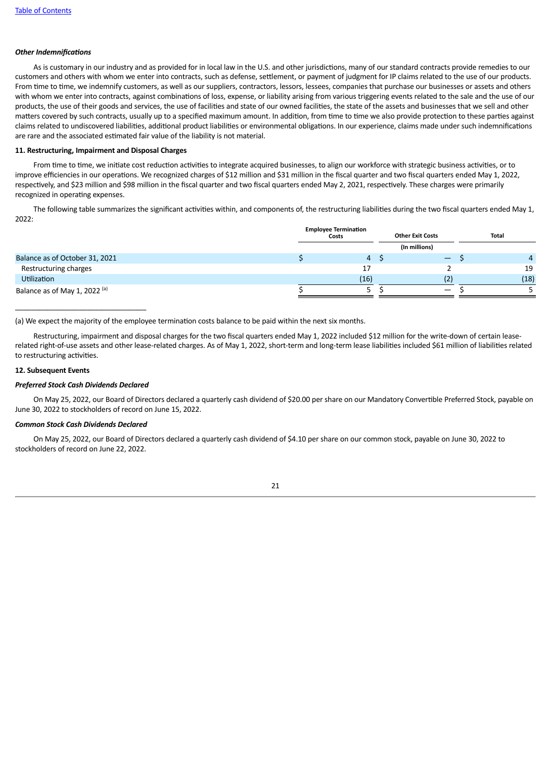#### *Other Indemnifications*

As is customary in our industry and as provided for in local law in the U.S. and other jurisdictions, many of our standard contracts provide remedies to our customers and others with whom we enter into contracts, such as defense, settlement, or payment of judgment for IP claims related to the use of our products. From time to time, we indemnify customers, as well as our suppliers, contractors, lessors, lessees, companies that purchase our businesses or assets and others with whom we enter into contracts, against combinations of loss, expense, or liability arising from various triggering events related to the sale and the use of our products, the use of their goods and services, the use of facilities and state of our owned facilities, the state of the assets and businesses that we sell and other matters covered by such contracts, usually up to a specified maximum amount. In addition, from time to time we also provide protection to these parties against claims related to undiscovered liabilities, additional product liabilities or environmental obligations. In our experience, claims made under such indemnifications are rare and the associated estimated fair value of the liability is not material.

#### **11. Restructuring, Impairment and Disposal Charges**

From time to time, we initiate cost reduction activities to integrate acquired businesses, to align our workforce with strategic business activities, or to improve efficiencies in our operations. We recognized charges of \$12 million and \$31 million in the fiscal quarter and two fiscal quarters ended May 1, 2022, respectively, and \$23 million and \$98 million in the fiscal quarter and two fiscal quarters ended May 2, 2021, respectively. These charges were primarily recognized in operating expenses.

The following table summarizes the significant activities within, and components of, the restructuring liabilities during the two fiscal quarters ended May 1, 2022:

|                                          | <b>Employee Termination</b><br>Costs | <b>Other Exit Costs</b>  | Total |                |  |
|------------------------------------------|--------------------------------------|--------------------------|-------|----------------|--|
|                                          |                                      | (In millions)            |       |                |  |
| Balance as of October 31, 2021           | 4                                    | $\overline{\phantom{0}}$ |       | $\overline{4}$ |  |
| Restructuring charges                    | 17                                   |                          |       | 19             |  |
| <b>Utilization</b>                       | (16)                                 | (2)                      |       | (18)           |  |
| Balance as of May 1, 2022 <sup>(a)</sup> |                                      | $\overline{\phantom{m}}$ |       |                |  |
|                                          |                                      |                          |       |                |  |

(a) We expect the majority of the employee termination costs balance to be paid within the next six months.

Restructuring, impairment and disposal charges for the two fiscal quarters ended May 1, 2022 included \$12 million for the write-down of certain leaserelated right-of-use assets and other lease-related charges. As of May 1, 2022, short-term and long-term lease liabilities included \$61 million of liabilities related to restructuring activities.

#### **12. Subsequent Events**

#### *Preferred Stock Cash Dividends Declared*

\_\_\_\_\_\_\_\_\_\_\_\_\_\_\_\_\_\_\_\_\_\_\_\_\_\_\_\_\_\_\_\_\_

On May 25, 2022, our Board of Directors declared a quarterly cash dividend of \$20.00 per share on our Mandatory Convertible Preferred Stock, payable on June 30, 2022 to stockholders of record on June 15, 2022.

### *Common Stock Cash Dividends Declared*

On May 25, 2022, our Board of Directors declared a quarterly cash dividend of \$4.10 per share on our common stock, payable on June 30, 2022 to stockholders of record on June 22, 2022.

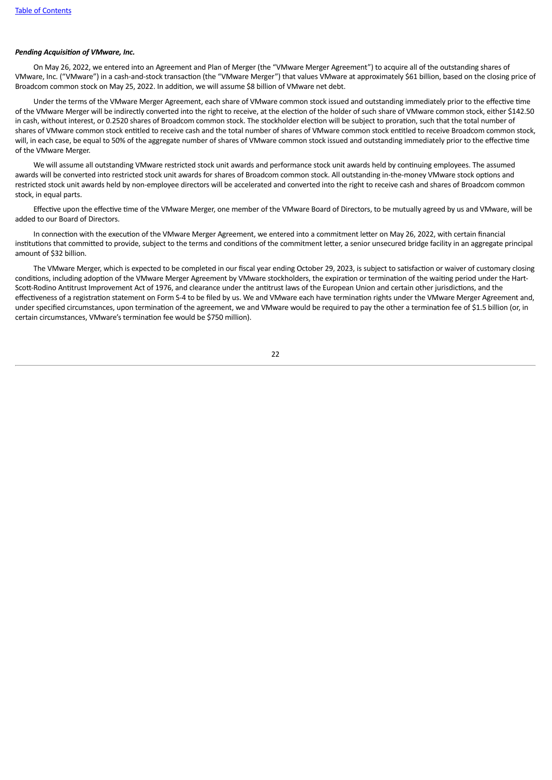#### *Pending Acquisition of VMware, Inc.*

On May 26, 2022, we entered into an Agreement and Plan of Merger (the "VMware Merger Agreement") to acquire all of the outstanding shares of VMware, Inc. ("VMware") in a cash-and-stock transaction (the "VMware Merger") that values VMware at approximately \$61 billion, based on the closing price of Broadcom common stock on May 25, 2022. In addition, we will assume \$8 billion of VMware net debt.

Under the terms of the VMware Merger Agreement, each share of VMware common stock issued and outstanding immediately prior to the effective time of the VMware Merger will be indirectly converted into the right to receive, at the election of the holder of such share of VMware common stock, either \$142.50 in cash, without interest, or 0.2520 shares of Broadcom common stock. The stockholder election will be subject to proration, such that the total number of shares of VMware common stock entitled to receive cash and the total number of shares of VMware common stock entitled to receive Broadcom common stock, will, in each case, be equal to 50% of the aggregate number of shares of VMware common stock issued and outstanding immediately prior to the effective time of the VMware Merger.

We will assume all outstanding VMware restricted stock unit awards and performance stock unit awards held by continuing employees. The assumed awards will be converted into restricted stock unit awards for shares of Broadcom common stock. All outstanding in-the-money VMware stock options and restricted stock unit awards held by non-employee directors will be accelerated and converted into the right to receive cash and shares of Broadcom common stock, in equal parts.

Effective upon the effective time of the VMware Merger, one member of the VMware Board of Directors, to be mutually agreed by us and VMware, will be added to our Board of Directors.

In connection with the execution of the VMware Merger Agreement, we entered into a commitment letter on May 26, 2022, with certain financial institutions that committed to provide, subject to the terms and conditions of the commitment letter, a senior unsecured bridge facility in an aggregate principal amount of \$32 billion.

<span id="page-23-0"></span>The VMware Merger, which is expected to be completed in our fiscal year ending October 29, 2023, is subject to satisfaction or waiver of customary closing conditions, including adoption of the VMware Merger Agreement by VMware stockholders, the expiration or termination of the waiting period under the Hart-Scott-Rodino Antitrust Improvement Act of 1976, and clearance under the antitrust laws of the European Union and certain other jurisdictions, and the effectiveness of a registration statement on Form S-4 to be filed by us. We and VMware each have termination rights under the VMware Merger Agreement and, under specified circumstances, upon termination of the agreement, we and VMware would be required to pay the other a termination fee of \$1.5 billion (or, in certain circumstances, VMware's termination fee would be \$750 million).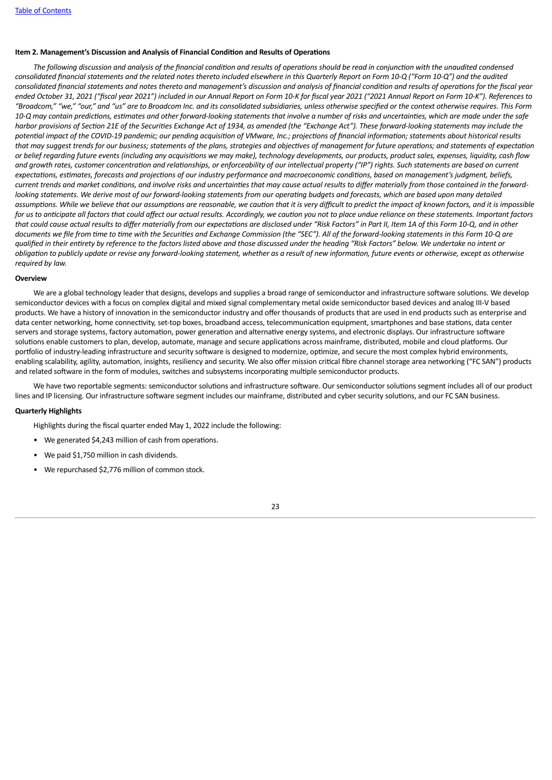### **Item 2. Management's Discussion and Analysis of Financial Condition and Results of Operations**

The following discussion and analysis of the financial condition and results of operations should be read in conjunction with the unaudited condensed consolidated financial statements and the related notes thereto included elsewhere in this Quarterly Report on Form 10-Q ("Form 10-Q") and the audited consolidated financial statements and notes thereto and management's discussion and analysis of financial condition and results of operations for the fiscal year ended October 31, 2021 ("fiscal year 2021") included in our Annual Report on Form 10-K for fiscal year 2021 ("2021 Annual Report on Form 10-K"). References to "Broadcom," "we," "our," and "us" are to Broadcom Inc. and its consolidated subsidiaries, unless otherwise specified or the context otherwise requires. This Form 10-Q may contain predictions, estimates and other forward-looking statements that involve a number of risks and uncertainties, which are made under the safe harbor provisions of Section 21E of the Securities Exchange Act of 1934, as amended (the "Exchange Act"). These forward-looking statements may include the potential impact of the COVID-19 pandemic; our pending acquisition of VMware, Inc.; projections of financial information; statements about historical results that may suggest trends for our business; statements of the plans, strategies and objectives of management for future operations; and statements of expectation or belief regarding future events (including any acquisitions we may make), technology developments, our products, product sales, expenses, liquidity, cash flow and growth rates, customer concentration and relationships, or enforceability of our intellectual property ("IP") rights. Such statements are based on current expectations, estimates, forecasts and projections of our industry performance and macroeconomic conditions, based on management's judgment, beliefs, current trends and market conditions, and involve risks and uncertainties that may cause actual results to differ materially from those contained in the forwardlooking statements. We derive most of our forward-looking statements from our operating budgets and forecasts, which are based upon many detailed assumptions. While we believe that our assumptions are reasonable, we caution that it is very difficult to predict the impact of known factors, and it is impossible for us to anticipate all factors that could affect our actual results. Accordingly, we caution you not to place undue reliance on these statements. Important factors that could cause actual results to differ materially from our expectations are disclosed under "Risk Factors" in Part II, Item 1A of this Form 10-Q, and in other documents we file from time to time with the Securities and Exchange Commission (the "SEC"). All of the forward-looking statements in this Form 10-Q are qualified in their entirety by reference to the factors listed above and those discussed under the heading "Risk Factors" below. We undertake no intent or obligation to publicly update or revise any forward-looking statement, whether as a result of new information, future events or otherwise, except as otherwise *required by law.*

#### **Overview**

We are a global technology leader that designs, develops and supplies a broad range of semiconductor and infrastructure software solutions. We develop semiconductor devices with a focus on complex digital and mixed signal complementary metal oxide semiconductor based devices and analog III-V based products. We have a history of innovation in the semiconductor industry and offer thousands of products that are used in end products such as enterprise and data center networking, home connectivity, set-top boxes, broadband access, telecommunication equipment, smartphones and base stations, data center servers and storage systems, factory automation, power generation and alternative energy systems, and electronic displays. Our infrastructure software solutions enable customers to plan, develop, automate, manage and secure applications across mainframe, distributed, mobile and cloud platforms. Our portfolio of industry-leading infrastructure and security software is designed to modernize, optimize, and secure the most complex hybrid environments, enabling scalability, agility, automation, insights, resiliency and security. We also offer mission critical fibre channel storage area networking ("FC SAN") products and related software in the form of modules, switches and subsystems incorporating multiple semiconductor products.

We have two reportable segments: semiconductor solutions and infrastructure software. Our semiconductor solutions segment includes all of our product lines and IP licensing. Our infrastructure software segment includes our mainframe, distributed and cyber security solutions, and our FC SAN business.

### **Quarterly Highlights**

Highlights during the fiscal quarter ended May 1, 2022 include the following:

- We generated \$4,243 million of cash from operations.
- We paid \$1,750 million in cash dividends.
- We repurchased \$2,776 million of common stock.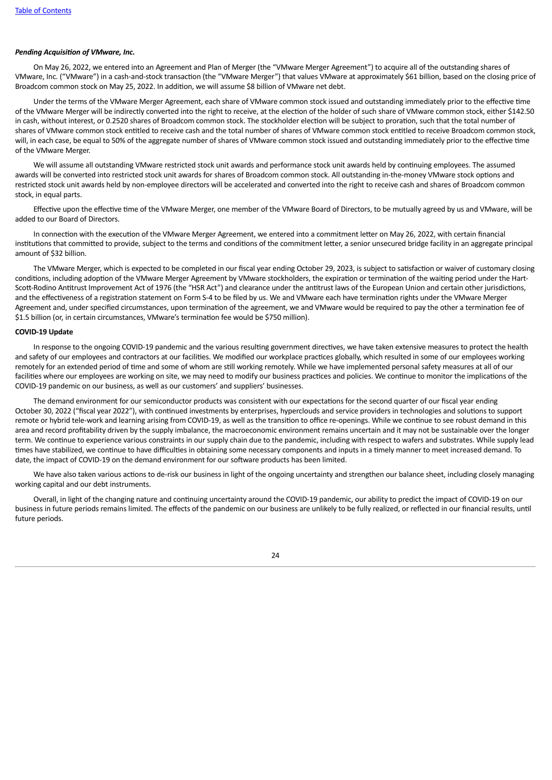#### *Pending Acquisition of VMware, Inc.*

On May 26, 2022, we entered into an Agreement and Plan of Merger (the "VMware Merger Agreement") to acquire all of the outstanding shares of VMware, Inc. ("VMware") in a cash-and-stock transaction (the "VMware Merger") that values VMware at approximately \$61 billion, based on the closing price of Broadcom common stock on May 25, 2022. In addition, we will assume \$8 billion of VMware net debt.

Under the terms of the VMware Merger Agreement, each share of VMware common stock issued and outstanding immediately prior to the effective time of the VMware Merger will be indirectly converted into the right to receive, at the election of the holder of such share of VMware common stock, either \$142.50 in cash, without interest, or 0.2520 shares of Broadcom common stock. The stockholder election will be subject to proration, such that the total number of shares of VMware common stock entitled to receive cash and the total number of shares of VMware common stock entitled to receive Broadcom common stock, will, in each case, be equal to 50% of the aggregate number of shares of VMware common stock issued and outstanding immediately prior to the effective time of the VMware Merger.

We will assume all outstanding VMware restricted stock unit awards and performance stock unit awards held by continuing employees. The assumed awards will be converted into restricted stock unit awards for shares of Broadcom common stock. All outstanding in-the-money VMware stock options and restricted stock unit awards held by non-employee directors will be accelerated and converted into the right to receive cash and shares of Broadcom common stock, in equal parts.

Effective upon the effective time of the VMware Merger, one member of the VMware Board of Directors, to be mutually agreed by us and VMware, will be added to our Board of Directors.

In connection with the execution of the VMware Merger Agreement, we entered into a commitment letter on May 26, 2022, with certain financial institutions that committed to provide, subject to the terms and conditions of the commitment letter, a senior unsecured bridge facility in an aggregate principal amount of \$32 billion.

The VMware Merger, which is expected to be completed in our fiscal year ending October 29, 2023, is subject to satisfaction or waiver of customary closing conditions, including adoption of the VMware Merger Agreement by VMware stockholders, the expiration or termination of the waiting period under the Hart-Scott-Rodino Antitrust Improvement Act of 1976 (the "HSR Act") and clearance under the antitrust laws of the European Union and certain other jurisdictions, and the effectiveness of a registration statement on Form S-4 to be filed by us. We and VMware each have termination rights under the VMware Merger Agreement and, under specified circumstances, upon termination of the agreement, we and VMware would be required to pay the other a termination fee of \$1.5 billion (or, in certain circumstances, VMware's termination fee would be \$750 million).

#### **COVID-19 Update**

In response to the ongoing COVID-19 pandemic and the various resulting government directives, we have taken extensive measures to protect the health and safety of our employees and contractors at our facilities. We modified our workplace practices globally, which resulted in some of our employees working remotely for an extended period of time and some of whom are still working remotely. While we have implemented personal safety measures at all of our facilities where our employees are working on site, we may need to modify our business practices and policies. We continue to monitor the implications of the COVID-19 pandemic on our business, as well as our customers' and suppliers' businesses.

The demand environment for our semiconductor products was consistent with our expectations for the second quarter of our fiscal year ending October 30, 2022 ("fiscal year 2022"), with continued investments by enterprises, hyperclouds and service providers in technologies and solutions to support remote or hybrid tele-work and learning arising from COVID-19, as well as the transition to office re-openings. While we continue to see robust demand in this area and record profitability driven by the supply imbalance, the macroeconomic environment remains uncertain and it may not be sustainable over the longer term. We continue to experience various constraints in our supply chain due to the pandemic, including with respect to wafers and substrates. While supply lead times have stabilized, we continue to have difficulties in obtaining some necessary components and inputs in a timely manner to meet increased demand. To date, the impact of COVID-19 on the demand environment for our software products has been limited.

We have also taken various actions to de-risk our business in light of the ongoing uncertainty and strengthen our balance sheet, including closely managing working capital and our debt instruments.

Overall, in light of the changing nature and continuing uncertainty around the COVID-19 pandemic, our ability to predict the impact of COVID-19 on our business in future periods remains limited. The effects of the pandemic on our business are unlikely to be fully realized, or reflected in our financial results, until future periods.

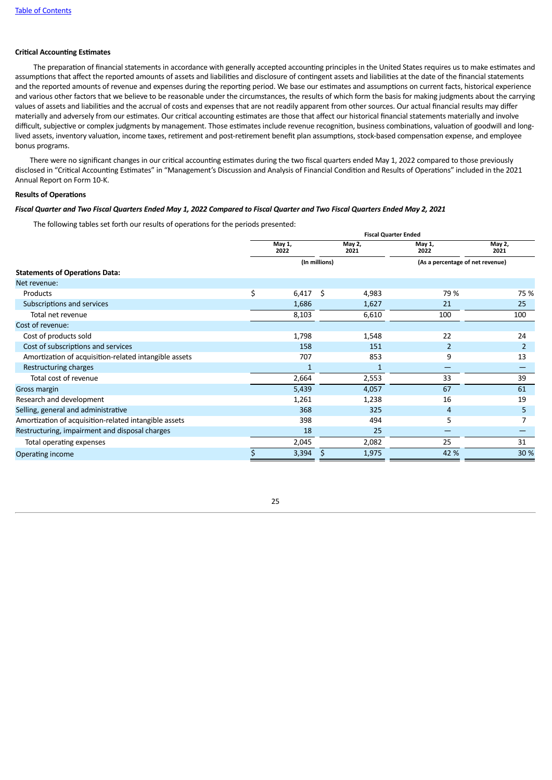### **Critical Accounting Estimates**

The preparation of financial statements in accordance with generally accepted accounting principles in the United States requires us to make estimates and assumptions that affect the reported amounts of assets and liabilities and disclosure of contingent assets and liabilities at the date of the financial statements and the reported amounts of revenue and expenses during the reporting period. We base our estimates and assumptions on current facts, historical experience and various other factors that we believe to be reasonable under the circumstances, the results of which form the basis for making judgments about the carrying values of assets and liabilities and the accrual of costs and expenses that are not readily apparent from other sources. Our actual financial results may differ materially and adversely from our estimates. Our critical accounting estimates are those that affect our historical financial statements materially and involve difficult, subjective or complex judgments by management. Those estimates include revenue recognition, business combinations, valuation of goodwill and longlived assets, inventory valuation, income taxes, retirement and post-retirement benefit plan assumptions, stock-based compensation expense, and employee bonus programs.

There were no significant changes in our critical accounting estimates during the two fiscal quarters ended May 1, 2022 compared to those previously disclosed in "Critical Accounting Estimates" in "Management's Discussion and Analysis of Financial Condition and Results of Operations" included in the 2021 Annual Report on Form 10-K.

### **Results of Operations**

### Fiscal Quarter and Two Fiscal Quarters Ended May 1, 2022 Compared to Fiscal Quarter and Two Fiscal Quarters Ended May 2, 2021

The following tables set forth our results of operations for the periods presented:

| <b>Fiscal Quarter Ended</b> |                |    |                |                |                                  |  |  |  |  |  |
|-----------------------------|----------------|----|----------------|----------------|----------------------------------|--|--|--|--|--|
|                             | May 1,<br>2022 |    | May 2,<br>2021 | May 1,<br>2022 | May 2,<br>2021                   |  |  |  |  |  |
| (In millions)               |                |    |                |                |                                  |  |  |  |  |  |
|                             |                |    |                |                |                                  |  |  |  |  |  |
|                             |                |    |                |                |                                  |  |  |  |  |  |
| \$                          | 6,417          | \$ | 4,983          | 79 %           | 75 %                             |  |  |  |  |  |
|                             | 1,686          |    | 1,627          | 21             | 25                               |  |  |  |  |  |
|                             | 8,103          |    | 6,610          | 100            | 100                              |  |  |  |  |  |
|                             |                |    |                |                |                                  |  |  |  |  |  |
|                             | 1,798          |    | 1,548          | 22             | 24                               |  |  |  |  |  |
|                             | 158            |    | 151            | $\overline{2}$ | 2                                |  |  |  |  |  |
|                             | 707            |    | 853            | 9              | 13                               |  |  |  |  |  |
|                             | $\mathbf{1}$   |    | 1              |                |                                  |  |  |  |  |  |
|                             | 2,664          |    | 2,553          | 33             | 39                               |  |  |  |  |  |
|                             | 5,439          |    | 4,057          | 67             | 61                               |  |  |  |  |  |
|                             | 1,261          |    | 1,238          | 16             | 19                               |  |  |  |  |  |
|                             | 368            |    | 325            | $\overline{4}$ | 5                                |  |  |  |  |  |
|                             | 398            |    | 494            | 5              |                                  |  |  |  |  |  |
|                             | 18             |    | 25             |                |                                  |  |  |  |  |  |
|                             | 2,045          |    | 2,082          | 25             | 31                               |  |  |  |  |  |
|                             | 3,394          |    | 1,975          | 42 %           | 30 %                             |  |  |  |  |  |
|                             |                |    |                |                | (As a percentage of net revenue) |  |  |  |  |  |

### 25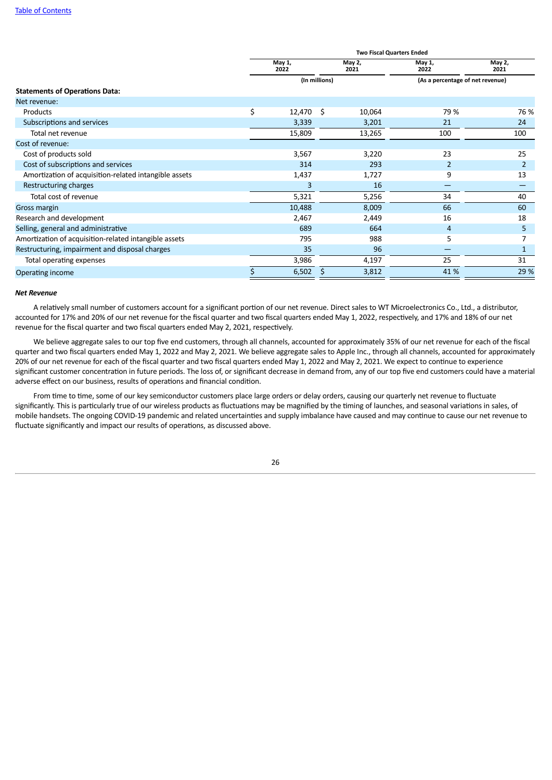|                                                       |                | <b>Two Fiscal Quarters Ended</b> |    |                |                                  |                |  |  |  |  |  |  |
|-------------------------------------------------------|----------------|----------------------------------|----|----------------|----------------------------------|----------------|--|--|--|--|--|--|
|                                                       | May 1,<br>2022 |                                  |    | May 2,<br>2021 | May 1,<br>2022                   | May 2,<br>2021 |  |  |  |  |  |  |
|                                                       |                | (In millions)                    |    |                | (As a percentage of net revenue) |                |  |  |  |  |  |  |
| <b>Statements of Operations Data:</b>                 |                |                                  |    |                |                                  |                |  |  |  |  |  |  |
| Net revenue:                                          |                |                                  |    |                |                                  |                |  |  |  |  |  |  |
| Products                                              | \$             | 12,470                           | \$ | 10,064         | 79 %                             | 76 %           |  |  |  |  |  |  |
| Subscriptions and services                            |                | 3,339                            |    | 3,201          | 21                               | 24             |  |  |  |  |  |  |
| Total net revenue                                     |                | 15,809                           |    | 13,265         | 100                              | 100            |  |  |  |  |  |  |
| Cost of revenue:                                      |                |                                  |    |                |                                  |                |  |  |  |  |  |  |
| Cost of products sold                                 |                | 3,567                            |    | 3,220          | 23                               | 25             |  |  |  |  |  |  |
| Cost of subscriptions and services                    |                | 314                              |    | 293            | $\overline{2}$                   | $\overline{2}$ |  |  |  |  |  |  |
| Amortization of acquisition-related intangible assets |                | 1,437                            |    | 1,727          | 9                                | 13             |  |  |  |  |  |  |
| Restructuring charges                                 |                | 3                                |    | 16             |                                  |                |  |  |  |  |  |  |
| Total cost of revenue                                 |                | 5,321                            |    | 5,256          | 34                               | 40             |  |  |  |  |  |  |
| Gross margin                                          |                | 10,488                           |    | 8,009          | 66                               | 60             |  |  |  |  |  |  |
| Research and development                              |                | 2,467                            |    | 2,449          | 16                               | 18             |  |  |  |  |  |  |
| Selling, general and administrative                   |                | 689                              |    | 664            | $\overline{4}$                   | 5              |  |  |  |  |  |  |
| Amortization of acquisition-related intangible assets |                | 795                              |    | 988            | 5                                |                |  |  |  |  |  |  |
| Restructuring, impairment and disposal charges        |                | 35                               |    | 96             |                                  |                |  |  |  |  |  |  |
| Total operating expenses                              |                | 3,986                            |    | 4,197          | 25                               | 31             |  |  |  |  |  |  |
| Operating income                                      |                | 6,502                            | \$ | 3,812          | 41 %                             | 29 %           |  |  |  |  |  |  |

#### *Net Revenue*

A relatively small number of customers account for a significant portion of our net revenue. Direct sales to WT Microelectronics Co., Ltd., a distributor, accounted for 17% and 20% of our net revenue for the fiscal quarter and two fiscal quarters ended May 1, 2022, respectively, and 17% and 18% of our net revenue for the fiscal quarter and two fiscal quarters ended May 2, 2021, respectively.

We believe aggregate sales to our top five end customers, through all channels, accounted for approximately 35% of our net revenue for each of the fiscal quarter and two fiscal quarters ended May 1, 2022 and May 2, 2021. We believe aggregate sales to Apple Inc., through all channels, accounted for approximately 20% of our net revenue for each of the fiscal quarter and two fiscal quarters ended May 1, 2022 and May 2, 2021. We expect to continue to experience significant customer concentration in future periods. The loss of, or significant decrease in demand from, any of our top five end customers could have a material adverse effect on our business, results of operations and financial condition.

From time to time, some of our key semiconductor customers place large orders or delay orders, causing our quarterly net revenue to fluctuate significantly. This is particularly true of our wireless products as fluctuations may be magnified by the timing of launches, and seasonal variations in sales, of mobile handsets. The ongoing COVID-19 pandemic and related uncertainties and supply imbalance have caused and may continue to cause our net revenue to fluctuate significantly and impact our results of operations, as discussed above.

26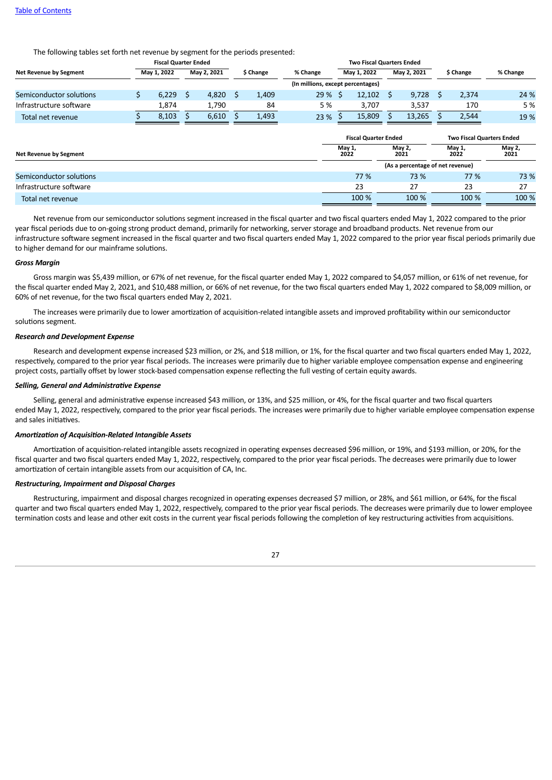The following tables set forth net revenue by segment for the periods presented:

|                         |    | <b>Fiscal Quarter Ended</b> |      |             |     |                       | <b>Two Fiscal Quarters Ended</b> |                                   |                             |             |                                  |           |                                  |                |  |  |  |  |  |  |  |  |
|-------------------------|----|-----------------------------|------|-------------|-----|-----------------------|----------------------------------|-----------------------------------|-----------------------------|-------------|----------------------------------|-----------|----------------------------------|----------------|--|--|--|--|--|--|--|--|
| Net Revenue by Segment  |    | May 1, 2022                 |      | May 2, 2021 |     | \$ Change<br>% Change |                                  | May 1, 2022                       |                             | May 2, 2021 |                                  | \$ Change | % Change                         |                |  |  |  |  |  |  |  |  |
|                         |    |                             |      |             |     |                       |                                  | (In millions, except percentages) |                             |             |                                  |           |                                  |                |  |  |  |  |  |  |  |  |
| Semiconductor solutions | S. | 6,229                       | - \$ | 4,820       | - S | 1,409                 | $29\%$ \$                        |                                   | 12,102                      | - S         | 9,728                            | - S       | 2,374                            | 24 %           |  |  |  |  |  |  |  |  |
| Infrastructure software |    | 1,874                       |      | 1,790       |     | 84                    | 5 %                              |                                   | 3,707                       |             | 3,537                            |           | 170                              | 5 %            |  |  |  |  |  |  |  |  |
| Total net revenue       |    | 8,103                       |      | 6,610       |     | 1,493                 | 23 %                             |                                   | 15,809                      |             | 13,265                           |           | 2,544                            | 19 %           |  |  |  |  |  |  |  |  |
|                         |    |                             |      |             |     |                       |                                  |                                   | <b>Fiscal Quarter Ended</b> |             |                                  |           | <b>Two Fiscal Quarters Ended</b> |                |  |  |  |  |  |  |  |  |
| Net Revenue by Segment  |    |                             |      |             |     |                       |                                  | May 1,<br>2022                    |                             |             | May 2,<br>2021                   |           | May 1,<br>2022                   | May 2,<br>2021 |  |  |  |  |  |  |  |  |
|                         |    |                             |      |             |     |                       |                                  |                                   |                             |             | (As a percentage of net revenue) |           |                                  |                |  |  |  |  |  |  |  |  |
| Semiconductor solutions |    |                             |      |             |     |                       |                                  |                                   | 77 %                        |             | 73 %                             |           | 77 %                             | 73 %           |  |  |  |  |  |  |  |  |
| Infrastructure software |    |                             |      |             |     |                       |                                  |                                   | 23                          |             | 27                               |           | 23                               | 27             |  |  |  |  |  |  |  |  |
| Total net revenue       |    |                             |      |             |     |                       |                                  |                                   | 100 %                       |             | 100 %                            |           | 100 %                            | 100 %          |  |  |  |  |  |  |  |  |

Net revenue from our semiconductor solutions segment increased in the fiscal quarter and two fiscal quarters ended May 1, 2022 compared to the prior year fiscal periods due to on-going strong product demand, primarily for networking, server storage and broadband products. Net revenue from our infrastructure software segment increased in the fiscal quarter and two fiscal quarters ended May 1, 2022 compared to the prior year fiscal periods primarily due to higher demand for our mainframe solutions.

### *Gross Margin*

Gross margin was \$5,439 million, or 67% of net revenue, for the fiscal quarter ended May 1, 2022 compared to \$4,057 million, or 61% of net revenue, for the fiscal quarter ended May 2, 2021, and \$10,488 million, or 66% of net revenue, for the two fiscal quarters ended May 1, 2022 compared to \$8,009 million, or 60% of net revenue, for the two fiscal quarters ended May 2, 2021.

The increases were primarily due to lower amortization of acquisition-related intangible assets and improved profitability within our semiconductor solutions segment.

#### *Research and Development Expense*

Research and development expense increased \$23 million, or 2%, and \$18 million, or 1%, for the fiscal quarter and two fiscal quarters ended May 1, 2022, respectively, compared to the prior year fiscal periods. The increases were primarily due to higher variable employee compensation expense and engineering project costs, partially offset by lower stock-based compensation expense reflecting the full vesting of certain equity awards.

#### *Selling, General and Administrative Expense*

Selling, general and administrative expense increased \$43 million, or 13%, and \$25 million, or 4%, for the fiscal quarter and two fiscal quarters ended May 1, 2022, respectively, compared to the prior year fiscal periods. The increases were primarily due to higher variable employee compensation expense and sales initiatives.

#### *Amortization of Acquisition-Related Intangible Assets*

Amortization of acquisition-related intangible assets recognized in operating expenses decreased \$96 million, or 19%, and \$193 million, or 20%, for the fiscal quarter and two fiscal quarters ended May 1, 2022, respectively, compared to the prior year fiscal periods. The decreases were primarily due to lower amortization of certain intangible assets from our acquisition of CA, Inc.

### *Restructuring, Impairment and Disposal Charges*

Restructuring, impairment and disposal charges recognized in operating expenses decreased \$7 million, or 28%, and \$61 million, or 64%, for the fiscal quarter and two fiscal quarters ended May 1, 2022, respectively, compared to the prior year fiscal periods. The decreases were primarily due to lower employee termination costs and lease and other exit costs in the current year fiscal periods following the completion of key restructuring activities from acquisitions.

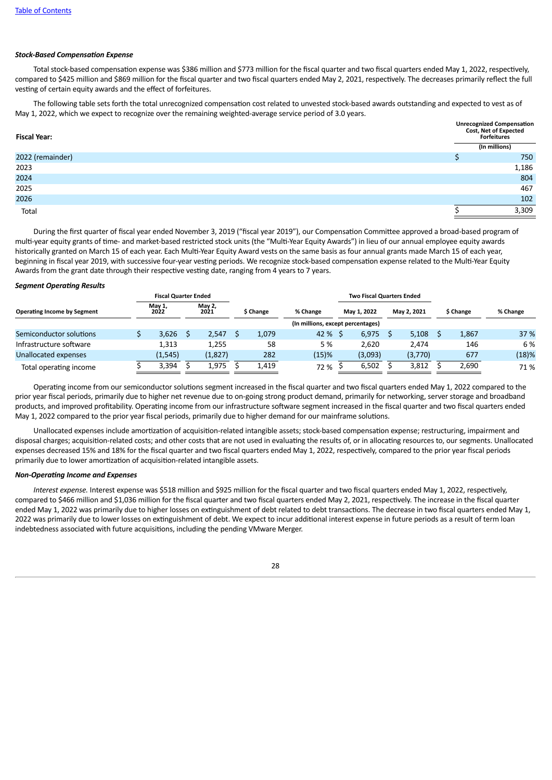### *Stock-Based Compensation Expense*

Total stock-based compensation expense was \$386 million and \$773 million for the fiscal quarter and two fiscal quarters ended May 1, 2022, respectively, compared to \$425 million and \$869 million for the fiscal quarter and two fiscal quarters ended May 2, 2021, respectively. The decreases primarily reflect the full vesting of certain equity awards and the effect of forfeitures.

The following table sets forth the total unrecognized compensation cost related to unvested stock-based awards outstanding and expected to vest as of May 1, 2022, which we expect to recognize over the remaining weighted-average service period of 3.0 years.

| <b>Fiscal Year:</b> |  | <b>Unrecognized Compensation</b><br>Cost, Net of Expected<br>Forfeitures |  |  |
|---------------------|--|--------------------------------------------------------------------------|--|--|
|                     |  | (In millions)                                                            |  |  |
| 2022 (remainder)    |  | 750                                                                      |  |  |
| 2023                |  | 1,186                                                                    |  |  |
| 2024                |  | 804                                                                      |  |  |
| 2025                |  | 467                                                                      |  |  |
| 2026                |  | 102                                                                      |  |  |
| Total               |  | 3,309                                                                    |  |  |

During the first quarter of fiscal year ended November 3, 2019 ("fiscal year 2019"), our Compensation Committee approved a broad-based program of multi-year equity grants of time- and market-based restricted stock units (the "Multi-Year Equity Awards") in lieu of our annual employee equity awards historically granted on March 15 of each year. Each Multi-Year Equity Award vests on the same basis as four annual grants made March 15 of each year, beginning in fiscal year 2019, with successive four-year vesting periods. We recognize stock-based compensation expense related to the Multi-Year Equity Awards from the grant date through their respective vesting date, ranging from 4 years to 7 years.

### *Segment Operating Results*

|                                    | <b>Fiscal Quarter Ended</b> |  |                |  |           | <b>Two Fiscal Quarters Ended</b>  |  |             |  |             |           |          |
|------------------------------------|-----------------------------|--|----------------|--|-----------|-----------------------------------|--|-------------|--|-------------|-----------|----------|
| <b>Operating Income by Segment</b> | May 1,<br>2022              |  | May 2,<br>2021 |  | \$ Change | % Change                          |  | May 1, 2022 |  | May 2, 2021 | \$ Change | % Change |
|                                    |                             |  |                |  |           | (In millions, except percentages) |  |             |  |             |           |          |
| Semiconductor solutions            | 3.626                       |  | 2,547          |  | 1.079     | 42 % \$                           |  | 6,975       |  | 5,108       | 1,867     | 37 %     |
| Infrastructure software            | 1,313                       |  | 1,255          |  | 58        | 5 %                               |  | 2,620       |  | 2.474       | 146       | 6 %      |
| Unallocated expenses               | (1, 545)                    |  | (1,827)        |  | 282       | $(15)$ %                          |  | (3,093)     |  | (3,770)     | 677       | (18)%    |
| Total operating income             | 3,394                       |  | 1.975          |  | 1,419     | 72 %                              |  | 6,502       |  | 3,812       | 2,690     | 71 %     |

Operating income from our semiconductor solutions segment increased in the fiscal quarter and two fiscal quarters ended May 1, 2022 compared to the prior year fiscal periods, primarily due to higher net revenue due to on-going strong product demand, primarily for networking, server storage and broadband products, and improved profitability. Operating income from our infrastructure software segment increased in the fiscal quarter and two fiscal quarters ended May 1, 2022 compared to the prior year fiscal periods, primarily due to higher demand for our mainframe solutions.

Unallocated expenses include amortization of acquisition-related intangible assets; stock-based compensation expense; restructuring, impairment and disposal charges; acquisition-related costs; and other costs that are not used in evaluating the results of, or in allocating resources to, our segments. Unallocated expenses decreased 15% and 18% for the fiscal quarter and two fiscal quarters ended May 1, 2022, respectively, compared to the prior year fiscal periods primarily due to lower amortization of acquisition-related intangible assets.

### *Non-Operating Income and Expenses*

*Interest expense.* Interest expense was \$518 million and \$925 million for the fiscal quarter and two fiscal quarters ended May 1, 2022, respectively, compared to \$466 million and \$1,036 million for the fiscal quarter and two fiscal quarters ended May 2, 2021, respectively. The increase in the fiscal quarter ended May 1, 2022 was primarily due to higher losses on extinguishment of debt related to debt transactions. The decrease in two fiscal quarters ended May 1, 2022 was primarily due to lower losses on extinguishment of debt. We expect to incur additional interest expense in future periods as a result of term loan indebtedness associated with future acquisitions, including the pending VMware Merger.

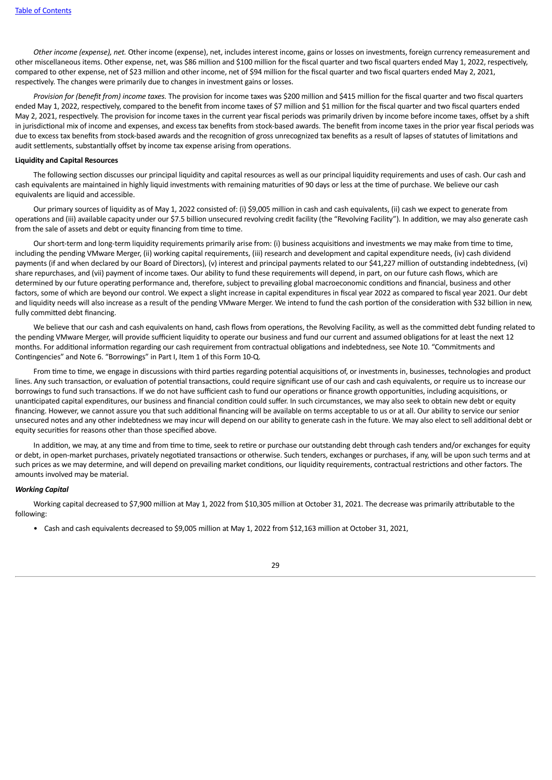*Other income (expense), net.* Other income (expense), net, includes interest income, gains or losses on investments, foreign currency remeasurement and other miscellaneous items. Other expense, net, was \$86 million and \$100 million for the fiscal quarter and two fiscal quarters ended May 1, 2022, respectively, compared to other expense, net of \$23 million and other income, net of \$94 million for the fiscal quarter and two fiscal quarters ended May 2, 2021, respectively. The changes were primarily due to changes in investment gains or losses.

*Provision for (benefit from) income taxes.* The provision for income taxes was \$200 million and \$415 million for the fiscal quarter and two fiscal quarters ended May 1, 2022, respectively, compared to the benefit from income taxes of \$7 million and \$1 million for the fiscal quarter and two fiscal quarters ended May 2, 2021, respectively. The provision for income taxes in the current year fiscal periods was primarily driven by income before income taxes, offset by a shift in jurisdictional mix of income and expenses, and excess tax benefits from stock-based awards. The benefit from income taxes in the prior year fiscal periods was due to excess tax benefits from stock-based awards and the recognition of gross unrecognized tax benefits as a result of lapses of statutes of limitations and audit settlements, substantially offset by income tax expense arising from operations.

#### **Liquidity and Capital Resources**

The following section discusses our principal liquidity and capital resources as well as our principal liquidity requirements and uses of cash. Our cash and cash equivalents are maintained in highly liquid investments with remaining maturities of 90 days or less at the time of purchase. We believe our cash equivalents are liquid and accessible.

Our primary sources of liquidity as of May 1, 2022 consisted of: (i) \$9,005 million in cash and cash equivalents, (ii) cash we expect to generate from operations and (iii) available capacity under our \$7.5 billion unsecured revolving credit facility (the "Revolving Facility"). In addition, we may also generate cash from the sale of assets and debt or equity financing from time to time.

Our short-term and long-term liquidity requirements primarily arise from: (i) business acquisitions and investments we may make from time to time, including the pending VMware Merger, (ii) working capital requirements, (iii) research and development and capital expenditure needs, (iv) cash dividend payments (if and when declared by our Board of Directors), (v) interest and principal payments related to our \$41,227 million of outstanding indebtedness, (vi) share repurchases, and (vii) payment of income taxes. Our ability to fund these requirements will depend, in part, on our future cash flows, which are determined by our future operating performance and, therefore, subject to prevailing global macroeconomic conditions and financial, business and other factors, some of which are beyond our control. We expect a slight increase in capital expenditures in fiscal year 2022 as compared to fiscal year 2021. Our debt and liquidity needs will also increase as a result of the pending VMware Merger. We intend to fund the cash portion of the consideration with \$32 billion in new, fully committed debt financing.

We believe that our cash and cash equivalents on hand, cash flows from operations, the Revolving Facility, as well as the committed debt funding related to the pending VMware Merger, will provide sufficient liquidity to operate our business and fund our current and assumed obligations for at least the next 12 months. For additional information regarding our cash requirement from contractual obligations and indebtedness, see Note 10. "Commitments and Contingencies" and Note 6. "Borrowings" in Part I, Item 1 of this Form 10-Q.

From time to time, we engage in discussions with third parties regarding potential acquisitions of, or investments in, businesses, technologies and product lines. Any such transaction, or evaluation of potential transactions, could require significant use of our cash and cash equivalents, or require us to increase our borrowings to fund such transactions. If we do not have sufficient cash to fund our operations or finance growth opportunities, including acquisitions, or unanticipated capital expenditures, our business and financial condition could suffer. In such circumstances, we may also seek to obtain new debt or equity financing. However, we cannot assure you that such additional financing will be available on terms acceptable to us or at all. Our ability to service our senior unsecured notes and any other indebtedness we may incur will depend on our ability to generate cash in the future. We may also elect to sell additional debt or equity securities for reasons other than those specified above.

In addition, we may, at any time and from time to time, seek to retire or purchase our outstanding debt through cash tenders and/or exchanges for equity or debt, in open-market purchases, privately negotiated transactions or otherwise. Such tenders, exchanges or purchases, if any, will be upon such terms and at such prices as we may determine, and will depend on prevailing market conditions, our liquidity requirements, contractual restrictions and other factors. The amounts involved may be material.

### *Working Capital*

Working capital decreased to \$7,900 million at May 1, 2022 from \$10,305 million at October 31, 2021. The decrease was primarily attributable to the following:

• Cash and cash equivalents decreased to \$9,005 million at May 1, 2022 from \$12,163 million at October 31, 2021,

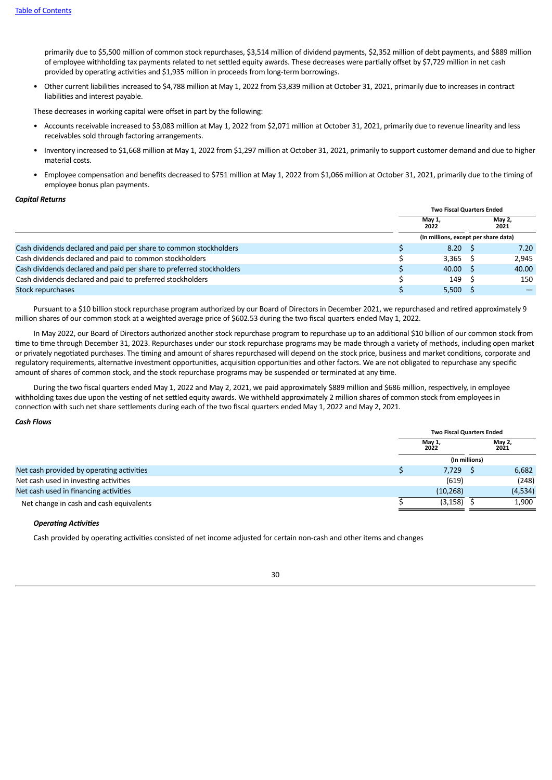primarily due to \$5,500 million of common stock repurchases, \$3,514 million of dividend payments, \$2,352 million of debt payments, and \$889 million of employee withholding tax payments related to net settled equity awards. These decreases were partially offset by \$7,729 million in net cash provided by operating activities and \$1,935 million in proceeds from long-term borrowings.

• Other current liabilities increased to \$4,788 million at May 1, 2022 from \$3,839 million at October 31, 2021, primarily due to increases in contract liabilities and interest payable.

These decreases in working capital were offset in part by the following:

- Accounts receivable increased to \$3,083 million at May 1, 2022 from \$2,071 million at October 31, 2021, primarily due to revenue linearity and less receivables sold through factoring arrangements.
- Inventory increased to \$1,668 million at May 1, 2022 from \$1,297 million at October 31, 2021, primarily to support customer demand and due to higher material costs.
- Employee compensation and benefits decreased to \$751 million at May 1, 2022 from \$1,066 million at October 31, 2021, primarily due to the timing of employee bonus plan payments.

#### *Capital Returns*

|                                                                      | <b>Two Fiscal Quarters Ended</b>     |  |                |  |
|----------------------------------------------------------------------|--------------------------------------|--|----------------|--|
|                                                                      | May 1,<br>2022                       |  | May 2,<br>2021 |  |
|                                                                      | (In millions, except per share data) |  |                |  |
| Cash dividends declared and paid per share to common stockholders    | $8.20\quad$ \$                       |  | 7.20           |  |
| Cash dividends declared and paid to common stockholders              | $3.365$ \$                           |  | 2.945          |  |
| Cash dividends declared and paid per share to preferred stockholders | 40.00                                |  | 40.00          |  |
| Cash dividends declared and paid to preferred stockholders           | 149                                  |  | 150            |  |
| Stock repurchases                                                    | $5,500$ \$                           |  |                |  |

Pursuant to a \$10 billion stock repurchase program authorized by our Board of Directors in December 2021, we repurchased and retired approximately 9 million shares of our common stock at a weighted average price of \$602.53 during the two fiscal quarters ended May 1, 2022.

In May 2022, our Board of Directors authorized another stock repurchase program to repurchase up to an additional \$10 billion of our common stock from time to time through December 31, 2023. Repurchases under our stock repurchase programs may be made through a variety of methods, including open market or privately negotiated purchases. The timing and amount of shares repurchased will depend on the stock price, business and market conditions, corporate and regulatory requirements, alternative investment opportunities, acquisition opportunities and other factors. We are not obligated to repurchase any specific amount of shares of common stock, and the stock repurchase programs may be suspended or terminated at any time.

During the two fiscal quarters ended May 1, 2022 and May 2, 2021, we paid approximately \$889 million and \$686 million, respectively, in employee withholding taxes due upon the vesting of net settled equity awards. We withheld approximately 2 million shares of common stock from employees in connection with such net share settlements during each of the two fiscal quarters ended May 1, 2022 and May 2, 2021.

*Cash Flows*

|                                           | <b>Two Fiscal Quarters Ended</b> |               |                |  |  |
|-------------------------------------------|----------------------------------|---------------|----------------|--|--|
|                                           | May 1,<br>2022                   |               | May 2,<br>2021 |  |  |
|                                           |                                  | (In millions) |                |  |  |
| Net cash provided by operating activities | $7,729$ \$                       |               | 6,682          |  |  |
| Net cash used in investing activities     | (619)                            |               | (248)          |  |  |
| Net cash used in financing activities     | (10, 268)                        |               | (4,534)        |  |  |
| Net change in cash and cash equivalents   | (3, 158)                         |               | 1,900          |  |  |
|                                           |                                  |               |                |  |  |

### *Operating Activities*

Cash provided by operating activities consisted of net income adjusted for certain non-cash and other items and changes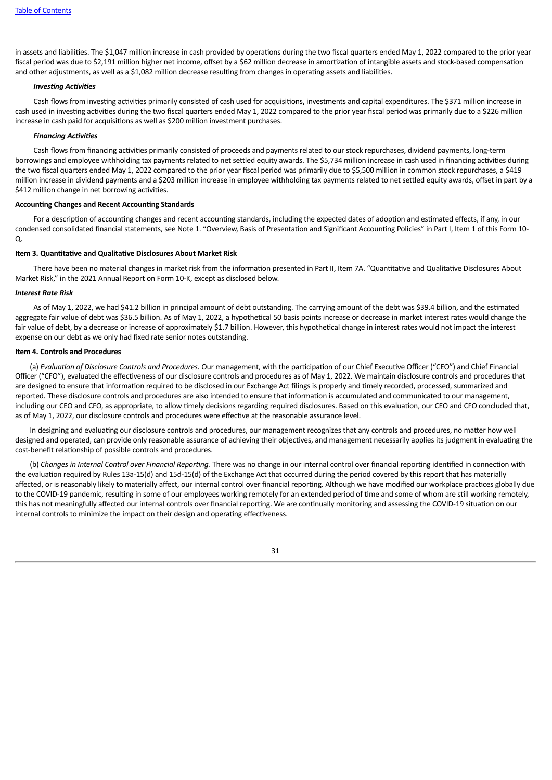in assets and liabilities. The \$1,047 million increase in cash provided by operations during the two fiscal quarters ended May 1, 2022 compared to the prior year fiscal period was due to \$2,191 million higher net income, offset by a \$62 million decrease in amortization of intangible assets and stock-based compensation and other adjustments, as well as a \$1,082 million decrease resulting from changes in operating assets and liabilities.

#### *Investing Activities*

Cash flows from investing activities primarily consisted of cash used for acquisitions, investments and capital expenditures. The \$371 million increase in cash used in investing activities during the two fiscal quarters ended May 1, 2022 compared to the prior year fiscal period was primarily due to a \$226 million increase in cash paid for acquisitions as well as \$200 million investment purchases.

### *Financing Activities*

Cash flows from financing activities primarily consisted of proceeds and payments related to our stock repurchases, dividend payments, long-term borrowings and employee withholding tax payments related to net settled equity awards. The \$5,734 million increase in cash used in financing activities during the two fiscal quarters ended May 1, 2022 compared to the prior year fiscal period was primarily due to \$5,500 million in common stock repurchases, a \$419 million increase in dividend payments and a \$203 million increase in employee withholding tax payments related to net settled equity awards, offset in part by a \$412 million change in net borrowing activities.

#### **Accounting Changes and Recent Accounting Standards**

For a description of accounting changes and recent accounting standards, including the expected dates of adoption and estimated effects, if any, in our condensed consolidated financial statements, see Note 1. "Overview, Basis of Presentation and Significant Accounting Policies" in Part I, Item 1 of this Form 10- Q.

#### <span id="page-32-0"></span>**Item 3. Quantitative and Qualitative Disclosures About Market Risk**

There have been no material changes in market risk from the information presented in Part II, Item 7A. "Quantitative and Qualitative Disclosures About Market Risk," in the 2021 Annual Report on Form 10-K, except as disclosed below.

#### *Interest Rate Risk*

As of May 1, 2022, we had \$41.2 billion in principal amount of debt outstanding. The carrying amount of the debt was \$39.4 billion, and the estimated aggregate fair value of debt was \$36.5 billion. As of May 1, 2022, a hypothetical 50 basis points increase or decrease in market interest rates would change the fair value of debt, by a decrease or increase of approximately \$1.7 billion. However, this hypothetical change in interest rates would not impact the interest expense on our debt as we only had fixed rate senior notes outstanding.

#### <span id="page-32-1"></span>**Item 4. Controls and Procedures**

(a) *Evaluation of Disclosure Controls and Procedures.* Our management, with the participation of our Chief Executive Officer ("CEO") and Chief Financial Officer ("CFO"), evaluated the effectiveness of our disclosure controls and procedures as of May 1, 2022. We maintain disclosure controls and procedures that are designed to ensure that information required to be disclosed in our Exchange Act filings is properly and timely recorded, processed, summarized and reported. These disclosure controls and procedures are also intended to ensure that information is accumulated and communicated to our management, including our CEO and CFO, as appropriate, to allow timely decisions regarding required disclosures. Based on this evaluation, our CEO and CFO concluded that, as of May 1, 2022, our disclosure controls and procedures were effective at the reasonable assurance level.

In designing and evaluating our disclosure controls and procedures, our management recognizes that any controls and procedures, no matter how well designed and operated, can provide only reasonable assurance of achieving their objectives, and management necessarily applies its judgment in evaluating the cost-benefit relationship of possible controls and procedures.

<span id="page-32-2"></span>(b) *Changes in Internal Control over Financial Reporting.* There was no change in our internal control over financial reporting identified in connection with the evaluation required by Rules 13a-15(d) and 15d-15(d) of the Exchange Act that occurred during the period covered by this report that has materially affected, or is reasonably likely to materially affect, our internal control over financial reporting. Although we have modified our workplace practices globally due to the COVID-19 pandemic, resulting in some of our employees working remotely for an extended period of time and some of whom are still working remotely, this has not meaningfully affected our internal controls over financial reporting. We are continually monitoring and assessing the COVID-19 situation on our internal controls to minimize the impact on their design and operating effectiveness.

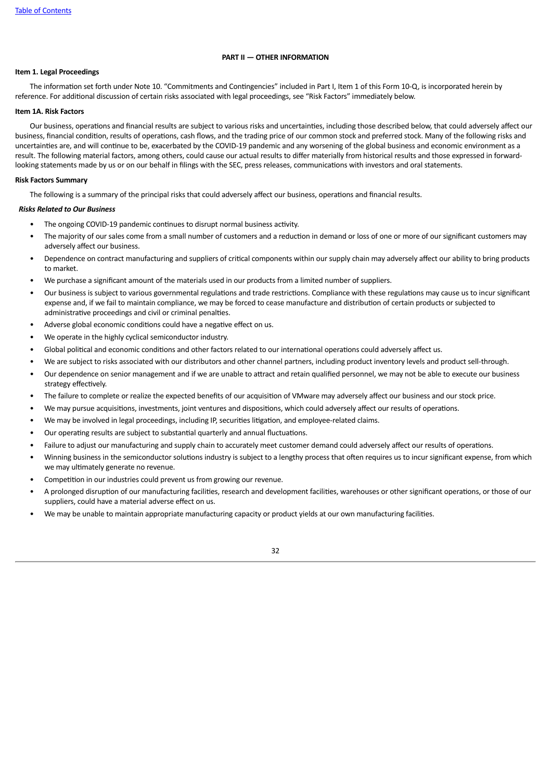### **PART II — OTHER INFORMATION**

### <span id="page-33-0"></span>**Item 1. Legal Proceedings**

The information set forth under Note 10. "Commitments and Contingencies" included in Part I, Item 1 of this Form 10-Q, is incorporated herein by reference. For additional discussion of certain risks associated with legal proceedings, see "Risk Factors" immediately below.

### <span id="page-33-1"></span>**Item 1A. Risk Factors**

Our business, operations and financial results are subject to various risks and uncertainties, including those described below, that could adversely affect our business, financial condition, results of operations, cash flows, and the trading price of our common stock and preferred stock. Many of the following risks and uncertainties are, and will continue to be, exacerbated by the COVID-19 pandemic and any worsening of the global business and economic environment as a result. The following material factors, among others, could cause our actual results to differ materially from historical results and those expressed in forwardlooking statements made by us or on our behalf in filings with the SEC, press releases, communications with investors and oral statements.

### **Risk Factors Summary**

The following is a summary of the principal risks that could adversely affect our business, operations and financial results.

### *Risks Related to Our Business*

- The ongoing COVID-19 pandemic continues to disrupt normal business activity.
- The majority of our sales come from a small number of customers and a reduction in demand or loss of one or more of our significant customers may adversely affect our business.
- Dependence on contract manufacturing and suppliers of critical components within our supply chain may adversely affect our ability to bring products to market.
- We purchase a significant amount of the materials used in our products from a limited number of suppliers.
- Our business is subject to various governmental regulations and trade restrictions. Compliance with these regulations may cause us to incur significant expense and, if we fail to maintain compliance, we may be forced to cease manufacture and distribution of certain products or subjected to administrative proceedings and civil or criminal penalties.
- Adverse global economic conditions could have a negative effect on us.
- We operate in the highly cyclical semiconductor industry.
- Global political and economic conditions and other factors related to our international operations could adversely affect us.
- We are subject to risks associated with our distributors and other channel partners, including product inventory levels and product sell-through.
- Our dependence on senior management and if we are unable to attract and retain qualified personnel, we may not be able to execute our business strategy effectively.
- The failure to complete or realize the expected benefits of our acquisition of VMware may adversely affect our business and our stock price.
- We may pursue acquisitions, investments, joint ventures and dispositions, which could adversely affect our results of operations.
- We may be involved in legal proceedings, including IP, securities litigation, and employee-related claims.
- Our operating results are subject to substantial quarterly and annual fluctuations.
- Failure to adjust our manufacturing and supply chain to accurately meet customer demand could adversely affect our results of operations.
- Winning business in the semiconductor solutions industry is subject to a lengthy process that often requires us to incur significant expense, from which we may ultimately generate no revenue.
- Competition in our industries could prevent us from growing our revenue.
- A prolonged disruption of our manufacturing facilities, research and development facilities, warehouses or other significant operations, or those of our suppliers, could have a material adverse effect on us.
- We may be unable to maintain appropriate manufacturing capacity or product yields at our own manufacturing facilities.

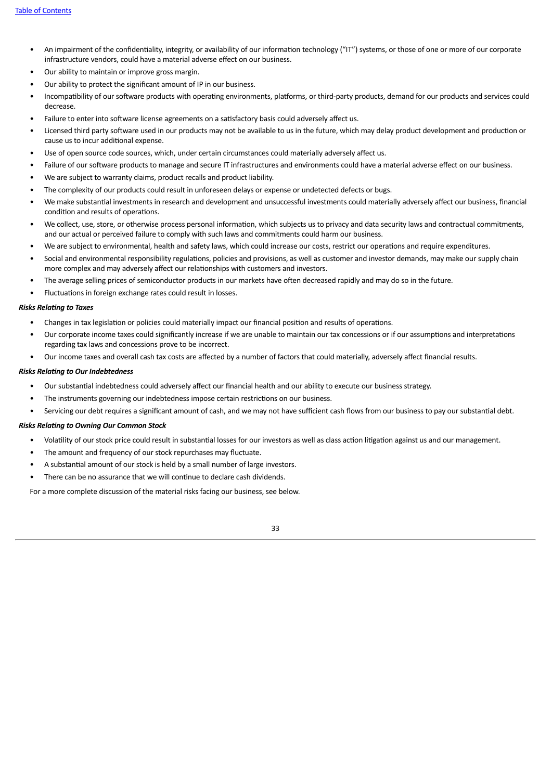- An impairment of the confidentiality, integrity, or availability of our information technology ("IT") systems, or those of one or more of our corporate infrastructure vendors, could have a material adverse effect on our business.
- Our ability to maintain or improve gross margin.
- Our ability to protect the significant amount of IP in our business.
- Incompatibility of our software products with operating environments, platforms, or third-party products, demand for our products and services could decrease.
- Failure to enter into software license agreements on a satisfactory basis could adversely affect us.
- Licensed third party software used in our products may not be available to us in the future, which may delay product development and production or cause us to incur additional expense.
- Use of open source code sources, which, under certain circumstances could materially adversely affect us.
- Failure of our software products to manage and secure IT infrastructures and environments could have a material adverse effect on our business.
- We are subject to warranty claims, product recalls and product liability.
- The complexity of our products could result in unforeseen delays or expense or undetected defects or bugs.
- We make substantial investments in research and development and unsuccessful investments could materially adversely affect our business, financial condition and results of operations.
- We collect, use, store, or otherwise process personal information, which subjects us to privacy and data security laws and contractual commitments, and our actual or perceived failure to comply with such laws and commitments could harm our business.
- We are subject to environmental, health and safety laws, which could increase our costs, restrict our operations and require expenditures.
- Social and environmental responsibility regulations, policies and provisions, as well as customer and investor demands, may make our supply chain more complex and may adversely affect our relationships with customers and investors.
- The average selling prices of semiconductor products in our markets have often decreased rapidly and may do so in the future.
- Fluctuations in foreign exchange rates could result in losses.

### *Risks Relating to Taxes*

- Changes in tax legislation or policies could materially impact our financial position and results of operations.
- Our corporate income taxes could significantly increase if we are unable to maintain our tax concessions or if our assumptions and interpretations regarding tax laws and concessions prove to be incorrect.
- Our income taxes and overall cash tax costs are affected by a number of factors that could materially, adversely affect financial results.

### *Risks Relating to Our Indebtedness*

- Our substantial indebtedness could adversely affect our financial health and our ability to execute our business strategy.
- The instruments governing our indebtedness impose certain restrictions on our business.
- Servicing our debt requires a significant amount of cash, and we may not have sufficient cash flows from our business to pay our substantial debt.

### *Risks Relating to Owning Our Common Stock*

- Volatility of our stock price could result in substantial losses for our investors as well as class action litigation against us and our management.
- The amount and frequency of our stock repurchases may fluctuate.
- A substantial amount of our stock is held by a small number of large investors.
- There can be no assurance that we will continue to declare cash dividends.

For a more complete discussion of the material risks facing our business, see below.

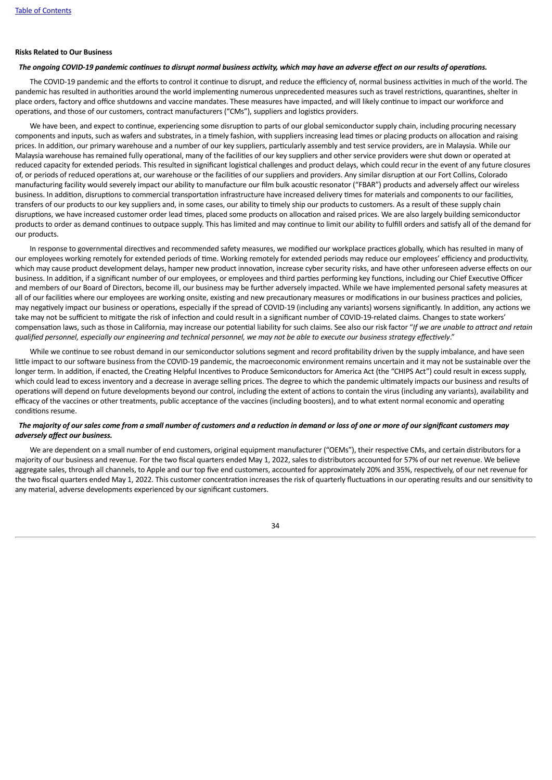#### **Risks Related to Our Business**

#### The ongoing COVID-19 pandemic continues to disrupt normal business activity, which may have an adverse effect on our results of operations.

The COVID-19 pandemic and the efforts to control it continue to disrupt, and reduce the efficiency of, normal business activities in much of the world. The pandemic has resulted in authorities around the world implementing numerous unprecedented measures such as travel restrictions, quarantines, shelter in place orders, factory and office shutdowns and vaccine mandates. These measures have impacted, and will likely continue to impact our workforce and operations, and those of our customers, contract manufacturers ("CMs"), suppliers and logistics providers.

We have been, and expect to continue, experiencing some disruption to parts of our global semiconductor supply chain, including procuring necessary components and inputs, such as wafers and substrates, in a timely fashion, with suppliers increasing lead times or placing products on allocation and raising prices. In addition, our primary warehouse and a number of our key suppliers, particularly assembly and test service providers, are in Malaysia. While our Malaysia warehouse has remained fully operational, many of the facilities of our key suppliers and other service providers were shut down or operated at reduced capacity for extended periods. This resulted in significant logistical challenges and product delays, which could recur in the event of any future closures of, or periods of reduced operations at, our warehouse or the facilities of our suppliers and providers. Any similar disruption at our Fort Collins, Colorado manufacturing facility would severely impact our ability to manufacture our film bulk acoustic resonator ("FBAR") products and adversely affect our wireless business. In addition, disruptions to commercial transportation infrastructure have increased delivery times for materials and components to our facilities, transfers of our products to our key suppliers and, in some cases, our ability to timely ship our products to customers. As a result of these supply chain disruptions, we have increased customer order lead times, placed some products on allocation and raised prices. We are also largely building semiconductor products to order as demand continues to outpace supply. This has limited and may continue to limit our ability to fulfill orders and satisfy all of the demand for our products.

In response to governmental directives and recommended safety measures, we modified our workplace practices globally, which has resulted in many of our employees working remotely for extended periods of time. Working remotely for extended periods may reduce our employees' efficiency and productivity, which may cause product development delays, hamper new product innovation, increase cyber security risks, and have other unforeseen adverse effects on our business. In addition, if a significant number of our employees, or employees and third parties performing key functions, including our Chief Executive Officer and members of our Board of Directors, become ill, our business may be further adversely impacted. While we have implemented personal safety measures at all of our facilities where our employees are working onsite, existing and new precautionary measures or modifications in our business practices and policies, may negatively impact our business or operations, especially if the spread of COVID-19 (including any variants) worsens significantly. In addition, any actions we take may not be sufficient to mitigate the risk of infection and could result in a significant number of COVID-19-related claims. Changes to state workers' compensation laws, such as those in California, may increase our potential liability for such claims. See also our risk factor "*If we are unable to attract and retain* qualified personnel, especially our engineering and technical personnel, we may not be able to execute our business strategy effectively."

While we continue to see robust demand in our semiconductor solutions segment and record profitability driven by the supply imbalance, and have seen little impact to our software business from the COVID-19 pandemic, the macroeconomic environment remains uncertain and it may not be sustainable over the longer term. In addition, if enacted, the Creating Helpful Incentives to Produce Semiconductors for America Act (the "CHIPS Act") could result in excess supply, which could lead to excess inventory and a decrease in average selling prices. The degree to which the pandemic ultimately impacts our business and results of operations will depend on future developments beyond our control, including the extent of actions to contain the virus (including any variants), availability and efficacy of the vaccines or other treatments, public acceptance of the vaccines (including boosters), and to what extent normal economic and operating conditions resume.

### The majority of our sales come from a small number of customers and a reduction in demand or loss of one or more of our significant customers may *adversely affect our business.*

We are dependent on a small number of end customers, original equipment manufacturer ("OEMs"), their respective CMs, and certain distributors for a majority of our business and revenue. For the two fiscal quarters ended May 1, 2022, sales to distributors accounted for 57% of our net revenue. We believe aggregate sales, through all channels, to Apple and our top five end customers, accounted for approximately 20% and 35%, respectively, of our net revenue for the two fiscal quarters ended May 1, 2022. This customer concentration increases the risk of quarterly fluctuations in our operating results and our sensitivity to any material, adverse developments experienced by our significant customers.

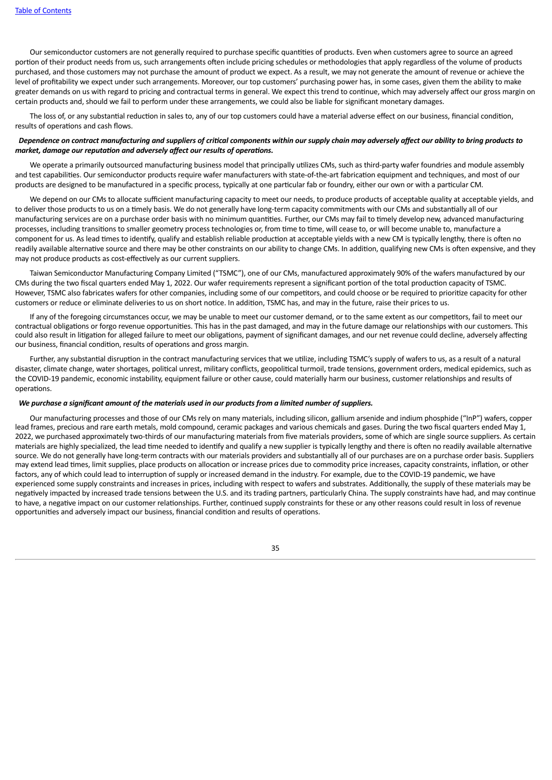Our semiconductor customers are not generally required to purchase specific quantities of products. Even when customers agree to source an agreed portion of their product needs from us, such arrangements often include pricing schedules or methodologies that apply regardless of the volume of products purchased, and those customers may not purchase the amount of product we expect. As a result, we may not generate the amount of revenue or achieve the level of profitability we expect under such arrangements. Moreover, our top customers' purchasing power has, in some cases, given them the ability to make greater demands on us with regard to pricing and contractual terms in general. We expect this trend to continue, which may adversely affect our gross margin on certain products and, should we fail to perform under these arrangements, we could also be liable for significant monetary damages.

The loss of, or any substantial reduction in sales to, any of our top customers could have a material adverse effect on our business, financial condition, results of operations and cash flows.

### Dependence on contract manufacturing and suppliers of critical components within our supply chain may adversely affect our ability to bring products to *market, damage our reputation and adversely affect our results of operations.*

We operate a primarily outsourced manufacturing business model that principally utilizes CMs, such as third-party wafer foundries and module assembly and test capabilities. Our semiconductor products require wafer manufacturers with state-of-the-art fabrication equipment and techniques, and most of our products are designed to be manufactured in a specific process, typically at one particular fab or foundry, either our own or with a particular CM.

We depend on our CMs to allocate sufficient manufacturing capacity to meet our needs, to produce products of acceptable quality at acceptable yields, and to deliver those products to us on a timely basis. We do not generally have long-term capacity commitments with our CMs and substantially all of our manufacturing services are on a purchase order basis with no minimum quantities. Further, our CMs may fail to timely develop new, advanced manufacturing processes, including transitions to smaller geometry process technologies or, from time to time, will cease to, or will become unable to, manufacture a component for us. As lead times to identify, qualify and establish reliable production at acceptable yields with a new CM is typically lengthy, there is often no readily available alternative source and there may be other constraints on our ability to change CMs. In addition, qualifying new CMs is often expensive, and they may not produce products as cost-effectively as our current suppliers.

Taiwan Semiconductor Manufacturing Company Limited ("TSMC"), one of our CMs, manufactured approximately 90% of the wafers manufactured by our CMs during the two fiscal quarters ended May 1, 2022. Our wafer requirements represent a significant portion of the total production capacity of TSMC. However, TSMC also fabricates wafers for other companies, including some of our competitors, and could choose or be required to prioritize capacity for other customers or reduce or eliminate deliveries to us on short notice. In addition, TSMC has, and may in the future, raise their prices to us.

If any of the foregoing circumstances occur, we may be unable to meet our customer demand, or to the same extent as our competitors, fail to meet our contractual obligations or forgo revenue opportunities. This has in the past damaged, and may in the future damage our relationships with our customers. This could also result in litigation for alleged failure to meet our obligations, payment of significant damages, and our net revenue could decline, adversely affecting our business, financial condition, results of operations and gross margin.

Further, any substantial disruption in the contract manufacturing services that we utilize, including TSMC's supply of wafers to us, as a result of a natural disaster, climate change, water shortages, political unrest, military conflicts, geopolitical turmoil, trade tensions, government orders, medical epidemics, such as the COVID-19 pandemic, economic instability, equipment failure or other cause, could materially harm our business, customer relationships and results of operations.

### We purchase a significant amount of the materials used in our products from a limited number of suppliers.

Our manufacturing processes and those of our CMs rely on many materials, including silicon, gallium arsenide and indium phosphide ("InP") wafers, copper lead frames, precious and rare earth metals, mold compound, ceramic packages and various chemicals and gases. During the two fiscal quarters ended May 1, 2022, we purchased approximately two-thirds of our manufacturing materials from five materials providers, some of which are single source suppliers. As certain materials are highly specialized, the lead time needed to identify and qualify a new supplier is typically lengthy and there is often no readily available alternative source. We do not generally have long-term contracts with our materials providers and substantially all of our purchases are on a purchase order basis. Suppliers may extend lead times, limit supplies, place products on allocation or increase prices due to commodity price increases, capacity constraints, inflation, or other factors, any of which could lead to interruption of supply or increased demand in the industry. For example, due to the COVID-19 pandemic, we have experienced some supply constraints and increases in prices, including with respect to wafers and substrates. Additionally, the supply of these materials may be negatively impacted by increased trade tensions between the U.S. and its trading partners, particularly China. The supply constraints have had, and may continue to have, a negative impact on our customer relationships. Further, continued supply constraints for these or any other reasons could result in loss of revenue opportunities and adversely impact our business, financial condition and results of operations.

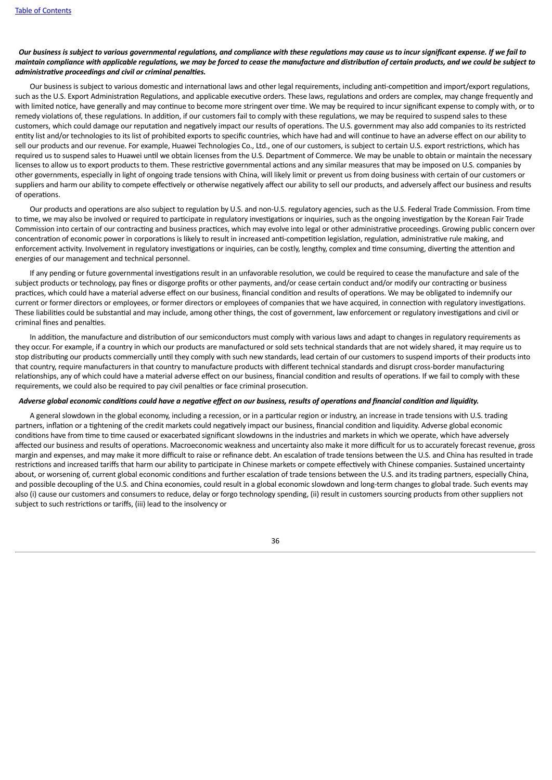### Our business is subject to various governmental regulations, and compliance with these regulations may cause us to incur significant expense. If we fail to maintain compliance with applicable regulations, we may be forced to cease the manufacture and distribution of certain products, and we could be subject to *administrative proceedings and civil or criminal penalties.*

Our business is subject to various domestic and international laws and other legal requirements, including anti-competition and import/export regulations, such as the U.S. Export Administration Regulations, and applicable executive orders. These laws, regulations and orders are complex, may change frequently and with limited notice, have generally and may continue to become more stringent over time. We may be required to incur significant expense to comply with, or to remedy violations of, these regulations. In addition, if our customers fail to comply with these regulations, we may be required to suspend sales to these customers, which could damage our reputation and negatively impact our results of operations. The U.S. government may also add companies to its restricted entity list and/or technologies to its list of prohibited exports to specific countries, which have had and will continue to have an adverse effect on our ability to sell our products and our revenue. For example, Huawei Technologies Co., Ltd., one of our customers, is subject to certain U.S. export restrictions, which has required us to suspend sales to Huawei until we obtain licenses from the U.S. Department of Commerce. We may be unable to obtain or maintain the necessary licenses to allow us to export products to them. These restrictive governmental actions and any similar measures that may be imposed on U.S. companies by other governments, especially in light of ongoing trade tensions with China, will likely limit or prevent us from doing business with certain of our customers or suppliers and harm our ability to compete effectively or otherwise negatively affect our ability to sell our products, and adversely affect our business and results of operations.

Our products and operations are also subject to regulation by U.S. and non-U.S. regulatory agencies, such as the U.S. Federal Trade Commission. From time to time, we may also be involved or required to participate in regulatory investigations or inquiries, such as the ongoing investigation by the Korean Fair Trade Commission into certain of our contracting and business practices, which may evolve into legal or other administrative proceedings. Growing public concern over concentration of economic power in corporations is likely to result in increased anti-competition legislation, regulation, administrative rule making, and enforcement activity. Involvement in regulatory investigations or inquiries, can be costly, lengthy, complex and time consuming, diverting the attention and energies of our management and technical personnel.

If any pending or future governmental investigations result in an unfavorable resolution, we could be required to cease the manufacture and sale of the subject products or technology, pay fines or disgorge profits or other payments, and/or cease certain conduct and/or modify our contracting or business practices, which could have a material adverse effect on our business, financial condition and results of operations. We may be obligated to indemnify our current or former directors or employees, or former directors or employees of companies that we have acquired, in connection with regulatory investigations. These liabilities could be substantial and may include, among other things, the cost of government, law enforcement or regulatory investigations and civil or criminal fines and penalties.

In addition, the manufacture and distribution of our semiconductors must comply with various laws and adapt to changes in regulatory requirements as they occur. For example, if a country in which our products are manufactured or sold sets technical standards that are not widely shared, it may require us to stop distributing our products commercially until they comply with such new standards, lead certain of our customers to suspend imports of their products into that country, require manufacturers in that country to manufacture products with different technical standards and disrupt cross-border manufacturing relationships, any of which could have a material adverse effect on our business, financial condition and results of operations. If we fail to comply with these requirements, we could also be required to pay civil penalties or face criminal prosecution.

### Adverse global economic conditions could have a negative effect on our business, results of operations and financial condition and liquidity.

A general slowdown in the global economy, including a recession, or in a particular region or industry, an increase in trade tensions with U.S. trading partners, inflation or a tightening of the credit markets could negatively impact our business, financial condition and liquidity. Adverse global economic conditions have from time to time caused or exacerbated significant slowdowns in the industries and markets in which we operate, which have adversely affected our business and results of operations. Macroeconomic weakness and uncertainty also make it more difficult for us to accurately forecast revenue, gross margin and expenses, and may make it more difficult to raise or refinance debt. An escalation of trade tensions between the U.S. and China has resulted in trade restrictions and increased tariffs that harm our ability to participate in Chinese markets or compete effectively with Chinese companies. Sustained uncertainty about, or worsening of, current global economic conditions and further escalation of trade tensions between the U.S. and its trading partners, especially China, and possible decoupling of the U.S. and China economies, could result in a global economic slowdown and long-term changes to global trade. Such events may also (i) cause our customers and consumers to reduce, delay or forgo technology spending, (ii) result in customers sourcing products from other suppliers not subject to such restrictions or tariffs, (iii) lead to the insolvency or

36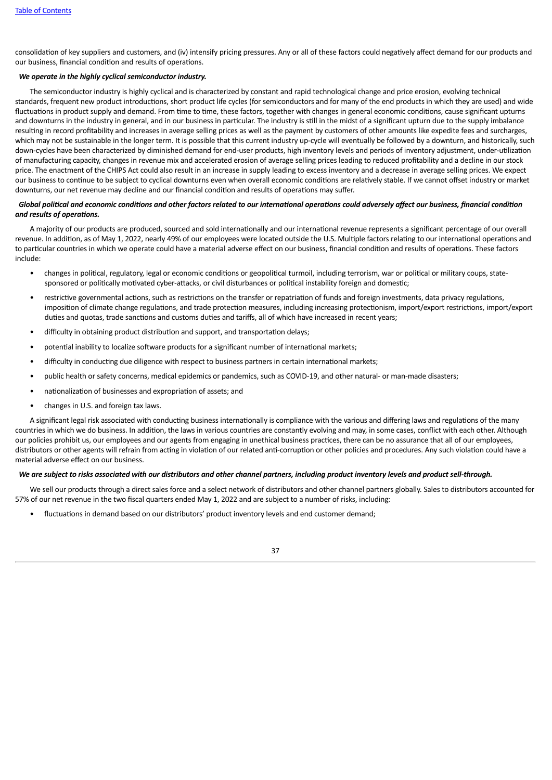consolidation of key suppliers and customers, and (iv) intensify pricing pressures. Any or all of these factors could negatively affect demand for our products and our business, financial condition and results of operations.

### *We operate in the highly cyclical semiconductor industry.*

The semiconductor industry is highly cyclical and is characterized by constant and rapid technological change and price erosion, evolving technical standards, frequent new product introductions, short product life cycles (for semiconductors and for many of the end products in which they are used) and wide fluctuations in product supply and demand. From time to time, these factors, together with changes in general economic conditions, cause significant upturns and downturns in the industry in general, and in our business in particular. The industry is still in the midst of a significant upturn due to the supply imbalance resulting in record profitability and increases in average selling prices as well as the payment by customers of other amounts like expedite fees and surcharges, which may not be sustainable in the longer term. It is possible that this current industry up-cycle will eventually be followed by a downturn, and historically, such down-cycles have been characterized by diminished demand for end-user products, high inventory levels and periods of inventory adjustment, under-utilization of manufacturing capacity, changes in revenue mix and accelerated erosion of average selling prices leading to reduced profitability and a decline in our stock price. The enactment of the CHIPS Act could also result in an increase in supply leading to excess inventory and a decrease in average selling prices. We expect our business to continue to be subject to cyclical downturns even when overall economic conditions are relatively stable. If we cannot offset industry or market downturns, our net revenue may decline and our financial condition and results of operations may suffer.

### Global political and economic conditions and other factors related to our international operations could adversely affect our business, financial condition *and results of operations.*

A majority of our products are produced, sourced and sold internationally and our international revenue represents a significant percentage of our overall revenue. In addition, as of May 1, 2022, nearly 49% of our employees were located outside the U.S. Multiple factors relating to our international operations and to particular countries in which we operate could have a material adverse effect on our business, financial condition and results of operations. These factors include:

- changes in political, regulatory, legal or economic conditions or geopolitical turmoil, including terrorism, war or political or military coups, statesponsored or politically motivated cyber-attacks, or civil disturbances or political instability foreign and domestic;
- restrictive governmental actions, such as restrictions on the transfer or repatriation of funds and foreign investments, data privacy regulations, imposition of climate change regulations, and trade protection measures, including increasing protectionism, import/export restrictions, import/export duties and quotas, trade sanctions and customs duties and tariffs, all of which have increased in recent years;
- difficulty in obtaining product distribution and support, and transportation delays;
- potential inability to localize software products for a significant number of international markets;
- difficulty in conducting due diligence with respect to business partners in certain international markets;
- public health or safety concerns, medical epidemics or pandemics, such as COVID-19, and other natural- or man-made disasters;
- nationalization of businesses and expropriation of assets; and
- changes in U.S. and foreign tax laws.

A significant legal risk associated with conducting business internationally is compliance with the various and differing laws and regulations of the many countries in which we do business. In addition, the laws in various countries are constantly evolving and may, in some cases, conflict with each other. Although our policies prohibit us, our employees and our agents from engaging in unethical business practices, there can be no assurance that all of our employees, distributors or other agents will refrain from acting in violation of our related anti-corruption or other policies and procedures. Any such violation could have a material adverse effect on our business.

### We are subject to risks associated with our distributors and other channel partners, including product inventory levels and product sell-through.

We sell our products through a direct sales force and a select network of distributors and other channel partners globally. Sales to distributors accounted for 57% of our net revenue in the two fiscal quarters ended May 1, 2022 and are subject to a number of risks, including:

• fluctuations in demand based on our distributors' product inventory levels and end customer demand;

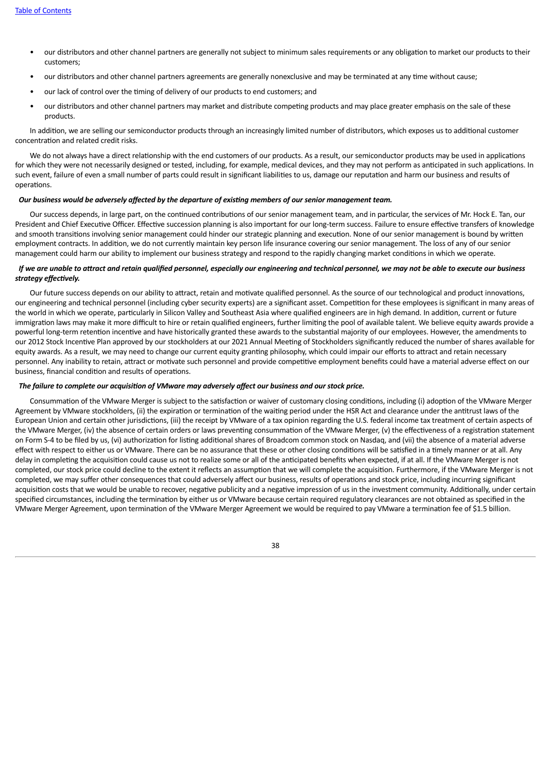- our distributors and other channel partners are generally not subject to minimum sales requirements or any obligation to market our products to their customers;
- our distributors and other channel partners agreements are generally nonexclusive and may be terminated at any time without cause;
- our lack of control over the timing of delivery of our products to end customers; and
- our distributors and other channel partners may market and distribute competing products and may place greater emphasis on the sale of these products.

In addition, we are selling our semiconductor products through an increasingly limited number of distributors, which exposes us to additional customer concentration and related credit risks.

We do not always have a direct relationship with the end customers of our products. As a result, our semiconductor products may be used in applications for which they were not necessarily designed or tested, including, for example, medical devices, and they may not perform as anticipated in such applications. In such event, failure of even a small number of parts could result in significant liabilities to us, damage our reputation and harm our business and results of operations.

#### Our business would be adversely affected by the departure of existing members of our senior management team.

Our success depends, in large part, on the continued contributions of our senior management team, and in particular, the services of Mr. Hock E. Tan, our President and Chief Executive Officer. Effective succession planning is also important for our long-term success. Failure to ensure effective transfers of knowledge and smooth transitions involving senior management could hinder our strategic planning and execution. None of our senior management is bound by written employment contracts. In addition, we do not currently maintain key person life insurance covering our senior management. The loss of any of our senior management could harm our ability to implement our business strategy and respond to the rapidly changing market conditions in which we operate.

### If we are unable to attract and retain qualified personnel, especially our engineering and technical personnel, we may not be able to execute our business *strategy effectively.*

Our future success depends on our ability to attract, retain and motivate qualified personnel. As the source of our technological and product innovations, our engineering and technical personnel (including cyber security experts) are a significant asset. Competition for these employees is significant in many areas of the world in which we operate, particularly in Silicon Valley and Southeast Asia where qualified engineers are in high demand. In addition, current or future immigration laws may make it more difficult to hire or retain qualified engineers, further limiting the pool of available talent. We believe equity awards provide a powerful long-term retention incentive and have historically granted these awards to the substantial majority of our employees. However, the amendments to our 2012 Stock Incentive Plan approved by our stockholders at our 2021 Annual Meeting of Stockholders significantly reduced the number of shares available for equity awards. As a result, we may need to change our current equity granting philosophy, which could impair our efforts to attract and retain necessary personnel. Any inability to retain, attract or motivate such personnel and provide competitive employment benefits could have a material adverse effect on our business, financial condition and results of operations.

#### *The failure to complete our acquisition of VMware may adversely affect our business and our stock price.*

Consummation of the VMware Merger is subject to the satisfaction or waiver of customary closing conditions, including (i) adoption of the VMware Merger Agreement by VMware stockholders, (ii) the expiration or termination of the waiting period under the HSR Act and clearance under the antitrust laws of the European Union and certain other jurisdictions, (iii) the receipt by VMware of a tax opinion regarding the U.S. federal income tax treatment of certain aspects of the VMware Merger, (iv) the absence of certain orders or laws preventing consummation of the VMware Merger, (v) the effectiveness of a registration statement on Form S-4 to be filed by us, (vi) authorization for listing additional shares of Broadcom common stock on Nasdaq, and (vii) the absence of a material adverse effect with respect to either us or VMware. There can be no assurance that these or other closing conditions will be satisfied in a timely manner or at all. Any delay in completing the acquisition could cause us not to realize some or all of the anticipated benefits when expected, if at all. If the VMware Merger is not completed, our stock price could decline to the extent it reflects an assumption that we will complete the acquisition. Furthermore, if the VMware Merger is not completed, we may suffer other consequences that could adversely affect our business, results of operations and stock price, including incurring significant acquisition costs that we would be unable to recover, negative publicity and a negative impression of us in the investment community. Additionally, under certain specified circumstances, including the termination by either us or VMware because certain required regulatory clearances are not obtained as specified in the VMware Merger Agreement, upon termination of the VMware Merger Agreement we would be required to pay VMware a termination fee of \$1.5 billion.

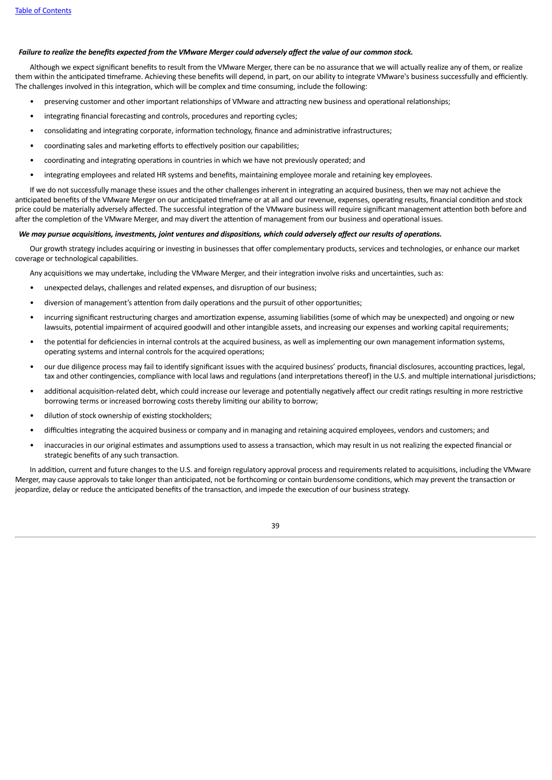## Failure to realize the benefits expected from the VMware Merger could adversely affect the value of our common stock.

Although we expect significant benefits to result from the VMware Merger, there can be no assurance that we will actually realize any of them, or realize them within the anticipated timeframe. Achieving these benefits will depend, in part, on our ability to integrate VMware's business successfully and efficiently. The challenges involved in this integration, which will be complex and time consuming, include the following:

- preserving customer and other important relationships of VMware and attracting new business and operational relationships;
- integrating financial forecasting and controls, procedures and reporting cycles;
- consolidating and integrating corporate, information technology, finance and administrative infrastructures;
- coordinating sales and marketing efforts to effectively position our capabilities;
- coordinating and integrating operations in countries in which we have not previously operated; and
- integrating employees and related HR systems and benefits, maintaining employee morale and retaining key employees.

If we do not successfully manage these issues and the other challenges inherent in integrating an acquired business, then we may not achieve the anticipated benefits of the VMware Merger on our anticipated timeframe or at all and our revenue, expenses, operating results, financial condition and stock price could be materially adversely affected. The successful integration of the VMware business will require significant management attention both before and after the completion of the VMware Merger, and may divert the attention of management from our business and operational issues.

## We may pursue acquisitions, investments, joint ventures and dispositions, which could adversely affect our results of operations.

Our growth strategy includes acquiring or investing in businesses that offer complementary products, services and technologies, or enhance our market coverage or technological capabilities.

Any acquisitions we may undertake, including the VMware Merger, and their integration involve risks and uncertainties, such as:

- unexpected delays, challenges and related expenses, and disruption of our business;
- diversion of management's attention from daily operations and the pursuit of other opportunities;
- incurring significant restructuring charges and amortization expense, assuming liabilities (some of which may be unexpected) and ongoing or new lawsuits, potential impairment of acquired goodwill and other intangible assets, and increasing our expenses and working capital requirements;
- the potential for deficiencies in internal controls at the acquired business, as well as implementing our own management information systems, operating systems and internal controls for the acquired operations;
- our due diligence process may fail to identify significant issues with the acquired business' products, financial disclosures, accounting practices, legal, tax and other contingencies, compliance with local laws and regulations (and interpretations thereof) in the U.S. and multiple international jurisdictions;
- additional acquisition-related debt, which could increase our leverage and potentially negatively affect our credit ratings resulting in more restrictive borrowing terms or increased borrowing costs thereby limiting our ability to borrow;
- dilution of stock ownership of existing stockholders;
- difficulties integrating the acquired business or company and in managing and retaining acquired employees, vendors and customers; and
- inaccuracies in our original estimates and assumptions used to assess a transaction, which may result in us not realizing the expected financial or strategic benefits of any such transaction.

In addition, current and future changes to the U.S. and foreign regulatory approval process and requirements related to acquisitions, including the VMware Merger, may cause approvals to take longer than anticipated, not be forthcoming or contain burdensome conditions, which may prevent the transaction or jeopardize, delay or reduce the anticipated benefits of the transaction, and impede the execution of our business strategy.

39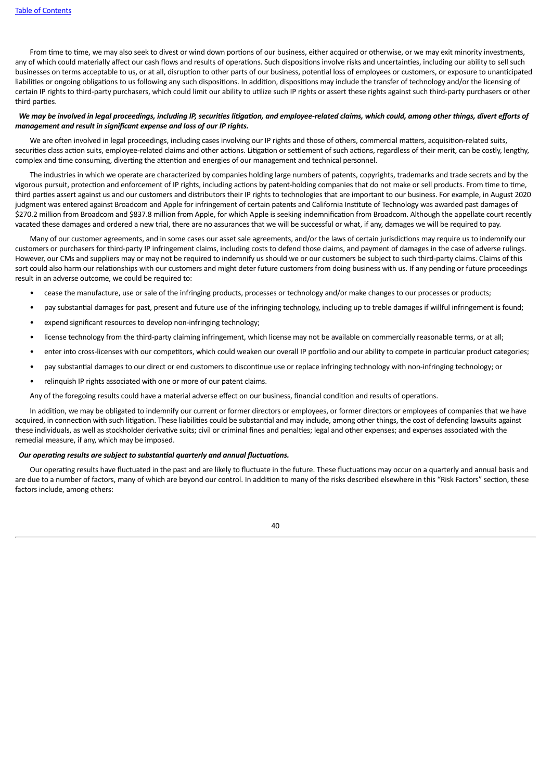From time to time, we may also seek to divest or wind down portions of our business, either acquired or otherwise, or we may exit minority investments, any of which could materially affect our cash flows and results of operations. Such dispositions involve risks and uncertainties, including our ability to sell such businesses on terms acceptable to us, or at all, disruption to other parts of our business, potential loss of employees or customers, or exposure to unanticipated liabilities or ongoing obligations to us following any such dispositions. In addition, dispositions may include the transfer of technology and/or the licensing of certain IP rights to third-party purchasers, which could limit our ability to utilize such IP rights or assert these rights against such third-party purchasers or other third parties.

### We may be involved in legal proceedings, including IP, securities litigation, and employee-related claims, which could, among other things, divert efforts of *management and result in significant expense and loss of our IP rights.*

We are often involved in legal proceedings, including cases involving our IP rights and those of others, commercial matters, acquisition-related suits, securities class action suits, employee-related claims and other actions. Litigation or settlement of such actions, regardless of their merit, can be costly, lengthy, complex and time consuming, diverting the attention and energies of our management and technical personnel.

The industries in which we operate are characterized by companies holding large numbers of patents, copyrights, trademarks and trade secrets and by the vigorous pursuit, protection and enforcement of IP rights, including actions by patent-holding companies that do not make or sell products. From time to time, third parties assert against us and our customers and distributors their IP rights to technologies that are important to our business. For example, in August 2020 judgment was entered against Broadcom and Apple for infringement of certain patents and California Institute of Technology was awarded past damages of \$270.2 million from Broadcom and \$837.8 million from Apple, for which Apple is seeking indemnification from Broadcom. Although the appellate court recently vacated these damages and ordered a new trial, there are no assurances that we will be successful or what, if any, damages we will be required to pay.

Many of our customer agreements, and in some cases our asset sale agreements, and/or the laws of certain jurisdictions may require us to indemnify our customers or purchasers for third-party IP infringement claims, including costs to defend those claims, and payment of damages in the case of adverse rulings. However, our CMs and suppliers may or may not be required to indemnify us should we or our customers be subject to such third-party claims. Claims of this sort could also harm our relationships with our customers and might deter future customers from doing business with us. If any pending or future proceedings result in an adverse outcome, we could be required to:

- cease the manufacture, use or sale of the infringing products, processes or technology and/or make changes to our processes or products;
- pay substantial damages for past, present and future use of the infringing technology, including up to treble damages if willful infringement is found;
- expend significant resources to develop non-infringing technology;
- license technology from the third-party claiming infringement, which license may not be available on commercially reasonable terms, or at all;
- enter into cross-licenses with our competitors, which could weaken our overall IP portfolio and our ability to compete in particular product categories;
- pay substantial damages to our direct or end customers to discontinue use or replace infringing technology with non-infringing technology; or
- relinquish IP rights associated with one or more of our patent claims.

Any of the foregoing results could have a material adverse effect on our business, financial condition and results of operations.

In addition, we may be obligated to indemnify our current or former directors or employees, or former directors or employees of companies that we have acquired, in connection with such litigation. These liabilities could be substantial and may include, among other things, the cost of defending lawsuits against these individuals, as well as stockholder derivative suits; civil or criminal fines and penalties; legal and other expenses; and expenses associated with the remedial measure, if any, which may be imposed.

### *Our operating results are subject to substantial quarterly and annual fluctuations.*

Our operating results have fluctuated in the past and are likely to fluctuate in the future. These fluctuations may occur on a quarterly and annual basis and are due to a number of factors, many of which are beyond our control. In addition to many of the risks described elsewhere in this "Risk Factors" section, these factors include, among others:

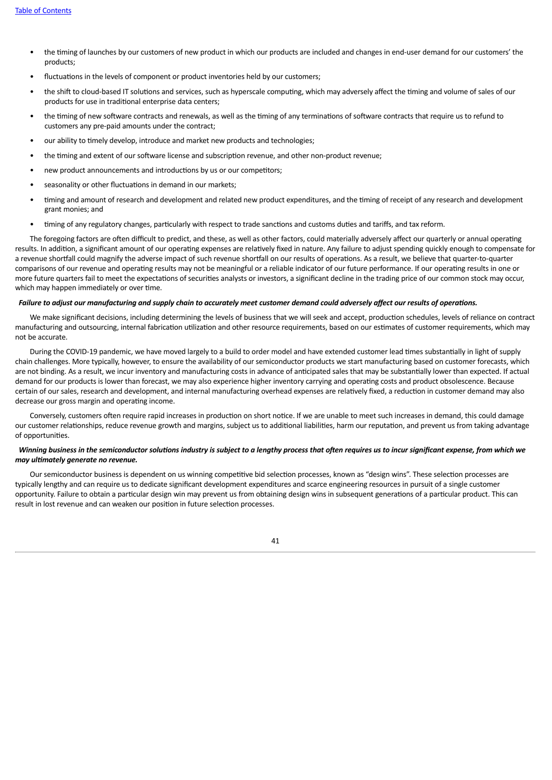- the timing of launches by our customers of new product in which our products are included and changes in end-user demand for our customers' the products;
- fluctuations in the levels of component or product inventories held by our customers;
- the shift to cloud-based IT solutions and services, such as hyperscale computing, which may adversely affect the timing and volume of sales of our products for use in traditional enterprise data centers;
- the timing of new software contracts and renewals, as well as the timing of any terminations of software contracts that require us to refund to customers any pre-paid amounts under the contract;
- our ability to timely develop, introduce and market new products and technologies;
- the timing and extent of our software license and subscription revenue, and other non-product revenue;
- new product announcements and introductions by us or our competitors;
- seasonality or other fluctuations in demand in our markets;
- timing and amount of research and development and related new product expenditures, and the timing of receipt of any research and development grant monies; and
- timing of any regulatory changes, particularly with respect to trade sanctions and customs duties and tariffs, and tax reform.

The foregoing factors are often difficult to predict, and these, as well as other factors, could materially adversely affect our quarterly or annual operating results. In addition, a significant amount of our operating expenses are relatively fixed in nature. Any failure to adjust spending quickly enough to compensate for a revenue shortfall could magnify the adverse impact of such revenue shortfall on our results of operations. As a result, we believe that quarter-to-quarter comparisons of our revenue and operating results may not be meaningful or a reliable indicator of our future performance. If our operating results in one or more future quarters fail to meet the expectations of securities analysts or investors, a significant decline in the trading price of our common stock may occur, which may happen immediately or over time.

#### Failure to adjust our manufacturing and supply chain to accurately meet customer demand could adversely affect our results of operations.

We make significant decisions, including determining the levels of business that we will seek and accept, production schedules, levels of reliance on contract manufacturing and outsourcing, internal fabrication utilization and other resource requirements, based on our estimates of customer requirements, which may not be accurate.

During the COVID-19 pandemic, we have moved largely to a build to order model and have extended customer lead times substantially in light of supply chain challenges. More typically, however, to ensure the availability of our semiconductor products we start manufacturing based on customer forecasts, which are not binding. As a result, we incur inventory and manufacturing costs in advance of anticipated sales that may be substantially lower than expected. If actual demand for our products is lower than forecast, we may also experience higher inventory carrying and operating costs and product obsolescence. Because certain of our sales, research and development, and internal manufacturing overhead expenses are relatively fixed, a reduction in customer demand may also decrease our gross margin and operating income.

Conversely, customers often require rapid increases in production on short notice. If we are unable to meet such increases in demand, this could damage our customer relationships, reduce revenue growth and margins, subject us to additional liabilities, harm our reputation, and prevent us from taking advantage of opportunities.

### Winning business in the semiconductor solutions industry is subject to a lengthy process that often requires us to incur significant expense, from which we *may ultimately generate no revenue.*

Our semiconductor business is dependent on us winning competitive bid selection processes, known as "design wins". These selection processes are typically lengthy and can require us to dedicate significant development expenditures and scarce engineering resources in pursuit of a single customer opportunity. Failure to obtain a particular design win may prevent us from obtaining design wins in subsequent generations of a particular product. This can result in lost revenue and can weaken our position in future selection processes.

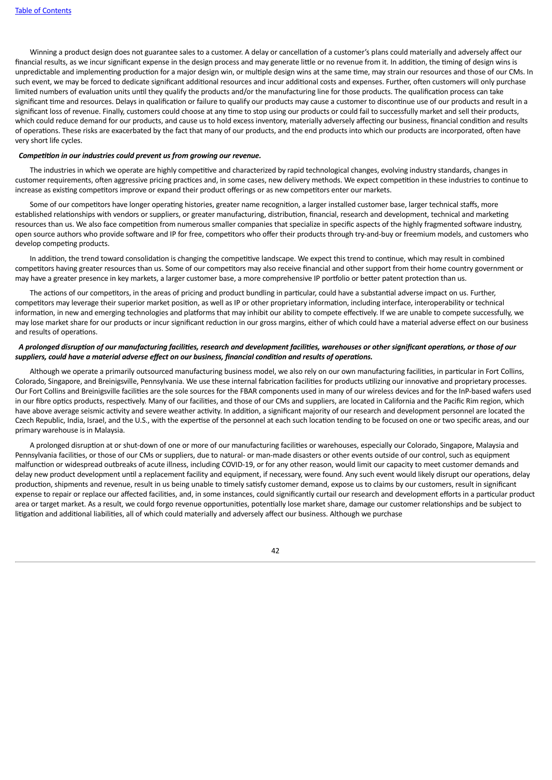Winning a product design does not guarantee sales to a customer. A delay or cancellation of a customer's plans could materially and adversely affect our financial results, as we incur significant expense in the design process and may generate little or no revenue from it. In addition, the timing of design wins is unpredictable and implementing production for a major design win, or multiple design wins at the same time, may strain our resources and those of our CMs. In such event, we may be forced to dedicate significant additional resources and incur additional costs and expenses. Further, often customers will only purchase limited numbers of evaluation units until they qualify the products and/or the manufacturing line for those products. The qualification process can take significant time and resources. Delays in qualification or failure to qualify our products may cause a customer to discontinue use of our products and result in a significant loss of revenue. Finally, customers could choose at any time to stop using our products or could fail to successfully market and sell their products, which could reduce demand for our products, and cause us to hold excess inventory, materially adversely affecting our business, financial condition and results of operations. These risks are exacerbated by the fact that many of our products, and the end products into which our products are incorporated, often have very short life cycles.

### *Competition in our industries could prevent us from growing our revenue.*

The industries in which we operate are highly competitive and characterized by rapid technological changes, evolving industry standards, changes in customer requirements, often aggressive pricing practices and, in some cases, new delivery methods. We expect competition in these industries to continue to increase as existing competitors improve or expand their product offerings or as new competitors enter our markets.

Some of our competitors have longer operating histories, greater name recognition, a larger installed customer base, larger technical staffs, more established relationships with vendors or suppliers, or greater manufacturing, distribution, financial, research and development, technical and marketing resources than us. We also face competition from numerous smaller companies that specialize in specific aspects of the highly fragmented software industry, open source authors who provide software and IP for free, competitors who offer their products through try-and-buy or freemium models, and customers who develop competing products.

In addition, the trend toward consolidation is changing the competitive landscape. We expect this trend to continue, which may result in combined competitors having greater resources than us. Some of our competitors may also receive financial and other support from their home country government or may have a greater presence in key markets, a larger customer base, a more comprehensive IP portfolio or better patent protection than us.

The actions of our competitors, in the areas of pricing and product bundling in particular, could have a substantial adverse impact on us. Further, competitors may leverage their superior market position, as well as IP or other proprietary information, including interface, interoperability or technical information, in new and emerging technologies and platforms that may inhibit our ability to compete effectively. If we are unable to compete successfully, we may lose market share for our products or incur significant reduction in our gross margins, either of which could have a material adverse effect on our business and results of operations.

### A prolonged disruption of our manufacturing facilities, research and development facilities, warehouses or other significant operations, or those of our *suppliers, could have a material adverse effect on our business, financial condition and results of operations.*

Although we operate a primarily outsourced manufacturing business model, we also rely on our own manufacturing facilities, in particular in Fort Collins, Colorado, Singapore, and Breinigsville, Pennsylvania. We use these internal fabrication facilities for products utilizing our innovative and proprietary processes. Our Fort Collins and Breinigsville facilities are the sole sources for the FBAR components used in many of our wireless devices and for the InP-based wafers used in our fibre optics products, respectively. Many of our facilities, and those of our CMs and suppliers, are located in California and the Pacific Rim region, which have above average seismic activity and severe weather activity. In addition, a significant majority of our research and development personnel are located the Czech Republic, India, Israel, and the U.S., with the expertise of the personnel at each such location tending to be focused on one or two specific areas, and our primary warehouse is in Malaysia.

A prolonged disruption at or shut-down of one or more of our manufacturing facilities or warehouses, especially our Colorado, Singapore, Malaysia and Pennsylvania facilities, or those of our CMs or suppliers, due to natural- or man-made disasters or other events outside of our control, such as equipment malfunction or widespread outbreaks of acute illness, including COVID-19, or for any other reason, would limit our capacity to meet customer demands and delay new product development until a replacement facility and equipment, if necessary, were found. Any such event would likely disrupt our operations, delay production, shipments and revenue, result in us being unable to timely satisfy customer demand, expose us to claims by our customers, result in significant expense to repair or replace our affected facilities, and, in some instances, could significantly curtail our research and development efforts in a particular product area or target market. As a result, we could forgo revenue opportunities, potentially lose market share, damage our customer relationships and be subject to litigation and additional liabilities, all of which could materially and adversely affect our business. Although we purchase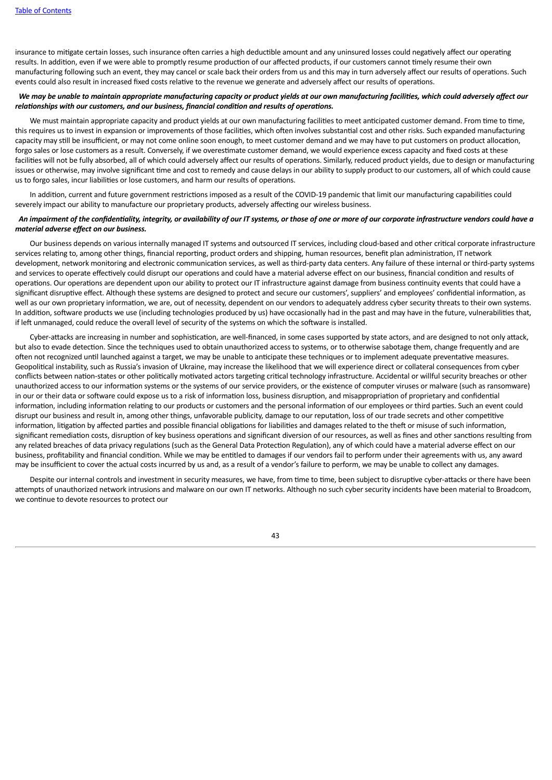insurance to mitigate certain losses, such insurance often carries a high deductible amount and any uninsured losses could negatively affect our operating results. In addition, even if we were able to promptly resume production of our affected products, if our customers cannot timely resume their own manufacturing following such an event, they may cancel or scale back their orders from us and this may in turn adversely affect our results of operations. Such events could also result in increased fixed costs relative to the revenue we generate and adversely affect our results of operations.

### We may be unable to maintain appropriate manufacturing capacity or product yields at our own manufacturing facilities, which could adversely affect our *relationships with our customers, and our business, financial condition and results of operations.*

We must maintain appropriate capacity and product yields at our own manufacturing facilities to meet anticipated customer demand. From time to time, this requires us to invest in expansion or improvements of those facilities, which often involves substantial cost and other risks. Such expanded manufacturing capacity may still be insufficient, or may not come online soon enough, to meet customer demand and we may have to put customers on product allocation, forgo sales or lose customers as a result. Conversely, if we overestimate customer demand, we would experience excess capacity and fixed costs at these facilities will not be fully absorbed, all of which could adversely affect our results of operations. Similarly, reduced product yields, due to design or manufacturing issues or otherwise, may involve significant time and cost to remedy and cause delays in our ability to supply product to our customers, all of which could cause us to forgo sales, incur liabilities or lose customers, and harm our results of operations.

In addition, current and future government restrictions imposed as a result of the COVID-19 pandemic that limit our manufacturing capabilities could severely impact our ability to manufacture our proprietary products, adversely affecting our wireless business.

### An impairment of the confidentiality, integrity, or availability of our IT systems, or those of one or more of our corporate infrastructure vendors could have a *material adverse effect on our business.*

Our business depends on various internally managed IT systems and outsourced IT services, including cloud-based and other critical corporate infrastructure services relating to, among other things, financial reporting, product orders and shipping, human resources, benefit plan administration, IT network development, network monitoring and electronic communication services, as well as third-party data centers. Any failure of these internal or third-party systems and services to operate effectively could disrupt our operations and could have a material adverse effect on our business, financial condition and results of operations. Our operations are dependent upon our ability to protect our IT infrastructure against damage from business continuity events that could have a significant disruptive effect. Although these systems are designed to protect and secure our customers', suppliers' and employees' confidential information, as well as our own proprietary information, we are, out of necessity, dependent on our vendors to adequately address cyber security threats to their own systems. In addition, software products we use (including technologies produced by us) have occasionally had in the past and may have in the future, vulnerabilities that, if left unmanaged, could reduce the overall level of security of the systems on which the software is installed.

Cyber-attacks are increasing in number and sophistication, are well-financed, in some cases supported by state actors, and are designed to not only attack, but also to evade detection. Since the techniques used to obtain unauthorized access to systems, or to otherwise sabotage them, change frequently and are often not recognized until launched against a target, we may be unable to anticipate these techniques or to implement adequate preventative measures. Geopolitical instability, such as Russia's invasion of Ukraine, may increase the likelihood that we will experience direct or collateral consequences from cyber conflicts between nation-states or other politically motivated actors targeting critical technology infrastructure. Accidental or willful security breaches or other unauthorized access to our information systems or the systems of our service providers, or the existence of computer viruses or malware (such as ransomware) in our or their data or software could expose us to a risk of information loss, business disruption, and misappropriation of proprietary and confidential information, including information relating to our products or customers and the personal information of our employees or third parties. Such an event could disrupt our business and result in, among other things, unfavorable publicity, damage to our reputation, loss of our trade secrets and other competitive information, litigation by affected parties and possible financial obligations for liabilities and damages related to the theft or misuse of such information, significant remediation costs, disruption of key business operations and significant diversion of our resources, as well as fines and other sanctions resulting from any related breaches of data privacy regulations (such as the General Data Protection Regulation), any of which could have a material adverse effect on our business, profitability and financial condition. While we may be entitled to damages if our vendors fail to perform under their agreements with us, any award may be insufficient to cover the actual costs incurred by us and, as a result of a vendor's failure to perform, we may be unable to collect any damages.

Despite our internal controls and investment in security measures, we have, from time to time, been subject to disruptive cyber-attacks or there have been attempts of unauthorized network intrusions and malware on our own IT networks. Although no such cyber security incidents have been material to Broadcom, we continue to devote resources to protect our

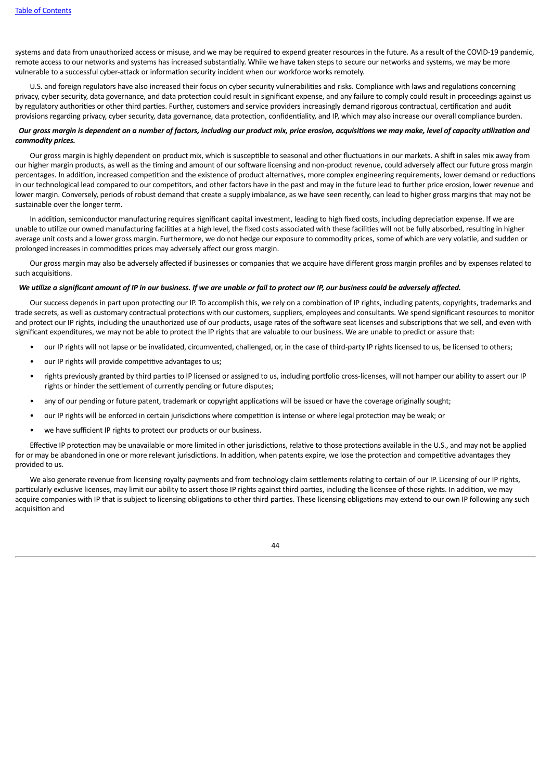systems and data from unauthorized access or misuse, and we may be required to expend greater resources in the future. As a result of the COVID-19 pandemic, remote access to our networks and systems has increased substantially. While we have taken steps to secure our networks and systems, we may be more vulnerable to a successful cyber-attack or information security incident when our workforce works remotely.

U.S. and foreign regulators have also increased their focus on cyber security vulnerabilities and risks. Compliance with laws and regulations concerning privacy, cyber security, data governance, and data protection could result in significant expense, and any failure to comply could result in proceedings against us by regulatory authorities or other third parties. Further, customers and service providers increasingly demand rigorous contractual, certification and audit provisions regarding privacy, cyber security, data governance, data protection, confidentiality, and IP, which may also increase our overall compliance burden.

### Our gross margin is dependent on a number of factors, including our product mix, price erosion, acquisitions we may make, level of capacity utilization and *commodity prices.*

Our gross margin is highly dependent on product mix, which is susceptible to seasonal and other fluctuations in our markets. A shift in sales mix away from our higher margin products, as well as the timing and amount of our software licensing and non-product revenue, could adversely affect our future gross margin percentages. In addition, increased competition and the existence of product alternatives, more complex engineering requirements, lower demand or reductions in our technological lead compared to our competitors, and other factors have in the past and may in the future lead to further price erosion, lower revenue and lower margin. Conversely, periods of robust demand that create a supply imbalance, as we have seen recently, can lead to higher gross margins that may not be sustainable over the longer term.

In addition, semiconductor manufacturing requires significant capital investment, leading to high fixed costs, including depreciation expense. If we are unable to utilize our owned manufacturing facilities at a high level, the fixed costs associated with these facilities will not be fully absorbed, resulting in higher average unit costs and a lower gross margin. Furthermore, we do not hedge our exposure to commodity prices, some of which are very volatile, and sudden or prolonged increases in commodities prices may adversely affect our gross margin.

Our gross margin may also be adversely affected if businesses or companies that we acquire have different gross margin profiles and by expenses related to such acquisitions.

### We utilize a significant amount of IP in our business. If we are unable or fail to protect our IP, our business could be adversely affected.

Our success depends in part upon protecting our IP. To accomplish this, we rely on a combination of IP rights, including patents, copyrights, trademarks and trade secrets, as well as customary contractual protections with our customers, suppliers, employees and consultants. We spend significant resources to monitor and protect our IP rights, including the unauthorized use of our products, usage rates of the software seat licenses and subscriptions that we sell, and even with significant expenditures, we may not be able to protect the IP rights that are valuable to our business. We are unable to predict or assure that:

- our IP rights will not lapse or be invalidated, circumvented, challenged, or, in the case of third-party IP rights licensed to us, be licensed to others;
- our IP rights will provide competitive advantages to us;
- rights previously granted by third parties to IP licensed or assigned to us, including portfolio cross-licenses, will not hamper our ability to assert our IP rights or hinder the settlement of currently pending or future disputes;
- any of our pending or future patent, trademark or copyright applications will be issued or have the coverage originally sought;
- our IP rights will be enforced in certain jurisdictions where competition is intense or where legal protection may be weak; or
- we have sufficient IP rights to protect our products or our business.

Effective IP protection may be unavailable or more limited in other jurisdictions, relative to those protections available in the U.S., and may not be applied for or may be abandoned in one or more relevant jurisdictions. In addition, when patents expire, we lose the protection and competitive advantages they provided to us.

We also generate revenue from licensing royalty payments and from technology claim settlements relating to certain of our IP. Licensing of our IP rights, particularly exclusive licenses, may limit our ability to assert those IP rights against third parties, including the licensee of those rights. In addition, we may acquire companies with IP that is subject to licensing obligations to other third parties. These licensing obligations may extend to our own IP following any such acquisition and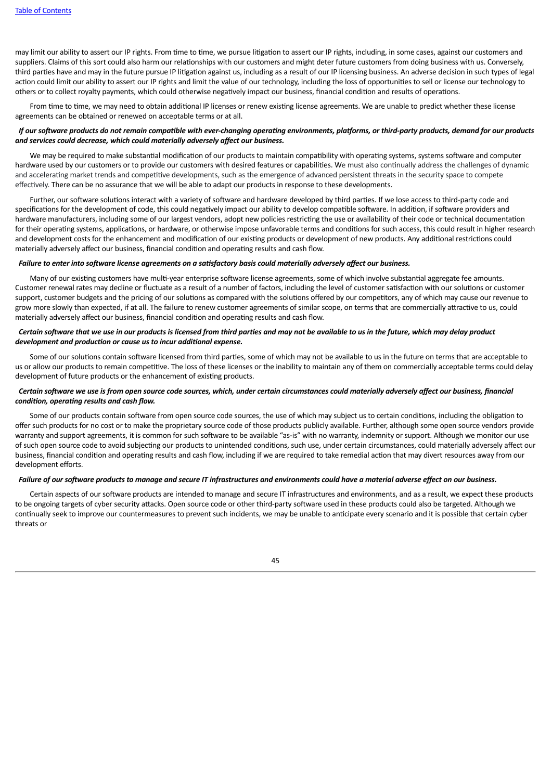may limit our ability to assert our IP rights. From time to time, we pursue litigation to assert our IP rights, including, in some cases, against our customers and suppliers. Claims of this sort could also harm our relationships with our customers and might deter future customers from doing business with us. Conversely, third parties have and may in the future pursue IP litigation against us, including as a result of our IP licensing business. An adverse decision in such types of legal action could limit our ability to assert our IP rights and limit the value of our technology, including the loss of opportunities to sell or license our technology to others or to collect royalty payments, which could otherwise negatively impact our business, financial condition and results of operations.

From time to time, we may need to obtain additional IP licenses or renew existing license agreements. We are unable to predict whether these license agreements can be obtained or renewed on acceptable terms or at all.

### If our software products do not remain compatible with ever-changing operating environments, platforms, or third-party products, demand for our products *and services could decrease, which could materially adversely affect our business.*

We may be required to make substantial modification of our products to maintain compatibility with operating systems, systems software and computer hardware used by our customers or to provide our customers with desired features or capabilities. We must also continually address the challenges of dynamic and accelerating market trends and competitive developments, such as the emergence of advanced persistent threats in the security space to compete effectively. There can be no assurance that we will be able to adapt our products in response to these developments.

Further, our software solutions interact with a variety of software and hardware developed by third parties. If we lose access to third-party code and specifications for the development of code, this could negatively impact our ability to develop compatible software. In addition, if software providers and hardware manufacturers, including some of our largest vendors, adopt new policies restricting the use or availability of their code or technical documentation for their operating systems, applications, or hardware, or otherwise impose unfavorable terms and conditions for such access, this could result in higher research and development costs for the enhancement and modification of our existing products or development of new products. Any additional restrictions could materially adversely affect our business, financial condition and operating results and cash flow.

#### Failure to enter into software license agreements on a satisfactory basis could materially adversely affect our business.

Many of our existing customers have multi-year enterprise software license agreements, some of which involve substantial aggregate fee amounts. Customer renewal rates may decline or fluctuate as a result of a number of factors, including the level of customer satisfaction with our solutions or customer support, customer budgets and the pricing of our solutions as compared with the solutions offered by our competitors, any of which may cause our revenue to grow more slowly than expected, if at all. The failure to renew customer agreements of similar scope, on terms that are commercially attractive to us, could materially adversely affect our business, financial condition and operating results and cash flow.

### Certain software that we use in our products is licensed from third parties and may not be available to us in the future, which may delay product *development and production or cause us to incur additional expense.*

Some of our solutions contain software licensed from third parties, some of which may not be available to us in the future on terms that are acceptable to us or allow our products to remain competitive. The loss of these licenses or the inability to maintain any of them on commercially acceptable terms could delay development of future products or the enhancement of existing products.

### Certain software we use is from open source code sources, which, under certain circumstances could materially adversely affect our business, financial *condition, operating results and cash flow.*

Some of our products contain software from open source code sources, the use of which may subject us to certain conditions, including the obligation to offer such products for no cost or to make the proprietary source code of those products publicly available. Further, although some open source vendors provide warranty and support agreements, it is common for such software to be available "as-is" with no warranty, indemnity or support. Although we monitor our use of such open source code to avoid subjecting our products to unintended conditions, such use, under certain circumstances, could materially adversely affect our business, financial condition and operating results and cash flow, including if we are required to take remedial action that may divert resources away from our development efforts.

#### Failure of our software products to manage and secure IT infrastructures and environments could have a material adverse effect on our business.

Certain aspects of our software products are intended to manage and secure IT infrastructures and environments, and as a result, we expect these products to be ongoing targets of cyber security attacks. Open source code or other third-party software used in these products could also be targeted. Although we continually seek to improve our countermeasures to prevent such incidents, we may be unable to anticipate every scenario and it is possible that certain cyber threats or

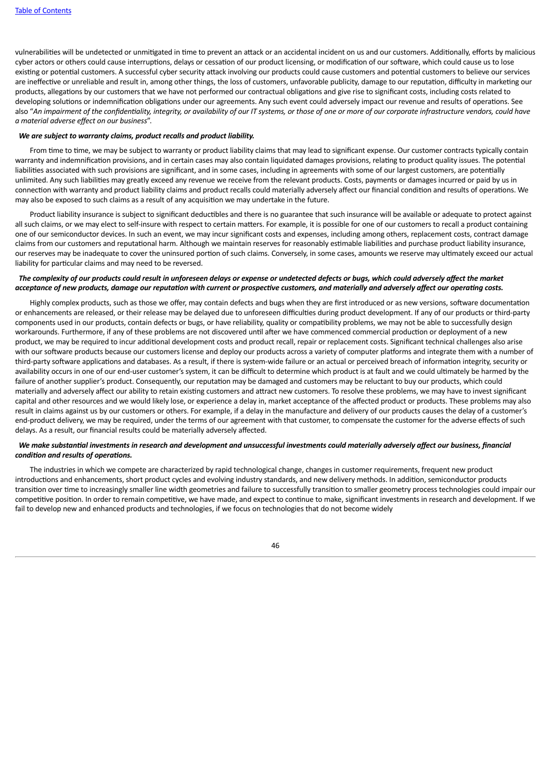vulnerabilities will be undetected or unmitigated in time to prevent an attack or an accidental incident on us and our customers. Additionally, efforts by malicious cyber actors or others could cause interruptions, delays or cessation of our product licensing, or modification of our software, which could cause us to lose existing or potential customers. A successful cyber security attack involving our products could cause customers and potential customers to believe our services are ineffective or unreliable and result in, among other things, the loss of customers, unfavorable publicity, damage to our reputation, difficulty in marketing our products, allegations by our customers that we have not performed our contractual obligations and give rise to significant costs, including costs related to developing solutions or indemnification obligations under our agreements. Any such event could adversely impact our revenue and results of operations. See also "An impairment of the confidentiality, integrity, or availability of our IT systems, or those of one or more of our corporate infrastructure vendors, could have *a material adverse effect on our business*".

### *We are subject to warranty claims, product recalls and product liability.*

From time to time, we may be subject to warranty or product liability claims that may lead to significant expense. Our customer contracts typically contain warranty and indemnification provisions, and in certain cases may also contain liquidated damages provisions, relating to product quality issues. The potential liabilities associated with such provisions are significant, and in some cases, including in agreements with some of our largest customers, are potentially unlimited. Any such liabilities may greatly exceed any revenue we receive from the relevant products. Costs, payments or damages incurred or paid by us in connection with warranty and product liability claims and product recalls could materially adversely affect our financial condition and results of operations. We may also be exposed to such claims as a result of any acquisition we may undertake in the future.

Product liability insurance is subject to significant deductibles and there is no guarantee that such insurance will be available or adequate to protect against all such claims, or we may elect to self-insure with respect to certain matters. For example, it is possible for one of our customers to recall a product containing one of our semiconductor devices. In such an event, we may incur significant costs and expenses, including among others, replacement costs, contract damage claims from our customers and reputational harm. Although we maintain reserves for reasonably estimable liabilities and purchase product liability insurance, our reserves may be inadequate to cover the uninsured portion of such claims. Conversely, in some cases, amounts we reserve may ultimately exceed our actual liability for particular claims and may need to be reversed.

### The complexity of our products could result in unforeseen delays or expense or undetected defects or bugs, which could adversely affect the market acceptance of new products, damage our reputation with current or prospective customers, and materially and adversely affect our operating costs.

Highly complex products, such as those we offer, may contain defects and bugs when they are first introduced or as new versions, software documentation or enhancements are released, or their release may be delayed due to unforeseen difficulties during product development. If any of our products or third-party components used in our products, contain defects or bugs, or have reliability, quality or compatibility problems, we may not be able to successfully design workarounds. Furthermore, if any of these problems are not discovered until after we have commenced commercial production or deployment of a new product, we may be required to incur additional development costs and product recall, repair or replacement costs. Significant technical challenges also arise with our software products because our customers license and deploy our products across a variety of computer platforms and integrate them with a number of third-party software applications and databases. As a result, if there is system-wide failure or an actual or perceived breach of information integrity, security or availability occurs in one of our end-user customer's system, it can be difficult to determine which product is at fault and we could ultimately be harmed by the failure of another supplier's product. Consequently, our reputation may be damaged and customers may be reluctant to buy our products, which could materially and adversely affect our ability to retain existing customers and attract new customers. To resolve these problems, we may have to invest significant capital and other resources and we would likely lose, or experience a delay in, market acceptance of the affected product or products. These problems may also result in claims against us by our customers or others. For example, if a delay in the manufacture and delivery of our products causes the delay of a customer's end-product delivery, we may be required, under the terms of our agreement with that customer, to compensate the customer for the adverse effects of such delays. As a result, our financial results could be materially adversely affected.

### We make substantial investments in research and development and unsuccessful investments could materially adversely affect our business, financial *condition and results of operations.*

The industries in which we compete are characterized by rapid technological change, changes in customer requirements, frequent new product introductions and enhancements, short product cycles and evolving industry standards, and new delivery methods. In addition, semiconductor products transition over time to increasingly smaller line width geometries and failure to successfully transition to smaller geometry process technologies could impair our competitive position. In order to remain competitive, we have made, and expect to continue to make, significant investments in research and development. If we fail to develop new and enhanced products and technologies, if we focus on technologies that do not become widely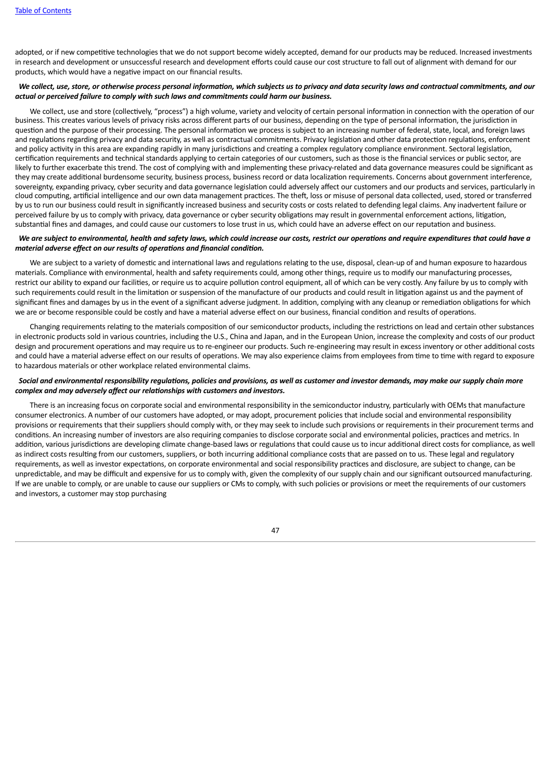adopted, or if new competitive technologies that we do not support become widely accepted, demand for our products may be reduced. Increased investments in research and development or unsuccessful research and development efforts could cause our cost structure to fall out of alignment with demand for our products, which would have a negative impact on our financial results.

### We collect, use, store, or otherwise process personal information, which subjects us to privacy and data security laws and contractual commitments, and our *actual or perceived failure to comply with such laws and commitments could harm our business.*

We collect, use and store (collectively, "process") a high volume, variety and velocity of certain personal information in connection with the operation of our business. This creates various levels of privacy risks across different parts of our business, depending on the type of personal information, the jurisdiction in question and the purpose of their processing. The personal information we process is subject to an increasing number of federal, state, local, and foreign laws and regulations regarding privacy and data security, as well as contractual commitments. Privacy legislation and other data protection regulations, enforcement and policy activity in this area are expanding rapidly in many jurisdictions and creating a complex regulatory compliance environment. Sectoral legislation, certification requirements and technical standards applying to certain categories of our customers, such as those is the financial services or public sector, are likely to further exacerbate this trend. The cost of complying with and implementing these privacy-related and data governance measures could be significant as they may create additional burdensome security, business process, business record or data localization requirements. Concerns about government interference, sovereignty, expanding privacy, cyber security and data governance legislation could adversely affect our customers and our products and services, particularly in cloud computing, artificial intelligence and our own data management practices. The theft, loss or misuse of personal data collected, used, stored or transferred by us to run our business could result in significantly increased business and security costs or costs related to defending legal claims. Any inadvertent failure or perceived failure by us to comply with privacy, data governance or cyber security obligations may result in governmental enforcement actions, litigation, substantial fines and damages, and could cause our customers to lose trust in us, which could have an adverse effect on our reputation and business.

### We are subject to environmental, health and safety laws, which could increase our costs, restrict our operations and require expenditures that could have a *material adverse effect on our results of operations and financial condition.*

We are subject to a variety of domestic and international laws and regulations relating to the use, disposal, clean-up of and human exposure to hazardous materials. Compliance with environmental, health and safety requirements could, among other things, require us to modify our manufacturing processes, restrict our ability to expand our facilities, or require us to acquire pollution control equipment, all of which can be very costly. Any failure by us to comply with such requirements could result in the limitation or suspension of the manufacture of our products and could result in litigation against us and the payment of significant fines and damages by us in the event of a significant adverse judgment. In addition, complying with any cleanup or remediation obligations for which we are or become responsible could be costly and have a material adverse effect on our business, financial condition and results of operations.

Changing requirements relating to the materials composition of our semiconductor products, including the restrictions on lead and certain other substances in electronic products sold in various countries, including the U.S., China and Japan, and in the European Union, increase the complexity and costs of our product design and procurement operations and may require us to re-engineer our products. Such re-engineering may result in excess inventory or other additional costs and could have a material adverse effect on our results of operations. We may also experience claims from employees from time to time with regard to exposure to hazardous materials or other workplace related environmental claims.

### Social and environmental responsibility regulations, policies and provisions, as well as customer and investor demands, may make our supply chain more *complex and may adversely affect our relationships with customers and investors.*

There is an increasing focus on corporate social and environmental responsibility in the semiconductor industry, particularly with OEMs that manufacture consumer electronics. A number of our customers have adopted, or may adopt, procurement policies that include social and environmental responsibility provisions or requirements that their suppliers should comply with, or they may seek to include such provisions or requirements in their procurement terms and conditions. An increasing number of investors are also requiring companies to disclose corporate social and environmental policies, practices and metrics. In addition, various jurisdictions are developing climate change-based laws or regulations that could cause us to incur additional direct costs for compliance, as well as indirect costs resulting from our customers, suppliers, or both incurring additional compliance costs that are passed on to us. These legal and regulatory requirements, as well as investor expectations, on corporate environmental and social responsibility practices and disclosure, are subject to change, can be unpredictable, and may be difficult and expensive for us to comply with, given the complexity of our supply chain and our significant outsourced manufacturing. If we are unable to comply, or are unable to cause our suppliers or CMs to comply, with such policies or provisions or meet the requirements of our customers and investors, a customer may stop purchasing

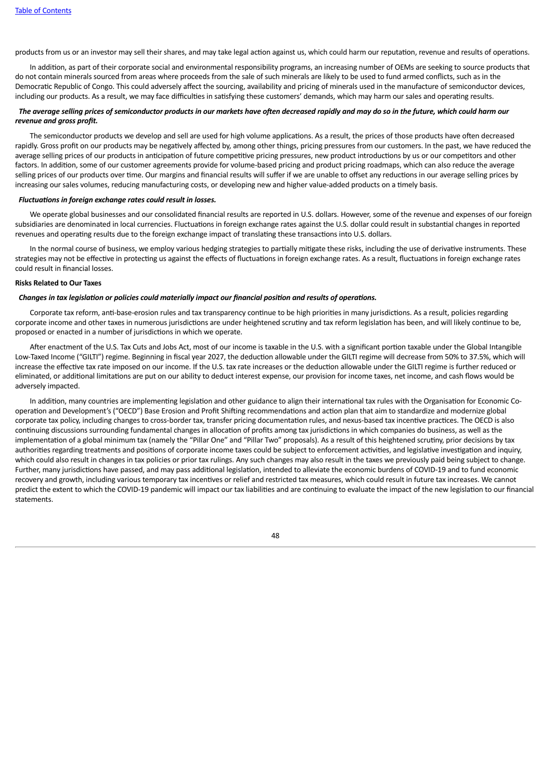products from us or an investor may sell their shares, and may take legal action against us, which could harm our reputation, revenue and results of operations.

In addition, as part of their corporate social and environmental responsibility programs, an increasing number of OEMs are seeking to source products that do not contain minerals sourced from areas where proceeds from the sale of such minerals are likely to be used to fund armed conflicts, such as in the Democratic Republic of Congo. This could adversely affect the sourcing, availability and pricing of minerals used in the manufacture of semiconductor devices, including our products. As a result, we may face difficulties in satisfying these customers' demands, which may harm our sales and operating results.

### The average selling prices of semiconductor products in our markets have often decreased rapidly and may do so in the future, which could harm our *revenue and gross profit.*

The semiconductor products we develop and sell are used for high volume applications. As a result, the prices of those products have often decreased rapidly. Gross profit on our products may be negatively affected by, among other things, pricing pressures from our customers. In the past, we have reduced the average selling prices of our products in anticipation of future competitive pricing pressures, new product introductions by us or our competitors and other factors. In addition, some of our customer agreements provide for volume-based pricing and product pricing roadmaps, which can also reduce the average selling prices of our products over time. Our margins and financial results will suffer if we are unable to offset any reductions in our average selling prices by increasing our sales volumes, reducing manufacturing costs, or developing new and higher value-added products on a timely basis.

#### *Fluctuations in foreign exchange rates could result in losses.*

We operate global businesses and our consolidated financial results are reported in U.S. dollars. However, some of the revenue and expenses of our foreign subsidiaries are denominated in local currencies. Fluctuations in foreign exchange rates against the U.S. dollar could result in substantial changes in reported revenues and operating results due to the foreign exchange impact of translating these transactions into U.S. dollars.

In the normal course of business, we employ various hedging strategies to partially mitigate these risks, including the use of derivative instruments. These strategies may not be effective in protecting us against the effects of fluctuations in foreign exchange rates. As a result, fluctuations in foreign exchange rates could result in financial losses.

#### **Risks Related to Our Taxes**

#### *Changes in tax legislation or policies could materially impact our financial position and results of operations.*

Corporate tax reform, anti-base-erosion rules and tax transparency continue to be high priorities in many jurisdictions. As a result, policies regarding corporate income and other taxes in numerous jurisdictions are under heightened scrutiny and tax reform legislation has been, and will likely continue to be, proposed or enacted in a number of jurisdictions in which we operate.

After enactment of the U.S. Tax Cuts and Jobs Act, most of our income is taxable in the U.S. with a significant portion taxable under the Global Intangible Low-Taxed Income ("GILTI") regime. Beginning in fiscal year 2027, the deduction allowable under the GILTI regime will decrease from 50% to 37.5%, which will increase the effective tax rate imposed on our income. If the U.S. tax rate increases or the deduction allowable under the GILTI regime is further reduced or eliminated, or additional limitations are put on our ability to deduct interest expense, our provision for income taxes, net income, and cash flows would be adversely impacted.

In addition, many countries are implementing legislation and other guidance to align their international tax rules with the Organisation for Economic Cooperation and Development's ("OECD") Base Erosion and Profit Shifting recommendations and action plan that aim to standardize and modernize global corporate tax policy, including changes to cross-border tax, transfer pricing documentation rules, and nexus-based tax incentive practices. The OECD is also continuing discussions surrounding fundamental changes in allocation of profits among tax jurisdictions in which companies do business, as well as the implementation of a global minimum tax (namely the "Pillar One" and "Pillar Two" proposals). As a result of this heightened scrutiny, prior decisions by tax authorities regarding treatments and positions of corporate income taxes could be subject to enforcement activities, and legislative investigation and inquiry, which could also result in changes in tax policies or prior tax rulings. Any such changes may also result in the taxes we previously paid being subject to change. Further, many jurisdictions have passed, and may pass additional legislation, intended to alleviate the economic burdens of COVID-19 and to fund economic recovery and growth, including various temporary tax incentives or relief and restricted tax measures, which could result in future tax increases. We cannot predict the extent to which the COVID-19 pandemic will impact our tax liabilities and are continuing to evaluate the impact of the new legislation to our financial statements.

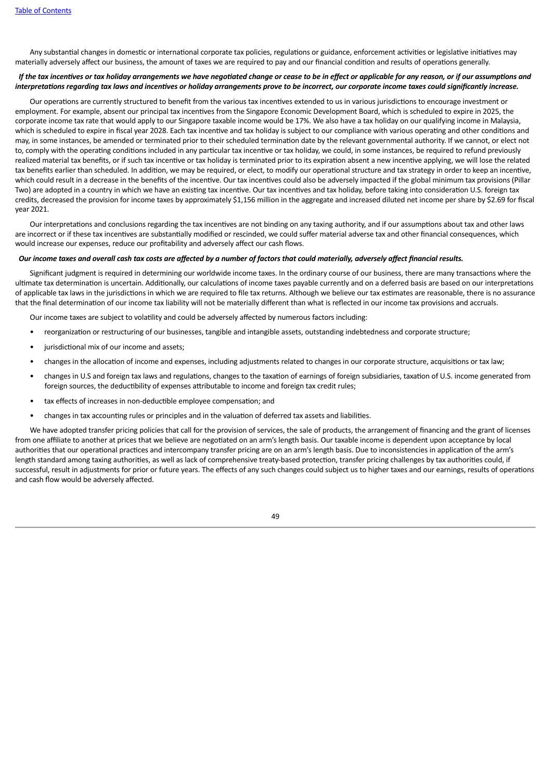Any substantial changes in domestic or international corporate tax policies, regulations or guidance, enforcement activities or legislative initiatives may materially adversely affect our business, the amount of taxes we are required to pay and our financial condition and results of operations generally.

### If the tax incentives or tax holiday arrangements we have negotiated change or cease to be in effect or applicable for any reason, or if our assumptions and interpretations regarding tax laws and incentives or holiday arrangements prove to be incorrect, our corporate income taxes could significantly increase.

Our operations are currently structured to benefit from the various tax incentives extended to us in various jurisdictions to encourage investment or employment. For example, absent our principal tax incentives from the Singapore Economic Development Board, which is scheduled to expire in 2025, the corporate income tax rate that would apply to our Singapore taxable income would be 17%. We also have a tax holiday on our qualifying income in Malaysia, which is scheduled to expire in fiscal year 2028. Each tax incentive and tax holiday is subject to our compliance with various operating and other conditions and may, in some instances, be amended or terminated prior to their scheduled termination date by the relevant governmental authority. If we cannot, or elect not to, comply with the operating conditions included in any particular tax incentive or tax holiday, we could, in some instances, be required to refund previously realized material tax benefits, or if such tax incentive or tax holiday is terminated prior to its expiration absent a new incentive applying, we will lose the related tax benefits earlier than scheduled. In addition, we may be required, or elect, to modify our operational structure and tax strategy in order to keep an incentive, which could result in a decrease in the benefits of the incentive. Our tax incentives could also be adversely impacted if the global minimum tax provisions (Pillar Two) are adopted in a country in which we have an existing tax incentive. Our tax incentives and tax holiday, before taking into consideration U.S. foreign tax credits, decreased the provision for income taxes by approximately \$1,156 million in the aggregate and increased diluted net income per share by \$2.69 for fiscal year 2021.

Our interpretations and conclusions regarding the tax incentives are not binding on any taxing authority, and if our assumptions about tax and other laws are incorrect or if these tax incentives are substantially modified or rescinded, we could suffer material adverse tax and other financial consequences, which would increase our expenses, reduce our profitability and adversely affect our cash flows.

### Our income taxes and overall cash tax costs are affected by a number of factors that could materially, adversely affect financial results.

Significant judgment is required in determining our worldwide income taxes. In the ordinary course of our business, there are many transactions where the ultimate tax determination is uncertain. Additionally, our calculations of income taxes payable currently and on a deferred basis are based on our interpretations of applicable tax laws in the jurisdictions in which we are required to file tax returns. Although we believe our tax estimates are reasonable, there is no assurance that the final determination of our income tax liability will not be materially different than what is reflected in our income tax provisions and accruals.

Our income taxes are subject to volatility and could be adversely affected by numerous factors including:

- reorganization or restructuring of our businesses, tangible and intangible assets, outstanding indebtedness and corporate structure;
- jurisdictional mix of our income and assets:
- changes in the allocation of income and expenses, including adjustments related to changes in our corporate structure, acquisitions or tax law;
- changes in U.S and foreign tax laws and regulations, changes to the taxation of earnings of foreign subsidiaries, taxation of U.S. income generated from foreign sources, the deductibility of expenses attributable to income and foreign tax credit rules;
- tax effects of increases in non-deductible employee compensation; and
- changes in tax accounting rules or principles and in the valuation of deferred tax assets and liabilities.

We have adopted transfer pricing policies that call for the provision of services, the sale of products, the arrangement of financing and the grant of licenses from one affiliate to another at prices that we believe are negotiated on an arm's length basis. Our taxable income is dependent upon acceptance by local authorities that our operational practices and intercompany transfer pricing are on an arm's length basis. Due to inconsistencies in application of the arm's length standard among taxing authorities, as well as lack of comprehensive treaty-based protection, transfer pricing challenges by tax authorities could, if successful, result in adjustments for prior or future years. The effects of any such changes could subject us to higher taxes and our earnings, results of operations and cash flow would be adversely affected.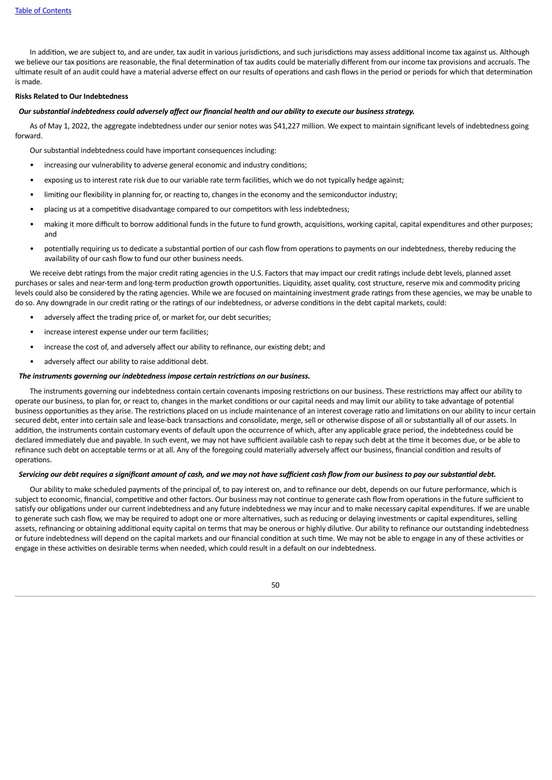In addition, we are subject to, and are under, tax audit in various jurisdictions, and such jurisdictions may assess additional income tax against us. Although we believe our tax positions are reasonable, the final determination of tax audits could be materially different from our income tax provisions and accruals. The ultimate result of an audit could have a material adverse effect on our results of operations and cash flows in the period or periods for which that determination is made.

### **Risks Related to Our Indebtedness**

#### Our substantial indebtedness could adversely affect our financial health and our ability to execute our business strategy.

As of May 1, 2022, the aggregate indebtedness under our senior notes was \$41,227 million. We expect to maintain significant levels of indebtedness going forward.

Our substantial indebtedness could have important consequences including:

- increasing our vulnerability to adverse general economic and industry conditions;
- exposing us to interest rate risk due to our variable rate term facilities, which we do not typically hedge against;
- limiting our flexibility in planning for, or reacting to, changes in the economy and the semiconductor industry;
- placing us at a competitive disadvantage compared to our competitors with less indebtedness;
- making it more difficult to borrow additional funds in the future to fund growth, acquisitions, working capital, capital expenditures and other purposes; and
- potentially requiring us to dedicate a substantial portion of our cash flow from operations to payments on our indebtedness, thereby reducing the availability of our cash flow to fund our other business needs.

We receive debt ratings from the major credit rating agencies in the U.S. Factors that may impact our credit ratings include debt levels, planned asset purchases or sales and near-term and long-term production growth opportunities. Liquidity, asset quality, cost structure, reserve mix and commodity pricing levels could also be considered by the rating agencies. While we are focused on maintaining investment grade ratings from these agencies, we may be unable to do so. Any downgrade in our credit rating or the ratings of our indebtedness, or adverse conditions in the debt capital markets, could:

- adversely affect the trading price of, or market for, our debt securities;
- increase interest expense under our term facilities;
- increase the cost of, and adversely affect our ability to refinance, our existing debt; and
- adversely affect our ability to raise additional debt.

#### *The instruments governing our indebtedness impose certain restrictions on our business.*

The instruments governing our indebtedness contain certain covenants imposing restrictions on our business. These restrictions may affect our ability to operate our business, to plan for, or react to, changes in the market conditions or our capital needs and may limit our ability to take advantage of potential business opportunities as they arise. The restrictions placed on us include maintenance of an interest coverage ratio and limitations on our ability to incur certain secured debt, enter into certain sale and lease-back transactions and consolidate, merge, sell or otherwise dispose of all or substantially all of our assets. In addition, the instruments contain customary events of default upon the occurrence of which, after any applicable grace period, the indebtedness could be declared immediately due and payable. In such event, we may not have sufficient available cash to repay such debt at the time it becomes due, or be able to refinance such debt on acceptable terms or at all. Any of the foregoing could materially adversely affect our business, financial condition and results of operations.

### Servicing our debt requires a significant amount of cash, and we may not have sufficient cash flow from our business to pay our substantial debt.

Our ability to make scheduled payments of the principal of, to pay interest on, and to refinance our debt, depends on our future performance, which is subject to economic, financial, competitive and other factors. Our business may not continue to generate cash flow from operations in the future sufficient to satisfy our obligations under our current indebtedness and any future indebtedness we may incur and to make necessary capital expenditures. If we are unable to generate such cash flow, we may be required to adopt one or more alternatives, such as reducing or delaying investments or capital expenditures, selling assets, refinancing or obtaining additional equity capital on terms that may be onerous or highly dilutive. Our ability to refinance our outstanding indebtedness or future indebtedness will depend on the capital markets and our financial condition at such time. We may not be able to engage in any of these activities or engage in these activities on desirable terms when needed, which could result in a default on our indebtedness.

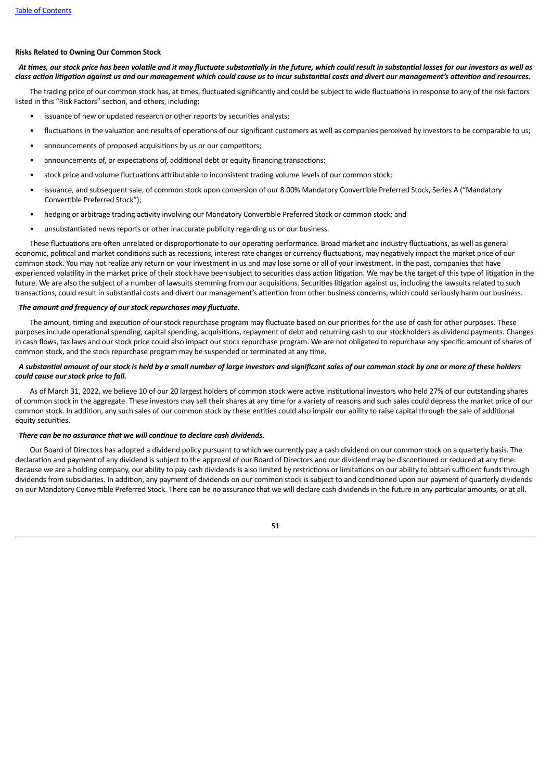## **Risks Related to Owning Our Common Stock**

## At times, our stock price has been volatile and it may fluctuate substantially in the future, which could result in substantial losses for our investors as well as class action litigation against us and our management which could cause us to incur substantial costs and divert our management's attention and resources.

The trading price of our common stock has, at times, fluctuated significantly and could be subject to wide fluctuations in response to any of the risk factors listed in this "Risk Factors" section, and others, including:

- issuance of new or updated research or other reports by securities analysts;
- fluctuations in the valuation and results of operations of our significant customers as well as companies perceived by investors to be comparable to us;
- announcements of proposed acquisitions by us or our competitors;
- announcements of, or expectations of, additional debt or equity financing transactions;
- stock price and volume fluctuations attributable to inconsistent trading volume levels of our common stock;
- issuance, and subsequent sale, of common stock upon conversion of our 8.00% Mandatory Convertible Preferred Stock, Series A ("Mandatory Convertible Preferred Stock");
- hedging or arbitrage trading activity involving our Mandatory Convertible Preferred Stock or common stock; and
- unsubstantiated news reports or other inaccurate publicity regarding us or our business.

These fluctuations are often unrelated or disproportionate to our operating performance. Broad market and industry fluctuations, as well as general economic, political and market conditions such as recessions, interest rate changes or currency fluctuations, may negatively impact the market price of our common stock. You may not realize any return on your investment in us and may lose some or all of your investment. In the past, companies that have experienced volatility in the market price of their stock have been subject to securities class action litigation. We may be the target of this type of litigation in the future. We are also the subject of a number of lawsuits stemming from our acquisitions. Securities litigation against us, including the lawsuits related to such transactions, could result in substantial costs and divert our management's attention from other business concerns, which could seriously harm our business.

## *The amount and frequency of our stock repurchases may fluctuate.*

The amount, timing and execution of our stock repurchase program may fluctuate based on our priorities for the use of cash for other purposes. These purposes include operational spending, capital spending, acquisitions, repayment of debt and returning cash to our stockholders as dividend payments. Changes in cash flows, tax laws and our stock price could also impact our stock repurchase program. We are not obligated to repurchase any specific amount of shares of common stock, and the stock repurchase program may be suspended or terminated at any time.

## A substantial amount of our stock is held by a small number of large investors and significant sales of our common stock by one or more of these holders *could cause our stock price to fall.*

As of March 31, 2022, we believe 10 of our 20 largest holders of common stock were active institutional investors who held 27% of our outstanding shares of common stock in the aggregate. These investors may sell their shares at any time for a variety of reasons and such sales could depress the market price of our common stock. In addition, any such sales of our common stock by these entities could also impair our ability to raise capital through the sale of additional equity securities.

## *There can be no assurance that we will continue to declare cash dividends.*

<span id="page-52-0"></span>Our Board of Directors has adopted a dividend policy pursuant to which we currently pay a cash dividend on our common stock on a quarterly basis. The declaration and payment of any dividend is subject to the approval of our Board of Directors and our dividend may be discontinued or reduced at any time. Because we are a holding company, our ability to pay cash dividends is also limited by restrictions or limitations on our ability to obtain sufficient funds through dividends from subsidiaries. In addition, any payment of dividends on our common stock is subject to and conditioned upon our payment of quarterly dividends on our Mandatory Convertible Preferred Stock. There can be no assurance that we will declare cash dividends in the future in any particular amounts, or at all.

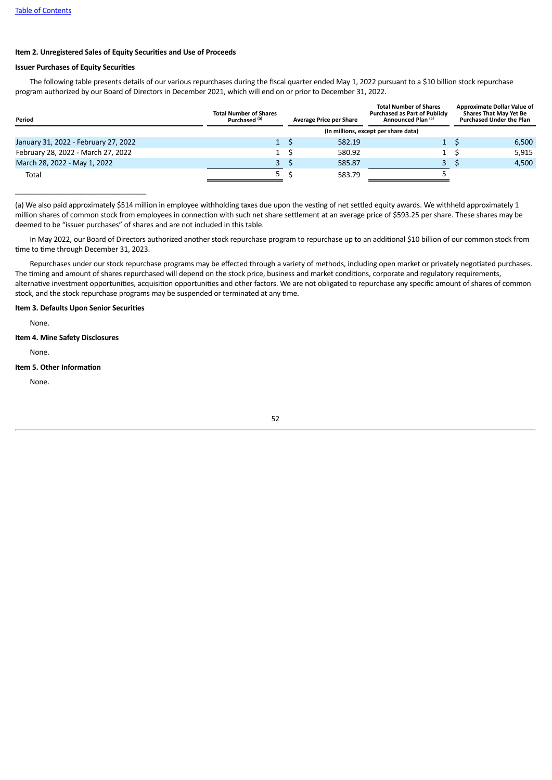### **Item 2. Unregistered Sales of Equity Securities and Use of Proceeds**

### **Issuer Purchases of Equity Securities**

The following table presents details of our various repurchases during the fiscal quarter ended May 1, 2022 pursuant to a \$10 billion stock repurchase program authorized by our Board of Directors in December 2021, which will end on or prior to December 31, 2022.

| Period                               | <b>Total Number of Shares</b><br>Purchased <sup>(a)</sup> |                | Average Price per Share | <b>Total Number of Shares</b><br><b>Purchased as Part of Publicly</b><br>Announced Plan (a) | <b>Approximate Dollar Value of</b><br><b>Shares That May Yet Be</b><br><b>Purchased Under the Plan</b> |
|--------------------------------------|-----------------------------------------------------------|----------------|-------------------------|---------------------------------------------------------------------------------------------|--------------------------------------------------------------------------------------------------------|
|                                      |                                                           |                |                         | (In millions, except per share data)                                                        |                                                                                                        |
| January 31, 2022 - February 27, 2022 |                                                           |                | 582.19                  |                                                                                             | 6,500                                                                                                  |
| February 28, 2022 - March 27, 2022   |                                                           | 1 S            | 580.92                  |                                                                                             | 5,915                                                                                                  |
| March 28, 2022 - May 1, 2022         |                                                           | 3 <sup>5</sup> | 585.87                  | $\mathbf{3}$                                                                                | 4,500                                                                                                  |
| Total                                |                                                           |                | 583.79                  |                                                                                             |                                                                                                        |

(a) We also paid approximately \$514 million in employee withholding taxes due upon the vesting of net settled equity awards. We withheld approximately 1 million shares of common stock from employees in connection with such net share settlement at an average price of \$593.25 per share. These shares may be deemed to be "issuer purchases" of shares and are not included in this table.

In May 2022, our Board of Directors authorized another stock repurchase program to repurchase up to an additional \$10 billion of our common stock from time to time through December 31, 2023.

Repurchases under our stock repurchase programs may be effected through a variety of methods, including open market or privately negotiated purchases. The timing and amount of shares repurchased will depend on the stock price, business and market conditions, corporate and regulatory requirements, alternative investment opportunities, acquisition opportunities and other factors. We are not obligated to repurchase any specific amount of shares of common stock, and the stock repurchase programs may be suspended or terminated at any time.

<span id="page-53-0"></span>**Item 3. Defaults Upon Senior Securities**

\_\_\_\_\_\_\_\_\_\_\_\_\_\_\_\_\_\_\_\_\_\_\_\_\_\_\_\_\_\_\_\_\_

None.

### <span id="page-53-1"></span>**Item 4. Mine Safety Disclosures**

None.

#### <span id="page-53-2"></span>**Item 5. Other Information**

<span id="page-53-3"></span>None.

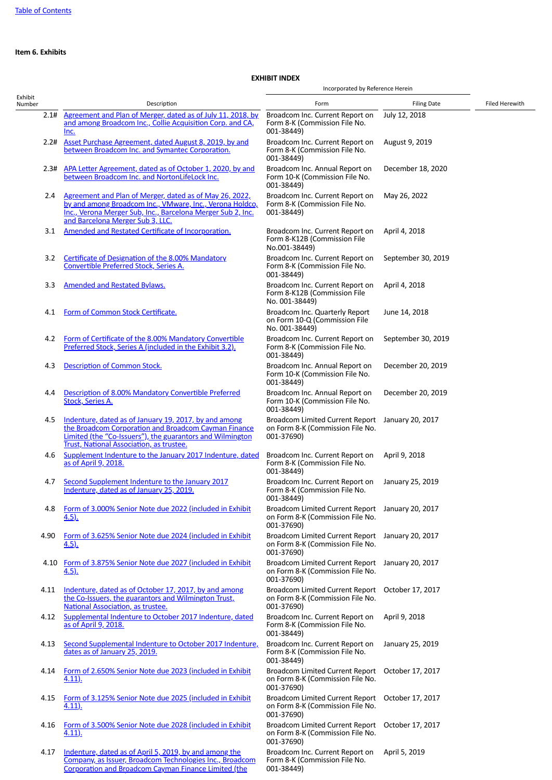## **Item 6. Exhibits**

## **EXHIBIT INDEX**

|                   |                                                                                                                                                                                                                        | Incorporated by Reference Herein                                                                   |                    |                       |
|-------------------|------------------------------------------------------------------------------------------------------------------------------------------------------------------------------------------------------------------------|----------------------------------------------------------------------------------------------------|--------------------|-----------------------|
| Exhibit<br>Number | Description                                                                                                                                                                                                            | Form                                                                                               | <b>Filing Date</b> | <b>Filed Herewith</b> |
| 2.1#              | Agreement and Plan of Merger, dated as of July 11, 2018, by<br>and among Broadcom Inc., Collie Acquisition Corp. and CA,<br>Inc.                                                                                       | Broadcom Inc. Current Report on<br>Form 8-K (Commission File No.<br>001-38449)                     | July 12, 2018      |                       |
|                   | 2.2# Asset Purchase Agreement, dated August 8, 2019, by and<br>between Broadcom Inc. and Symantec Corporation.                                                                                                         | Broadcom Inc. Current Report on<br>Form 8-K (Commission File No.<br>001-38449)                     | August 9, 2019     |                       |
|                   | 2.3# APA Letter Agreement, dated as of October 1, 2020, by and<br>between Broadcom Inc. and NortonLifeLock Inc.                                                                                                        | Broadcom Inc. Annual Report on<br>Form 10-K (Commission File No.<br>001-38449)                     | December 18, 2020  |                       |
| 2.4               | Agreement and Plan of Merger, dated as of May 26, 2022,<br>by and among Broadcom Inc., VMware, Inc., Verona Holdco,<br>Inc., Verona Merger Sub, Inc., Barcelona Merger Sub 2, Inc.<br>and Barcelona Merger Sub 3, LLC. | Broadcom Inc. Current Report on<br>Form 8-K (Commission File No.<br>001-38449)                     | May 26, 2022       |                       |
| 3.1               | Amended and Restated Certificate of Incorporation.                                                                                                                                                                     | Broadcom Inc. Current Report on<br>Form 8-K12B (Commission File<br>No.001-38449)                   | April 4, 2018      |                       |
| 3.2               | Certificate of Designation of the 8.00% Mandatory<br>Convertible Preferred Stock, Series A.                                                                                                                            | Broadcom Inc. Current Report on<br>Form 8-K (Commission File No.<br>001-38449)                     | September 30, 2019 |                       |
| 3.3               | Amended and Restated Bylaws.                                                                                                                                                                                           | Broadcom Inc. Current Report on<br>Form 8-K12B (Commission File<br>No. 001-38449)                  | April 4, 2018      |                       |
| 4.1               | Form of Common Stock Certificate.                                                                                                                                                                                      | Broadcom Inc. Quarterly Report<br>on Form 10-Q (Commission File<br>No. 001-38449)                  | June 14, 2018      |                       |
| 4.2               | Form of Certificate of the 8.00% Mandatory Convertible<br>Preferred Stock, Series A (included in the Exhibit 3.2).                                                                                                     | Broadcom Inc. Current Report on<br>Form 8-K (Commission File No.<br>001-38449)                     | September 30, 2019 |                       |
| 4.3               | <b>Description of Common Stock.</b>                                                                                                                                                                                    | Broadcom Inc. Annual Report on<br>Form 10-K (Commission File No.<br>001-38449)                     | December 20, 2019  |                       |
| 4.4               | Description of 8.00% Mandatory Convertible Preferred<br>Stock, Series A.                                                                                                                                               | Broadcom Inc. Annual Report on<br>Form 10-K (Commission File No.<br>001-38449)                     | December 20, 2019  |                       |
| 4.5               | Indenture, dated as of January 19, 2017, by and among<br>the Broadcom Corporation and Broadcom Cayman Finance<br>Limited (the "Co-Issuers"), the guarantors and Wilmington<br>Trust, National Association, as trustee. | <b>Broadcom Limited Current Report</b><br>on Form 8-K (Commission File No.<br>001-37690)           | January 20, 2017   |                       |
| 4.6               | Supplement Indenture to the January 2017 Indenture, dated<br>as of April 9, 2018.                                                                                                                                      | Broadcom Inc. Current Report on<br>Form 8-K (Commission File No.<br>001-38449)                     | April 9, 2018      |                       |
| 4.7               | Second Supplement Indenture to the January 2017<br>Indenture, dated as of January 25, 2019.                                                                                                                            | Broadcom Inc. Current Report on<br>Form 8-K (Commission File No.<br>001-38449)                     | January 25, 2019   |                       |
| 4.8               | Form of 3.000% Senior Note due 2022 (included in Exhibit<br><u>4.5).</u>                                                                                                                                               | Broadcom Limited Current Report January 20, 2017<br>on Form 8-K (Commission File No.<br>001-37690) |                    |                       |
| 4.90              | Form of 3.625% Senior Note due 2024 (included in Exhibit<br>$4.5$ ).                                                                                                                                                   | Broadcom Limited Current Report<br>on Form 8-K (Commission File No.<br>001-37690)                  | January 20, 2017   |                       |
| 4.10              | <u>Form of 3.875% Senior Note due 2027 (included in Exhibit</u><br>$4.5)$ .                                                                                                                                            | Broadcom Limited Current Report<br>on Form 8-K (Commission File No.<br>001-37690)                  | January 20, 2017   |                       |
| 4.11              | Indenture, dated as of October 17, 2017, by and among<br>the Co-Issuers, the guarantors and Wilmington Trust,<br>National Association, as trustee.                                                                     | <b>Broadcom Limited Current Report</b><br>on Form 8-K (Commission File No.<br>001-37690)           | October 17, 2017   |                       |
| 4.12              | Supplemental Indenture to October 2017 Indenture, dated<br>as of April 9, 2018.                                                                                                                                        | Broadcom Inc. Current Report on<br>Form 8-K (Commission File No.<br>001-38449)                     | April 9, 2018      |                       |
| 4.13              | Second Supplemental Indenture to October 2017 Indenture,<br>dates as of January 25, 2019.                                                                                                                              | Broadcom Inc. Current Report on<br>Form 8-K (Commission File No.<br>001-38449)                     | January 25, 2019   |                       |
| 4.14              | Form of 2.650% Senior Note due 2023 (included in Exhibit<br><u>4.11).</u>                                                                                                                                              | Broadcom Limited Current Report<br>on Form 8-K (Commission File No.<br>001-37690)                  | October 17, 2017   |                       |
| 4.15              | Form of 3.125% Senior Note due 2025 (included in Exhibit<br>$4.11$ ).                                                                                                                                                  | <b>Broadcom Limited Current Report</b><br>on Form 8-K (Commission File No.<br>001-37690)           | October 17, 2017   |                       |
| 4.16              | Form of 3.500% Senior Note due 2028 (included in Exhibit<br>$4.11$ ).                                                                                                                                                  | Broadcom Limited Current Report<br>on Form 8-K (Commission File No.<br>001-37690)                  | October 17, 2017   |                       |
| 4.17              | Indenture, dated as of April 5, 2019, by and among the<br>Company, as Issuer, Broadcom Technologies Inc., Broadcom<br>Corporation and Broadcom Cayman Finance Limited (the                                             | Broadcom Inc. Current Report on<br>Form 8-K (Commission File No.<br>001-38449)                     | April 5, 2019      |                       |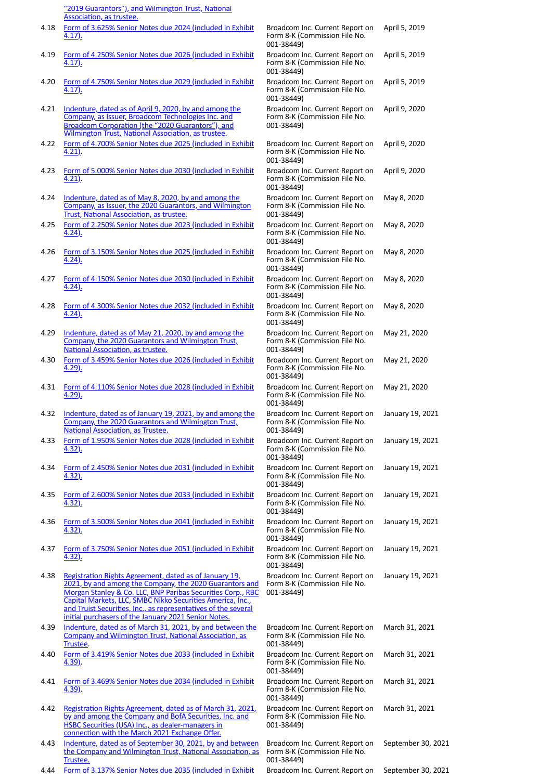|      | <b>Association, as trustee.</b>                                                                                                                                                                                                                                                                                                                                          |                                                                                |                    |
|------|--------------------------------------------------------------------------------------------------------------------------------------------------------------------------------------------------------------------------------------------------------------------------------------------------------------------------------------------------------------------------|--------------------------------------------------------------------------------|--------------------|
| 4.18 | Form of 3.625% Senior Notes due 2024 (included in Exhibit<br><u>4.17).</u>                                                                                                                                                                                                                                                                                               | Broadcom Inc. Current Report on<br>Form 8-K (Commission File No.<br>001-38449) | April 5, 2019      |
| 4.19 | Form of 4.250% Senior Notes due 2026 (included in Exhibit<br>4.17).                                                                                                                                                                                                                                                                                                      | Broadcom Inc. Current Report on<br>Form 8-K (Commission File No.<br>001-38449) | April 5, 2019      |
| 4.20 | Form of 4.750% Senior Notes due 2029 (included in Exhibit<br>4.17).                                                                                                                                                                                                                                                                                                      | Broadcom Inc. Current Report on<br>Form 8-K (Commission File No.<br>001-38449) | April 5, 2019      |
| 4.21 | Indenture, dated as of April 9, 2020, by and among the<br>Company, as Issuer, Broadcom Technologies Inc. and<br>Broadcom Corporation (the "2020 Guarantors"), and<br><b>Wilmington Trust, National Association, as trustee.</b>                                                                                                                                          | Broadcom Inc. Current Report on<br>Form 8-K (Commission File No.<br>001-38449) | April 9, 2020      |
| 4.22 | Form of 4.700% Senior Notes due 2025 (included in Exhibit<br>$4.21$ ).                                                                                                                                                                                                                                                                                                   | Broadcom Inc. Current Report on<br>Form 8-K (Commission File No.<br>001-38449) | April 9, 2020      |
| 4.23 | Form of 5.000% Senior Notes due 2030 (included in Exhibit<br>(4.21)                                                                                                                                                                                                                                                                                                      | Broadcom Inc. Current Report on<br>Form 8-K (Commission File No.<br>001-38449) | April 9, 2020      |
| 4.24 | Indenture, dated as of May 8, 2020, by and among the<br>Company, as Issuer, the 2020 Guarantors, and Wilmington<br><b>Trust, National Association, as trustee.</b>                                                                                                                                                                                                       | Broadcom Inc. Current Report on<br>Form 8-K (Commission File No.<br>001-38449) | May 8, 2020        |
| 4.25 | Form of 2.250% Senior Notes due 2023 (included in Exhibit<br><u>4.24).</u>                                                                                                                                                                                                                                                                                               | Broadcom Inc. Current Report on<br>Form 8-K (Commission File No.<br>001-38449) | May 8, 2020        |
| 4.26 | Form of 3.150% Senior Notes due 2025 (included in Exhibit<br>$4.24$ ).                                                                                                                                                                                                                                                                                                   | Broadcom Inc. Current Report on<br>Form 8-K (Commission File No.<br>001-38449) | May 8, 2020        |
| 4.27 | Form of 4.150% Senior Notes due 2030 (included in Exhibit<br>4.24).                                                                                                                                                                                                                                                                                                      | Broadcom Inc. Current Report on<br>Form 8-K (Commission File No.<br>001-38449) | May 8, 2020        |
| 4.28 | Form of 4.300% Senior Notes due 2032 (included in Exhibit<br>$4.24$ ).                                                                                                                                                                                                                                                                                                   | Broadcom Inc. Current Report on<br>Form 8-K (Commission File No.<br>001-38449) | May 8, 2020        |
| 4.29 | Indenture, dated as of May 21, 2020, by and among the<br>Company, the 2020 Guarantors and Wilmington Trust,<br>National Association, as trustee.                                                                                                                                                                                                                         | Broadcom Inc. Current Report on<br>Form 8-K (Commission File No.<br>001-38449) | May 21, 2020       |
| 4.30 | Form of 3.459% Senior Notes due 2026 (included in Exhibit<br>$4.29$ ).                                                                                                                                                                                                                                                                                                   | Broadcom Inc. Current Report on<br>Form 8-K (Commission File No.<br>001-38449) | May 21, 2020       |
| 4.31 | Form of 4.110% Senior Notes due 2028 (included in Exhibit<br><u>4.29).</u>                                                                                                                                                                                                                                                                                               | Broadcom Inc. Current Report on<br>Form 8-K (Commission File No.<br>001-38449) | May 21, 2020       |
| 4.32 | Indenture, dated as of January 19, 2021, by and among the<br>Company, the 2020 Guarantors and Wilmington Trust,<br><b>National Association, as Trustee.</b>                                                                                                                                                                                                              | Broadcom Inc. Current Report on<br>Form 8-K (Commission File No.<br>001-38449) | January 19, 2021   |
| 4.33 | Form of 1.950% Senior Notes due 2028 (included in Exhibit<br><u>4.32).</u>                                                                                                                                                                                                                                                                                               | Broadcom Inc. Current Report on<br>Form 8-K (Commission File No.<br>001-38449) | January 19, 2021   |
| 4.34 | Form of 2.450% Senior Notes due 2031 (included in Exhibit<br><u>4.32).</u>                                                                                                                                                                                                                                                                                               | Broadcom Inc. Current Report on<br>Form 8-K (Commission File No.<br>001-38449) | January 19, 2021   |
| 4.35 | Form of 2.600% Senior Notes due 2033 (included in Exhibit<br><u>4.32).</u>                                                                                                                                                                                                                                                                                               | Broadcom Inc. Current Report on<br>Form 8-K (Commission File No.<br>001-38449) | January 19, 2021   |
| 4.36 | Form of 3.500% Senior Notes due 2041 (included in Exhibit<br>$4.32$ ).                                                                                                                                                                                                                                                                                                   | Broadcom Inc. Current Report on<br>Form 8-K (Commission File No.<br>001-38449) | January 19, 2021   |
| 4.37 | Form of 3.750% Senior Notes due 2051 (included in Exhibit<br>4.32).                                                                                                                                                                                                                                                                                                      | Broadcom Inc. Current Report on<br>Form 8-K (Commission File No.<br>001-38449) | January 19, 2021   |
| 4.38 | Registration Rights Agreement, dated as of January 19,<br>2021, by and among the Company, the 2020 Guarantors and<br>Morgan Stanley & Co. LLC, BNP Paribas Securities Corp., RBC<br>Capital Markets, LLC, SMBC Nikko Securities America, Inc.,<br>and Truist Securities, Inc., as representatives of the several<br>initial purchasers of the January 2021 Senior Notes. | Broadcom Inc. Current Report on<br>Form 8-K (Commission File No.<br>001-38449) | January 19, 2021   |
| 4.39 | Indenture, dated as of March 31, 2021, by and between the<br><b>Company and Wilmington Trust, National Association, as</b><br>Trustee.                                                                                                                                                                                                                                   | Broadcom Inc. Current Report on<br>Form 8-K (Commission File No.<br>001-38449) | March 31, 2021     |
| 4.40 | Form of 3.419% Senior Notes due 2033 (included in Exhibit<br><u>4.39)</u> .                                                                                                                                                                                                                                                                                              | Broadcom Inc. Current Report on<br>Form 8-K (Commission File No.<br>001-38449) | March 31, 2021     |
| 4.41 | Form of 3.469% Senior Notes due 2034 (included in Exhibit<br>$4.39$ ).                                                                                                                                                                                                                                                                                                   | Broadcom Inc. Current Report on<br>Form 8-K (Commission File No.<br>001-38449) | March 31, 2021     |
| 4.42 | Registration Rights Agreement, dated as of March 31, 2021,<br>by and among the Company and BofA Securities, Inc. and<br><b>HSBC Securities (USA) Inc., as dealer-managers in</b><br>connection with the March 2021 Exchange Offer.                                                                                                                                       | Broadcom Inc. Current Report on<br>Form 8-K (Commission File No.<br>001-38449) | March 31, 2021     |
| 4.43 | Indenture, dated as of September 30, 2021, by and between<br>the Company and Wilmington Trust, National Association, as<br>Trustee.                                                                                                                                                                                                                                      | Broadcom Inc. Current Report on<br>Form 8-K (Commission File No.<br>001-38449) | September 30, 2021 |
| 4.44 | Form of 3.137% Senior Notes due 2035 (included in Exhibit                                                                                                                                                                                                                                                                                                                | Broadcom Inc. Current Report on                                                | September 30, 2021 |

"2019 Guarantors"), and Wilmington Trust, National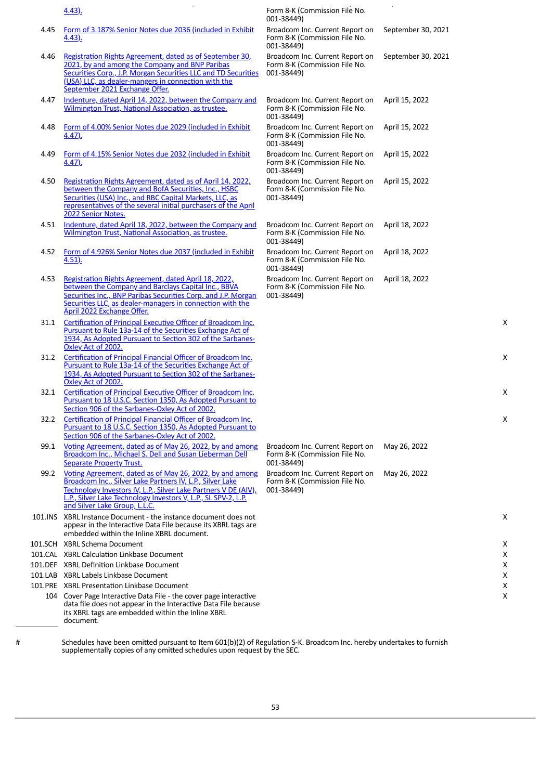|      | $4.43$ ).                                                                                                                                                                                                                                                                                   | Form 8-K (Commission File No.<br>001-38449)                                    |                    |   |
|------|---------------------------------------------------------------------------------------------------------------------------------------------------------------------------------------------------------------------------------------------------------------------------------------------|--------------------------------------------------------------------------------|--------------------|---|
| 4.45 | Form of 3.187% Senior Notes due 2036 (included in Exhibit<br>$4.43$ ).                                                                                                                                                                                                                      | Broadcom Inc. Current Report on<br>Form 8-K (Commission File No.<br>001-38449) | September 30, 2021 |   |
| 4.46 | Registration Rights Agreement, dated as of September 30,<br>2021, by and among the Company and BNP Paribas<br>Securities Corp., J.P. Morgan Securities LLC and TD Securities<br>(USA) LLC, as dealer-mangers in connection with the<br>September 2021 Exchange Offer.                       | Broadcom Inc. Current Report on<br>Form 8-K (Commission File No.<br>001-38449) | September 30, 2021 |   |
| 4.47 | Indenture, dated April 14, 2022, between the Company and<br>Wilmington Trust, National Association, as trustee.                                                                                                                                                                             | Broadcom Inc. Current Report on<br>Form 8-K (Commission File No.<br>001-38449) | April 15, 2022     |   |
| 4.48 | Form of 4.00% Senior Notes due 2029 (included in Exhibit<br>$4.47$ ).                                                                                                                                                                                                                       | Broadcom Inc. Current Report on<br>Form 8-K (Commission File No.<br>001-38449) | April 15, 2022     |   |
| 4.49 | Form of 4.15% Senior Notes due 2032 (included in Exhibit<br>4.47).                                                                                                                                                                                                                          | Broadcom Inc. Current Report on<br>Form 8-K (Commission File No.<br>001-38449) | April 15, 2022     |   |
| 4.50 | Registration Rights Agreement, dated as of April 14, 2022,<br>between the Company and BofA Securities, Inc., HSBC<br>Securities (USA) Inc., and RBC Capital Markets, LLC, as<br>representatives of the several initial purchasers of the April<br>2022 Senior Notes.                        | Broadcom Inc. Current Report on<br>Form 8-K (Commission File No.<br>001-38449) | April 15, 2022     |   |
| 4.51 | Indenture, dated April 18, 2022, between the Company and<br>Wilmington Trust, National Association, as trustee.                                                                                                                                                                             | Broadcom Inc. Current Report on<br>Form 8-K (Commission File No.<br>001-38449) | April 18, 2022     |   |
| 4.52 | Form of 4.926% Senior Notes due 2037 (included in Exhibit<br>$4.51$ ).                                                                                                                                                                                                                      | Broadcom Inc. Current Report on<br>Form 8-K (Commission File No.<br>001-38449) | April 18, 2022     |   |
| 4.53 | Registration Rights Agreement, dated April 18, 2022,<br>between the Company and Barclays Capital Inc., BBVA<br>Securities Inc., BNP Paribas Securities Corp. and J.P. Morgan<br>Securities LLC, as dealer-managers in connection with the                                                   | Broadcom Inc. Current Report on<br>Form 8-K (Commission File No.<br>001-38449) | April 18, 2022     |   |
| 31.1 | April 2022 Exchange Offer.<br>Certification of Principal Executive Officer of Broadcom Inc.<br>Pursuant to Rule 13a-14 of the Securities Exchange Act of<br>1934, As Adopted Pursuant to Section 302 of the Sarbanes-                                                                       |                                                                                |                    | X |
| 31.2 | Oxley Act of 2002.<br>Certification of Principal Financial Officer of Broadcom Inc.<br>Pursuant to Rule 13a-14 of the Securities Exchange Act of<br>1934, As Adopted Pursuant to Section 302 of the Sarbanes-                                                                               |                                                                                |                    | X |
| 32.1 | Oxley Act of 2002.<br>Certification of Principal Executive Officer of Broadcom Inc.<br>Pursuant to 18 U.S.C. Section 1350, As Adopted Pursuant to<br>Section 906 of the Sarbanes-Oxley Act of 2002.                                                                                         |                                                                                |                    | х |
| 32.2 | Certification of Principal Financial Officer of Broadcom Inc.<br>Pursuant to 18 U.S.C. Section 1350, As Adopted Pursuant to<br>Section 906 of the Sarbanes-Oxley Act of 2002.                                                                                                               |                                                                                |                    | x |
| 99.1 | Voting Agreement, dated as of May 26, 2022, by and among<br>Broadcom Inc., Michael S. Dell and Susan Lieberman Dell<br><b>Separate Property Trust.</b>                                                                                                                                      | Broadcom Inc. Current Report on<br>Form 8-K (Commission File No.<br>001-38449) | May 26, 2022       |   |
| 99.2 | Voting Agreement, dated as of May 26, 2022, by and among<br>Broadcom Inc., Silver Lake Partners IV, L.P., Silver Lake<br>Technology Investors IV, L.P., Silver Lake Partners V DE (AIV),<br>L.P., Silver Lake Technology Investors V, L.P., SL SPV-2, L.P.<br>and Silver Lake Group, L.L.C. | Broadcom Inc. Current Report on<br>Form 8-K (Commission File No.<br>001-38449) | May 26, 2022       |   |
|      | 101. INS XBRL Instance Document - the instance document does not<br>appear in the Interactive Data File because its XBRL tags are<br>embedded within the Inline XBRL document.                                                                                                              |                                                                                |                    | X |
|      | 101.SCH XBRL Schema Document                                                                                                                                                                                                                                                                |                                                                                |                    | x |
|      | 101.CAL XBRL Calculation Linkbase Document                                                                                                                                                                                                                                                  |                                                                                |                    | х |
|      | 101.DEF XBRL Definition Linkbase Document                                                                                                                                                                                                                                                   |                                                                                |                    | x |
|      | 101.LAB XBRL Labels Linkbase Document                                                                                                                                                                                                                                                       |                                                                                |                    | х |
|      | 101.PRE XBRL Presentation Linkbase Document                                                                                                                                                                                                                                                 |                                                                                |                    | Χ |
|      | 104 Cover Page Interactive Data File - the cover page interactive                                                                                                                                                                                                                           |                                                                                |                    | x |
|      | data file does not appear in the Interactive Data File because<br>its XBRL tags are embedded within the Inline XBRL<br>document.                                                                                                                                                            |                                                                                |                    |   |

<span id="page-56-0"></span># Schedules have been omitted pursuant to Item 601(b)(2) of Regulation S-K. Broadcom Inc. hereby undertakes to furnish supplementally copies of any omitted schedules upon request by the SEC.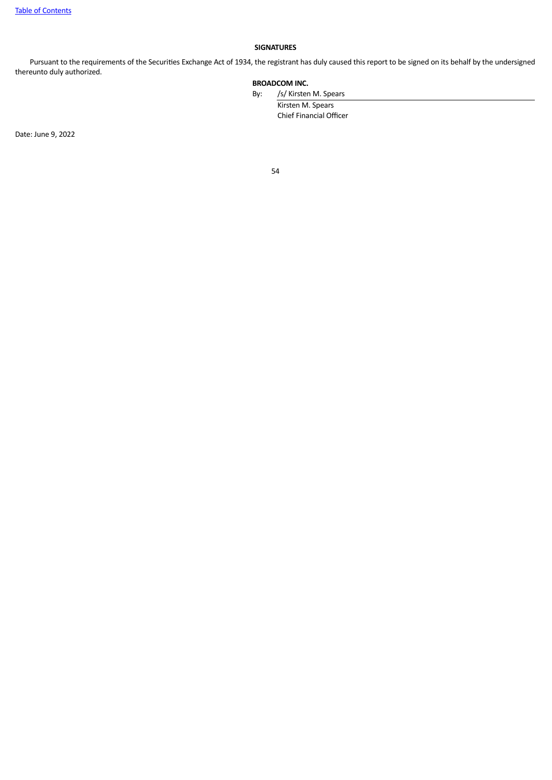### **SIGNATURES**

Pursuant to the requirements of the Securities Exchange Act of 1934, the registrant has duly caused this report to be signed on its behalf by the undersigned thereunto duly authorized.

## **BROADCOM INC.**

By: /s/ Kirsten M. Spears

Kirsten M. Spears Chief Financial Officer

Date: June 9, 2022

54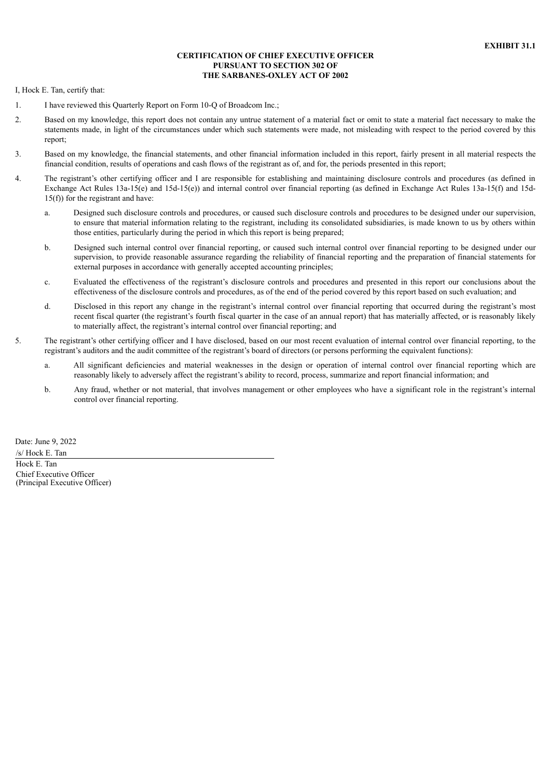## **CERTIFICATION OF CHIEF EXECUTIVE OFFICER PURSUANT TO SECTION 302 OF THE SARBANES-OXLEY ACT OF 2002**

<span id="page-58-0"></span>I, Hock E. Tan, certify that:

- 1. I have reviewed this Quarterly Report on Form 10-Q of Broadcom Inc.;
- 2. Based on my knowledge, this report does not contain any untrue statement of a material fact or omit to state a material fact necessary to make the statements made, in light of the circumstances under which such statements were made, not misleading with respect to the period covered by this report;
- 3. Based on my knowledge, the financial statements, and other financial information included in this report, fairly present in all material respects the financial condition, results of operations and cash flows of the registrant as of, and for, the periods presented in this report;
- 4. The registrant's other certifying officer and I are responsible for establishing and maintaining disclosure controls and procedures (as defined in Exchange Act Rules 13a-15(e) and 15d-15(e)) and internal control over financial reporting (as defined in Exchange Act Rules 13a-15(f) and 15d-15(f)) for the registrant and have:
	- a. Designed such disclosure controls and procedures, or caused such disclosure controls and procedures to be designed under our supervision, to ensure that material information relating to the registrant, including its consolidated subsidiaries, is made known to us by others within those entities, particularly during the period in which this report is being prepared;
	- b. Designed such internal control over financial reporting, or caused such internal control over financial reporting to be designed under our supervision, to provide reasonable assurance regarding the reliability of financial reporting and the preparation of financial statements for external purposes in accordance with generally accepted accounting principles;
	- c. Evaluated the effectiveness of the registrant's disclosure controls and procedures and presented in this report our conclusions about the effectiveness of the disclosure controls and procedures, as of the end of the period covered by this report based on such evaluation; and
	- d. Disclosed in this report any change in the registrant's internal control over financial reporting that occurred during the registrant's most recent fiscal quarter (the registrant's fourth fiscal quarter in the case of an annual report) that has materially affected, or is reasonably likely to materially affect, the registrant's internal control over financial reporting; and
- 5. The registrant's other certifying officer and I have disclosed, based on our most recent evaluation of internal control over financial reporting, to the registrant's auditors and the audit committee of the registrant's board of directors (or persons performing the equivalent functions):
	- a. All significant deficiencies and material weaknesses in the design or operation of internal control over financial reporting which are reasonably likely to adversely affect the registrant's ability to record, process, summarize and report financial information; and
	- b. Any fraud, whether or not material, that involves management or other employees who have a significant role in the registrant's internal control over financial reporting.

Date: June 9, 2022

/s/ Hock E. Tan Hock E. Tan Chief Executive Officer (Principal Executive Officer)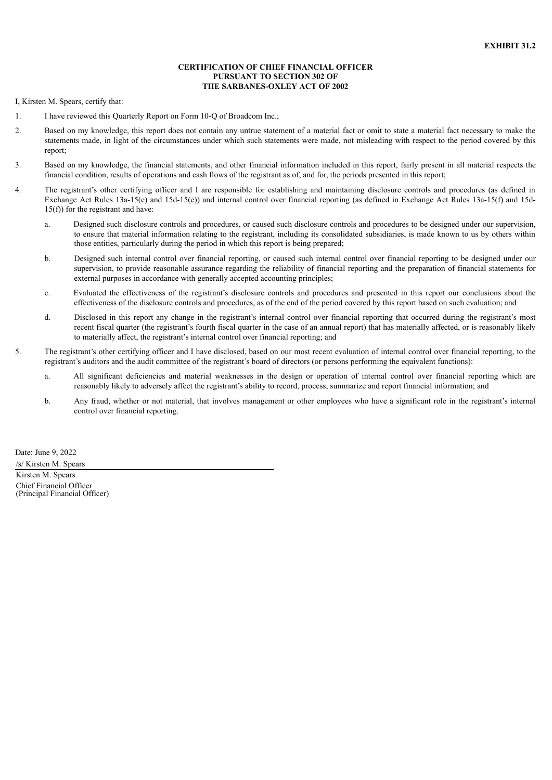## **CERTIFICATION OF CHIEF FINANCIAL OFFICER PURSUANT TO SECTION 302 OF THE SARBANES-OXLEY ACT OF 2002**

<span id="page-59-0"></span>I, Kirsten M. Spears, certify that:

- 1. I have reviewed this Quarterly Report on Form 10-Q of Broadcom Inc.;
- 2. Based on my knowledge, this report does not contain any untrue statement of a material fact or omit to state a material fact necessary to make the statements made, in light of the circumstances under which such statements were made, not misleading with respect to the period covered by this report;
- 3. Based on my knowledge, the financial statements, and other financial information included in this report, fairly present in all material respects the financial condition, results of operations and cash flows of the registrant as of, and for, the periods presented in this report;
- 4. The registrant's other certifying officer and I are responsible for establishing and maintaining disclosure controls and procedures (as defined in Exchange Act Rules 13a-15(e) and 15d-15(e)) and internal control over financial reporting (as defined in Exchange Act Rules 13a-15(f) and 15d-15(f)) for the registrant and have:
	- a. Designed such disclosure controls and procedures, or caused such disclosure controls and procedures to be designed under our supervision, to ensure that material information relating to the registrant, including its consolidated subsidiaries, is made known to us by others within those entities, particularly during the period in which this report is being prepared;
	- b. Designed such internal control over financial reporting, or caused such internal control over financial reporting to be designed under our supervision, to provide reasonable assurance regarding the reliability of financial reporting and the preparation of financial statements for external purposes in accordance with generally accepted accounting principles;
	- c. Evaluated the effectiveness of the registrant's disclosure controls and procedures and presented in this report our conclusions about the effectiveness of the disclosure controls and procedures, as of the end of the period covered by this report based on such evaluation; and
	- d. Disclosed in this report any change in the registrant's internal control over financial reporting that occurred during the registrant's most recent fiscal quarter (the registrant's fourth fiscal quarter in the case of an annual report) that has materially affected, or is reasonably likely to materially affect, the registrant's internal control over financial reporting; and
- 5. The registrant's other certifying officer and I have disclosed, based on our most recent evaluation of internal control over financial reporting, to the registrant's auditors and the audit committee of the registrant's board of directors (or persons performing the equivalent functions):
	- a. All significant deficiencies and material weaknesses in the design or operation of internal control over financial reporting which are reasonably likely to adversely affect the registrant's ability to record, process, summarize and report financial information; and
	- b. Any fraud, whether or not material, that involves management or other employees who have a significant role in the registrant's internal control over financial reporting.

Date: June 9, 2022

/s/ Kirsten M. Spears Kirsten M. Spears Chief Financial Officer (Principal Financial Officer)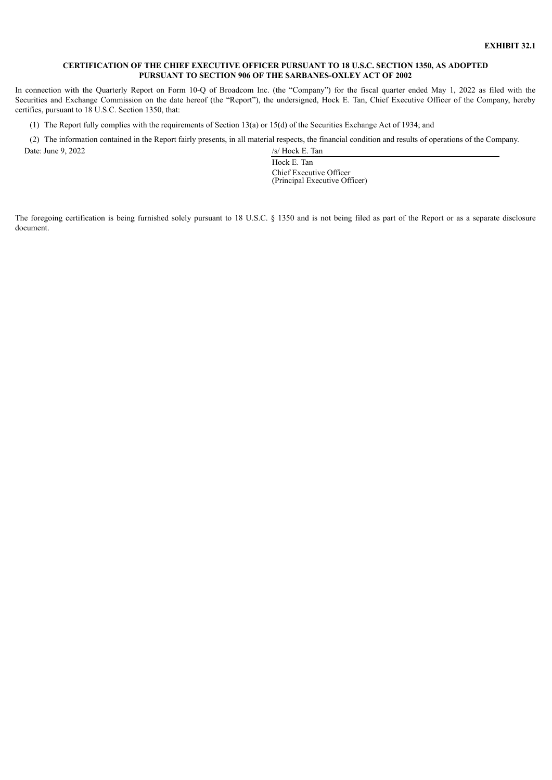### <span id="page-60-0"></span>**CERTIFICATION OF THE CHIEF EXECUTIVE OFFICER PURSUANT TO 18 U.S.C. SECTION 1350, AS ADOPTED PURSUANT TO SECTION 906 OF THE SARBANES-OXLEY ACT OF 2002**

In connection with the Quarterly Report on Form 10-Q of Broadcom Inc. (the "Company") for the fiscal quarter ended May 1, 2022 as filed with the Securities and Exchange Commission on the date hereof (the "Report"), the undersigned, Hock E. Tan, Chief Executive Officer of the Company, hereby certifies, pursuant to 18 U.S.C. Section 1350, that:

(1) The Report fully complies with the requirements of Section 13(a) or 15(d) of the Securities Exchange Act of 1934; and

(2) The information contained in the Report fairly presents, in all material respects, the financial condition and results of operations of the Company. Date: June 9, 2022 /s/ Hock E. Tan

Hock E. Tan Chief Executive Officer (Principal Executive Officer)

The foregoing certification is being furnished solely pursuant to 18 U.S.C. § 1350 and is not being filed as part of the Report or as a separate disclosure document.